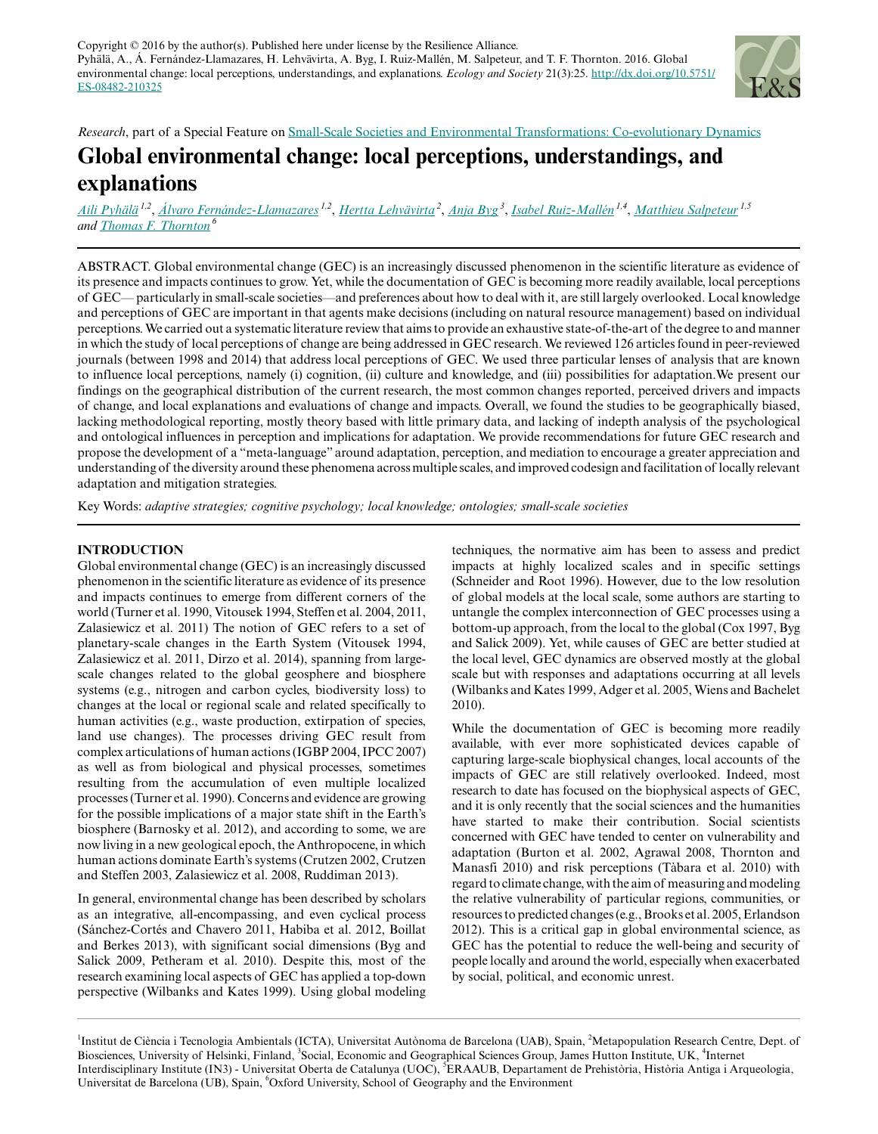Copyright © 2016 by the author(s). Published here under license by the Resilience Alliance. Pyhälä, A., Á. Fernández-Llamazares, H. Lehvävirta, A. Byg, I. Ruiz-Mallén, M. Salpeteur, and T. F. Thornton. 2016. Global environmental change: local perceptions, understandings, and explanations. *Ecology and Society* 21(3):25. [http://dx.doi.org/10.5751/](http://dx.doi.org/10.5751/ES-08482-210325) [ES-08482-210325](http://dx.doi.org/10.5751/ES-08482-210325)



*Research*, part of a Special Feature on [Small-Scale Societies and Environmental Transformations: Co-evolutionary Dynamics](http://www.ecologyandsociety.org/viewissue.php?sf=113)

# **Global environmental change: local perceptions, understandings, and explanations**

*[Aili Pyhälä](mailto:aili.pyhala@helsinki.fi) 1,2* , *[Álvaro Fernández-Llamazares](mailto:alvaro.fernandez-llamazares@helsinki.fi) 1,2* , *[Hertta Lehvävirta](mailto:hertta.lehvavirta@helsinki.fi)<sup>2</sup>* , *[Anja Byg](mailto:anja.byg@hutton.ac.uk)<sup>3</sup>* , *[Isabel Ruiz-Mallén](mailto:iruiz_mallen@uoc.edu) 1,4* , *[Matthieu Salpeteur](mailto:matthieusalpeteur@hotmail.com) 1,5 and [Thomas F. Thornton](mailto:thomas.thornton@ouce.ox.ac.uk)<sup>6</sup>*

ABSTRACT. Global environmental change (GEC) is an increasingly discussed phenomenon in the scientific literature as evidence of its presence and impacts continues to grow. Yet, while the documentation of GEC is becoming more readily available, local perceptions of GEC— particularly in small-scale societies—and preferences about how to deal with it, are still largely overlooked. Local knowledge and perceptions of GEC are important in that agents make decisions (including on natural resource management) based on individual perceptions. We carried out a systematic literature review that aims to provide an exhaustive state-of-the-art of the degree to and manner in which the study of local perceptions of change are being addressed in GEC research. We reviewed 126 articles found in peer-reviewed journals (between 1998 and 2014) that address local perceptions of GEC. We used three particular lenses of analysis that are known to influence local perceptions, namely (i) cognition, (ii) culture and knowledge, and (iii) possibilities for adaptation.We present our findings on the geographical distribution of the current research, the most common changes reported, perceived drivers and impacts of change, and local explanations and evaluations of change and impacts. Overall, we found the studies to be geographically biased, lacking methodological reporting, mostly theory based with little primary data, and lacking of indepth analysis of the psychological and ontological influences in perception and implications for adaptation. We provide recommendations for future GEC research and propose the development of a "meta-language" around adaptation, perception, and mediation to encourage a greater appreciation and understanding of the diversity around these phenomena across multiple scales, and improved codesign and facilitation of locally relevant adaptation and mitigation strategies.

Key Words: *adaptive strategies; cognitive psychology; local knowledge; ontologies; small-scale societies*

#### **INTRODUCTION**

Global environmental change (GEC) is an increasingly discussed phenomenon in the scientific literature as evidence of its presence and impacts continues to emerge from different corners of the world (Turner et al. 1990, Vitousek 1994, Steffen et al. 2004, 2011, Zalasiewicz et al. 2011) The notion of GEC refers to a set of planetary-scale changes in the Earth System (Vitousek 1994, Zalasiewicz et al. 2011, Dirzo et al. 2014), spanning from largescale changes related to the global geosphere and biosphere systems (e.g., nitrogen and carbon cycles, biodiversity loss) to changes at the local or regional scale and related specifically to human activities (e.g., waste production, extirpation of species, land use changes). The processes driving GEC result from complex articulations of human actions (IGBP 2004, IPCC 2007) as well as from biological and physical processes, sometimes resulting from the accumulation of even multiple localized processes (Turner et al. 1990). Concerns and evidence are growing for the possible implications of a major state shift in the Earth's biosphere (Barnosky et al. 2012), and according to some, we are now living in a new geological epoch, the Anthropocene, in which human actions dominate Earth's systems (Crutzen 2002, Crutzen and Steffen 2003, Zalasiewicz et al. 2008, Ruddiman 2013).

In general, environmental change has been described by scholars as an integrative, all-encompassing, and even cyclical process (Sánchez-Cortés and Chavero 2011, Habiba et al. 2012, Boillat and Berkes 2013), with significant social dimensions (Byg and Salick 2009, Petheram et al. 2010). Despite this, most of the research examining local aspects of GEC has applied a top-down perspective (Wilbanks and Kates 1999). Using global modeling techniques, the normative aim has been to assess and predict impacts at highly localized scales and in specific settings (Schneider and Root 1996). However, due to the low resolution of global models at the local scale, some authors are starting to untangle the complex interconnection of GEC processes using a bottom-up approach, from the local to the global (Cox 1997, Byg and Salick 2009). Yet, while causes of GEC are better studied at the local level, GEC dynamics are observed mostly at the global scale but with responses and adaptations occurring at all levels (Wilbanks and Kates 1999, Adger et al. 2005, Wiens and Bachelet 2010).

While the documentation of GEC is becoming more readily available, with ever more sophisticated devices capable of capturing large-scale biophysical changes, local accounts of the impacts of GEC are still relatively overlooked. Indeed, most research to date has focused on the biophysical aspects of GEC, and it is only recently that the social sciences and the humanities have started to make their contribution. Social scientists concerned with GEC have tended to center on vulnerability and adaptation (Burton et al. 2002, Agrawal 2008, Thornton and Manasfi 2010) and risk perceptions (Tàbara et al. 2010) with regard to climate change, with the aim of measuring and modeling the relative vulnerability of particular regions, communities, or resources to predicted changes (e.g., Brooks et al. 2005, Erlandson 2012). This is a critical gap in global environmental science, as GEC has the potential to reduce the well-being and security of people locally and around the world, especially when exacerbated by social, political, and economic unrest.

<sup>1</sup>Institut de Ciència i Tecnologia Ambientals (ICTA), Universitat Autònoma de Barcelona (UAB), Spain, <sup>2</sup>Metapopulation Research Centre, Dept. of Biosciences, University of Helsinki, Finland, <sup>3</sup>Social, Economic and Geographical Sciences Group, James Hutton Institute, UK, <sup>4</sup>Internet Interdisciplinary Institute (IN3) - Universitat Oberta de Catalunya (UOC), <sup>5</sup>ERAAUB, Departament de Prehistòria, Història Antiga i Arqueologia, Universitat de Barcelona (UB), Spain, <sup>o</sup>Oxford University, School of Geography and the Environment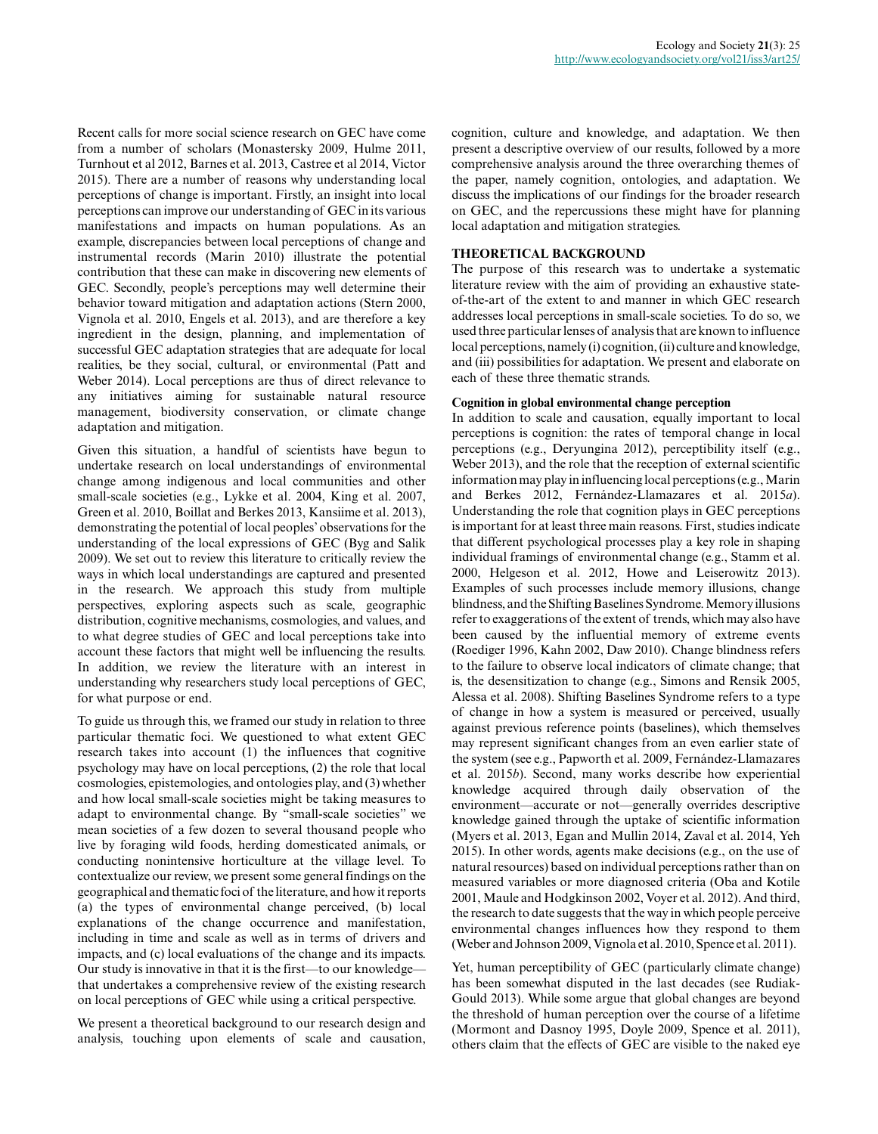Recent calls for more social science research on GEC have come from a number of scholars (Monastersky 2009, Hulme 2011, Turnhout et al 2012, Barnes et al. 2013, Castree et al 2014, Victor 2015). There are a number of reasons why understanding local perceptions of change is important. Firstly, an insight into local perceptions can improve our understanding of GEC in its various manifestations and impacts on human populations. As an example, discrepancies between local perceptions of change and instrumental records (Marin 2010) illustrate the potential contribution that these can make in discovering new elements of GEC. Secondly, people's perceptions may well determine their behavior toward mitigation and adaptation actions (Stern 2000, Vignola et al. 2010, Engels et al. 2013), and are therefore a key ingredient in the design, planning, and implementation of successful GEC adaptation strategies that are adequate for local realities, be they social, cultural, or environmental (Patt and Weber 2014). Local perceptions are thus of direct relevance to any initiatives aiming for sustainable natural resource management, biodiversity conservation, or climate change adaptation and mitigation.

Given this situation, a handful of scientists have begun to undertake research on local understandings of environmental change among indigenous and local communities and other small-scale societies (e.g., Lykke et al. 2004, King et al. 2007, Green et al. 2010, Boillat and Berkes 2013, Kansiime et al. 2013), demonstrating the potential of local peoples' observations for the understanding of the local expressions of GEC (Byg and Salik 2009). We set out to review this literature to critically review the ways in which local understandings are captured and presented in the research. We approach this study from multiple perspectives, exploring aspects such as scale, geographic distribution, cognitive mechanisms, cosmologies, and values, and to what degree studies of GEC and local perceptions take into account these factors that might well be influencing the results. In addition, we review the literature with an interest in understanding why researchers study local perceptions of GEC, for what purpose or end.

To guide us through this, we framed our study in relation to three particular thematic foci. We questioned to what extent GEC research takes into account (1) the influences that cognitive psychology may have on local perceptions, (2) the role that local cosmologies, epistemologies, and ontologies play, and (3) whether and how local small-scale societies might be taking measures to adapt to environmental change. By "small-scale societies" we mean societies of a few dozen to several thousand people who live by foraging wild foods, herding domesticated animals, or conducting nonintensive horticulture at the village level. To contextualize our review, we present some general findings on the geographical and thematic foci of the literature, and how it reports (a) the types of environmental change perceived, (b) local explanations of the change occurrence and manifestation, including in time and scale as well as in terms of drivers and impacts, and (c) local evaluations of the change and its impacts. Our study is innovative in that it is the first—to our knowledge that undertakes a comprehensive review of the existing research on local perceptions of GEC while using a critical perspective.

We present a theoretical background to our research design and analysis, touching upon elements of scale and causation, cognition, culture and knowledge, and adaptation. We then present a descriptive overview of our results, followed by a more comprehensive analysis around the three overarching themes of the paper, namely cognition, ontologies, and adaptation. We discuss the implications of our findings for the broader research on GEC, and the repercussions these might have for planning local adaptation and mitigation strategies.

#### **THEORETICAL BACKGROUND**

The purpose of this research was to undertake a systematic literature review with the aim of providing an exhaustive stateof-the-art of the extent to and manner in which GEC research addresses local perceptions in small-scale societies. To do so, we used three particular lenses of analysis that are known to influence local perceptions, namely (i) cognition, (ii) culture and knowledge, and (iii) possibilities for adaptation. We present and elaborate on each of these three thematic strands.

#### **Cognition in global environmental change perception**

In addition to scale and causation, equally important to local perceptions is cognition: the rates of temporal change in local perceptions (e.g., Deryungina 2012), perceptibility itself (e.g., Weber 2013), and the role that the reception of external scientific information may play in influencing local perceptions (e.g., Marin and Berkes 2012, Fernández-Llamazares et al. 2015*a*). Understanding the role that cognition plays in GEC perceptions is important for at least three main reasons. First, studies indicate that different psychological processes play a key role in shaping individual framings of environmental change (e.g., Stamm et al. 2000, Helgeson et al. 2012, Howe and Leiserowitz 2013). Examples of such processes include memory illusions, change blindness, and the Shifting Baselines Syndrome. Memory illusions refer to exaggerations of the extent of trends, which may also have been caused by the influential memory of extreme events (Roediger 1996, Kahn 2002, Daw 2010). Change blindness refers to the failure to observe local indicators of climate change; that is, the desensitization to change (e.g., Simons and Rensik 2005, Alessa et al. 2008). Shifting Baselines Syndrome refers to a type of change in how a system is measured or perceived, usually against previous reference points (baselines), which themselves may represent significant changes from an even earlier state of the system (see e.g., Papworth et al. 2009, Fernández-Llamazares et al. 2015*b*). Second, many works describe how experiential knowledge acquired through daily observation of the environment—accurate or not—generally overrides descriptive knowledge gained through the uptake of scientific information (Myers et al. 2013, Egan and Mullin 2014, Zaval et al. 2014, Yeh 2015). In other words, agents make decisions (e.g., on the use of natural resources) based on individual perceptions rather than on measured variables or more diagnosed criteria (Oba and Kotile 2001, Maule and Hodgkinson 2002, Voyer et al. 2012). And third, the research to date suggests that the way in which people perceive environmental changes influences how they respond to them (Weber and Johnson 2009, Vignola et al. 2010, Spence et al. 2011).

Yet, human perceptibility of GEC (particularly climate change) has been somewhat disputed in the last decades (see Rudiak-Gould 2013). While some argue that global changes are beyond the threshold of human perception over the course of a lifetime (Mormont and Dasnoy 1995, Doyle 2009, Spence et al. 2011), others claim that the effects of GEC are visible to the naked eye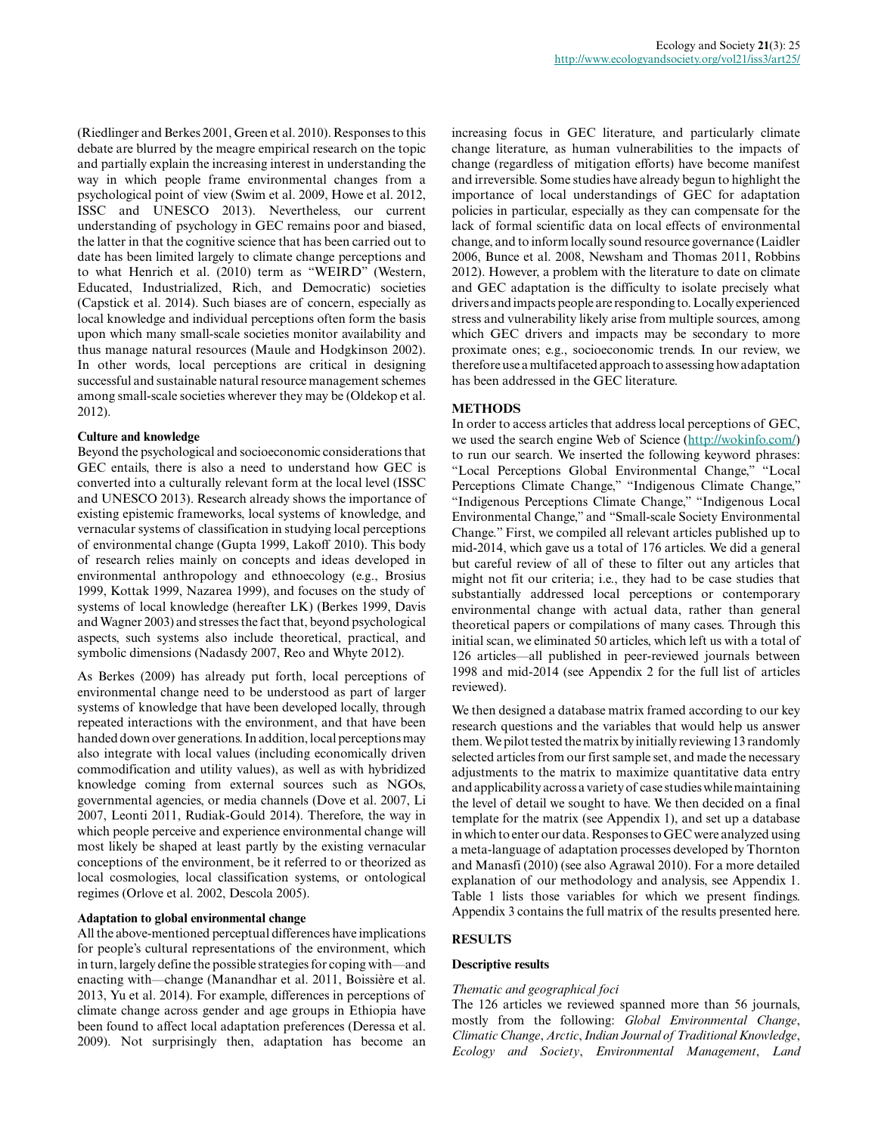(Riedlinger and Berkes 2001, Green et al. 2010). Responses to this debate are blurred by the meagre empirical research on the topic and partially explain the increasing interest in understanding the way in which people frame environmental changes from a psychological point of view (Swim et al. 2009, Howe et al. 2012, ISSC and UNESCO 2013). Nevertheless, our current understanding of psychology in GEC remains poor and biased, the latter in that the cognitive science that has been carried out to date has been limited largely to climate change perceptions and to what Henrich et al. (2010) term as "WEIRD" (Western, Educated, Industrialized, Rich, and Democratic) societies (Capstick et al. 2014). Such biases are of concern, especially as local knowledge and individual perceptions often form the basis upon which many small-scale societies monitor availability and thus manage natural resources (Maule and Hodgkinson 2002). In other words, local perceptions are critical in designing successful and sustainable natural resource management schemes among small-scale societies wherever they may be (Oldekop et al. 2012).

#### **Culture and knowledge**

Beyond the psychological and socioeconomic considerations that GEC entails, there is also a need to understand how GEC is converted into a culturally relevant form at the local level (ISSC and UNESCO 2013). Research already shows the importance of existing epistemic frameworks, local systems of knowledge, and vernacular systems of classification in studying local perceptions of environmental change (Gupta 1999, Lakoff 2010). This body of research relies mainly on concepts and ideas developed in environmental anthropology and ethnoecology (e.g., Brosius 1999, Kottak 1999, Nazarea 1999), and focuses on the study of systems of local knowledge (hereafter LK) (Berkes 1999, Davis and Wagner 2003) and stresses the fact that, beyond psychological aspects, such systems also include theoretical, practical, and symbolic dimensions (Nadasdy 2007, Reo and Whyte 2012).

As Berkes (2009) has already put forth, local perceptions of environmental change need to be understood as part of larger systems of knowledge that have been developed locally, through repeated interactions with the environment, and that have been handed down over generations. In addition, local perceptions may also integrate with local values (including economically driven commodification and utility values), as well as with hybridized knowledge coming from external sources such as NGOs, governmental agencies, or media channels (Dove et al. 2007, Li 2007, Leonti 2011, Rudiak-Gould 2014). Therefore, the way in which people perceive and experience environmental change will most likely be shaped at least partly by the existing vernacular conceptions of the environment, be it referred to or theorized as local cosmologies, local classification systems, or ontological regimes (Orlove et al. 2002, Descola 2005).

#### **Adaptation to global environmental change**

All the above-mentioned perceptual differences have implications for people's cultural representations of the environment, which in turn, largely define the possible strategies for coping with—and enacting with—change (Manandhar et al. 2011, Boissière et al. 2013, Yu et al. 2014). For example, differences in perceptions of climate change across gender and age groups in Ethiopia have been found to affect local adaptation preferences (Deressa et al. 2009). Not surprisingly then, adaptation has become an increasing focus in GEC literature, and particularly climate change literature, as human vulnerabilities to the impacts of change (regardless of mitigation efforts) have become manifest and irreversible. Some studies have already begun to highlight the importance of local understandings of GEC for adaptation policies in particular, especially as they can compensate for the lack of formal scientific data on local effects of environmental change, and to inform locally sound resource governance (Laidler 2006, Bunce et al. 2008, Newsham and Thomas 2011, Robbins 2012). However, a problem with the literature to date on climate and GEC adaptation is the difficulty to isolate precisely what drivers and impacts people are responding to. Locally experienced stress and vulnerability likely arise from multiple sources, among which GEC drivers and impacts may be secondary to more proximate ones; e.g., socioeconomic trends. In our review, we therefore use a multifaceted approach to assessing how adaptation has been addressed in the GEC literature.

#### **METHODS**

In order to access articles that address local perceptions of GEC, we used the search engine Web of Science (<http://wokinfo.com/>) to run our search. We inserted the following keyword phrases: "Local Perceptions Global Environmental Change," "Local Perceptions Climate Change," "Indigenous Climate Change," "Indigenous Perceptions Climate Change," "Indigenous Local Environmental Change," and "Small-scale Society Environmental Change." First, we compiled all relevant articles published up to mid-2014, which gave us a total of 176 articles. We did a general but careful review of all of these to filter out any articles that might not fit our criteria; i.e., they had to be case studies that substantially addressed local perceptions or contemporary environmental change with actual data, rather than general theoretical papers or compilations of many cases. Through this initial scan, we eliminated 50 articles, which left us with a total of 126 articles—all published in peer-reviewed journals between 1998 and mid-2014 (see Appendix 2 for the full list of articles reviewed).

We then designed a database matrix framed according to our key research questions and the variables that would help us answer them. We pilot tested the matrix by initially reviewing 13 randomly selected articles from our first sample set, and made the necessary adjustments to the matrix to maximize quantitative data entry and applicability across a variety of case studies while maintaining the level of detail we sought to have. We then decided on a final template for the matrix (see Appendix 1), and set up a database in which to enter our data. Responses to GEC were analyzed using a meta-language of adaptation processes developed by Thornton and Manasfi (2010) (see also Agrawal 2010). For a more detailed explanation of our methodology and analysis, see Appendix 1. Table 1 lists those variables for which we present findings. Appendix 3 contains the full matrix of the results presented here.

#### **RESULTS**

#### **Descriptive results**

#### *Thematic and geographical foci*

The 126 articles we reviewed spanned more than 56 journals, mostly from the following: *Global Environmental Change*, *Climatic Change*, *Arctic*, *Indian Journal of Traditional Knowledge*, *Ecology and Society*, *Environmental Management*, *Land*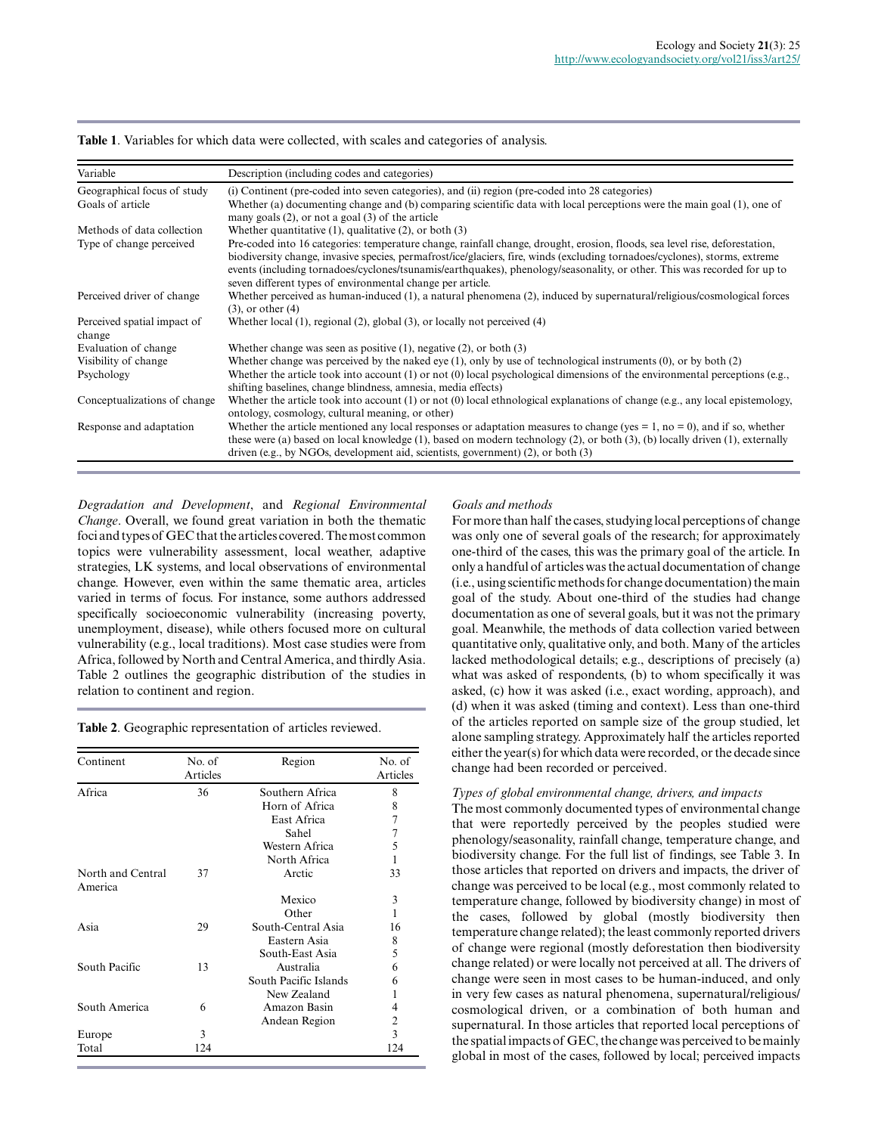| Variable                              | Description (including codes and categories)                                                                                                                                                                                                                                                                                                                                                                                                         |
|---------------------------------------|------------------------------------------------------------------------------------------------------------------------------------------------------------------------------------------------------------------------------------------------------------------------------------------------------------------------------------------------------------------------------------------------------------------------------------------------------|
| Geographical focus of study           | (i) Continent (pre-coded into seven categories), and (ii) region (pre-coded into 28 categories)                                                                                                                                                                                                                                                                                                                                                      |
| Goals of article                      | Whether (a) documenting change and (b) comparing scientific data with local perceptions were the main goal (1), one of<br>many goals $(2)$ , or not a goal $(3)$ of the article                                                                                                                                                                                                                                                                      |
| Methods of data collection            | Whether quantitative $(1)$ , qualitative $(2)$ , or both $(3)$                                                                                                                                                                                                                                                                                                                                                                                       |
| Type of change perceived              | Pre-coded into 16 categories: temperature change, rainfall change, drought, erosion, floods, sea level rise, deforestation,<br>biodiversity change, invasive species, permafrost/ice/glaciers, fire, winds (excluding tornadoes/cyclones), storms, extreme<br>events (including tornadoes/cyclones/tsunamis/earthquakes), phenology/seasonality, or other. This was recorded for up to<br>seven different types of environmental change per article. |
| Perceived driver of change            | Whether perceived as human-induced (1), a natural phenomena (2), induced by supernatural/religious/cosmological forces<br>$(3)$ , or other $(4)$                                                                                                                                                                                                                                                                                                     |
| Perceived spatial impact of<br>change | Whether local $(1)$ , regional $(2)$ , global $(3)$ , or locally not perceived $(4)$                                                                                                                                                                                                                                                                                                                                                                 |
| Evaluation of change                  | Whether change was seen as positive $(1)$ , negative $(2)$ , or both $(3)$                                                                                                                                                                                                                                                                                                                                                                           |
| Visibility of change                  | Whether change was perceived by the naked eye (1), only by use of technological instruments (0), or by both (2)                                                                                                                                                                                                                                                                                                                                      |
| Psychology                            | Whether the article took into account (1) or not (0) local psychological dimensions of the environmental perceptions (e.g.,<br>shifting baselines, change blindness, amnesia, media effects)                                                                                                                                                                                                                                                         |
| Conceptualizations of change          | Whether the article took into account (1) or not (0) local ethnological explanations of change (e.g., any local epistemology,<br>ontology, cosmology, cultural meaning, or other)                                                                                                                                                                                                                                                                    |
| Response and adaptation               | Whether the article mentioned any local responses or adaptation measures to change (yes = 1, no = 0), and if so, whether<br>these were (a) based on local knowledge $(1)$ , based on modern technology $(2)$ , or both $(3)$ , $(b)$ locally driven $(1)$ , externally<br>driven (e.g., by NGOs, development aid, scientists, government) (2), or both (3)                                                                                           |

|  |  |  |  | Table 1. Variables for which data were collected, with scales and categories of analysis. |  |  |  |  |  |
|--|--|--|--|-------------------------------------------------------------------------------------------|--|--|--|--|--|
|--|--|--|--|-------------------------------------------------------------------------------------------|--|--|--|--|--|

*Degradation and Development*, and *Regional Environmental Change*. Overall, we found great variation in both the thematic foci and types of GEC that the articles covered. The most common topics were vulnerability assessment, local weather, adaptive strategies, LK systems, and local observations of environmental change. However, even within the same thematic area, articles varied in terms of focus. For instance, some authors addressed specifically socioeconomic vulnerability (increasing poverty, unemployment, disease), while others focused more on cultural vulnerability (e.g., local traditions). Most case studies were from Africa, followed by North and Central America, and thirdly Asia. Table 2 outlines the geographic distribution of the studies in relation to continent and region.

|  |  | Table 2. Geographic representation of articles reviewed. |  |  |
|--|--|----------------------------------------------------------|--|--|
|--|--|----------------------------------------------------------|--|--|

| Continent                    | No. of<br>Articles | Region                | No. of<br>Articles |
|------------------------------|--------------------|-----------------------|--------------------|
| Africa                       | 36                 | Southern Africa       | 8                  |
|                              |                    | Horn of Africa        | 8                  |
|                              |                    | East Africa           | 7                  |
|                              |                    | Sahel                 | 7                  |
|                              |                    | Western Africa        | 5                  |
|                              |                    | North Africa          | 1                  |
| North and Central<br>America | 37                 | Arctic                | 33                 |
|                              |                    | Mexico                | 3                  |
|                              |                    | Other                 | 1                  |
| Asia                         | 29                 | South-Central Asia    | 16                 |
|                              |                    | Eastern Asia          | 8                  |
|                              |                    | South-East Asia       | 5                  |
| South Pacific                | 13                 | Australia             | 6                  |
|                              |                    | South Pacific Islands | 6                  |
|                              |                    | New Zealand           |                    |
| South America                | 6                  | Amazon Basin          | 4                  |
|                              |                    | Andean Region         | $\overline{2}$     |
| Europe                       | 3                  |                       | $\overline{3}$     |
| Total                        | 124                |                       | 124                |

#### *Goals and methods*

For more than half the cases, studying local perceptions of change was only one of several goals of the research; for approximately one-third of the cases, this was the primary goal of the article. In only a handful of articles was the actual documentation of change (i.e., using scientific methods for change documentation) the main goal of the study. About one-third of the studies had change documentation as one of several goals, but it was not the primary goal. Meanwhile, the methods of data collection varied between quantitative only, qualitative only, and both. Many of the articles lacked methodological details; e.g., descriptions of precisely (a) what was asked of respondents, (b) to whom specifically it was asked, (c) how it was asked (i.e., exact wording, approach), and (d) when it was asked (timing and context). Less than one-third of the articles reported on sample size of the group studied, let alone sampling strategy. Approximately half the articles reported either the year(s) for which data were recorded, or the decade since change had been recorded or perceived.

#### *Types of global environmental change, drivers, and impacts*

The most commonly documented types of environmental change that were reportedly perceived by the peoples studied were phenology/seasonality, rainfall change, temperature change, and biodiversity change. For the full list of findings, see Table 3. In those articles that reported on drivers and impacts, the driver of change was perceived to be local (e.g., most commonly related to temperature change, followed by biodiversity change) in most of the cases, followed by global (mostly biodiversity then temperature change related); the least commonly reported drivers of change were regional (mostly deforestation then biodiversity change related) or were locally not perceived at all. The drivers of change were seen in most cases to be human-induced, and only in very few cases as natural phenomena, supernatural/religious/ cosmological driven, or a combination of both human and supernatural. In those articles that reported local perceptions of the spatial impacts of GEC, the change was perceived to be mainly global in most of the cases, followed by local; perceived impacts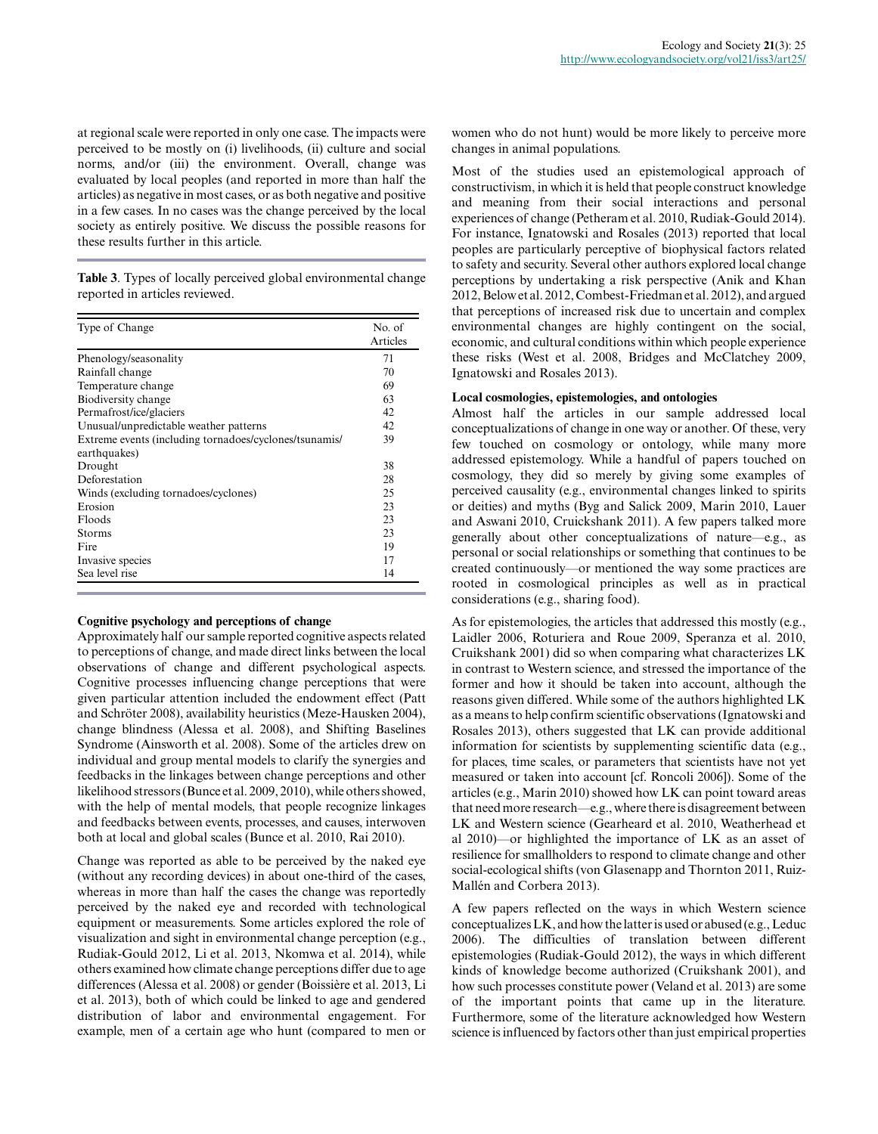at regional scale were reported in only one case. The impacts were perceived to be mostly on (i) livelihoods, (ii) culture and social norms, and/or (iii) the environment. Overall, change was evaluated by local peoples (and reported in more than half the articles) as negative in most cases, or as both negative and positive in a few cases. In no cases was the change perceived by the local society as entirely positive. We discuss the possible reasons for these results further in this article.

**Table 3**. Types of locally perceived global environmental change reported in articles reviewed.

| Type of Change                                         | No. of<br>Articles |
|--------------------------------------------------------|--------------------|
| Phenology/seasonality                                  | 71                 |
| Rainfall change                                        | 70                 |
| Temperature change                                     | 69                 |
| Biodiversity change                                    | 63                 |
| Permafrost/ice/glaciers                                | 42                 |
| Unusual/unpredictable weather patterns                 | 42                 |
| Extreme events (including tornadoes/cyclones/tsunamis/ | 39                 |
| earthquakes)                                           |                    |
| Drought                                                | 38                 |
| Deforestation                                          | 28                 |
| Winds (excluding tornadoes/cyclones)                   | 25                 |
| Erosion                                                | 23                 |
| Floods                                                 | 23                 |
| <b>Storms</b>                                          | 23                 |
| Fire                                                   | 19                 |
| Invasive species                                       | 17                 |
| Sea level rise                                         | 14                 |

#### **Cognitive psychology and perceptions of change**

Approximately half our sample reported cognitive aspects related to perceptions of change, and made direct links between the local observations of change and different psychological aspects. Cognitive processes influencing change perceptions that were given particular attention included the endowment effect (Patt and Schröter 2008), availability heuristics (Meze-Hausken 2004), change blindness (Alessa et al. 2008), and Shifting Baselines Syndrome (Ainsworth et al. 2008). Some of the articles drew on individual and group mental models to clarify the synergies and feedbacks in the linkages between change perceptions and other likelihood stressors (Bunce et al. 2009, 2010), while others showed, with the help of mental models, that people recognize linkages and feedbacks between events, processes, and causes, interwoven both at local and global scales (Bunce et al. 2010, Rai 2010).

Change was reported as able to be perceived by the naked eye (without any recording devices) in about one-third of the cases, whereas in more than half the cases the change was reportedly perceived by the naked eye and recorded with technological equipment or measurements. Some articles explored the role of visualization and sight in environmental change perception (e.g., Rudiak-Gould 2012, Li et al. 2013, Nkomwa et al. 2014), while others examined how climate change perceptions differ due to age differences (Alessa et al. 2008) or gender (Boissière et al. 2013, Li et al. 2013), both of which could be linked to age and gendered distribution of labor and environmental engagement. For example, men of a certain age who hunt (compared to men or women who do not hunt) would be more likely to perceive more changes in animal populations.

Most of the studies used an epistemological approach of constructivism, in which it is held that people construct knowledge and meaning from their social interactions and personal experiences of change (Petheram et al. 2010, Rudiak-Gould 2014). For instance, Ignatowski and Rosales (2013) reported that local peoples are particularly perceptive of biophysical factors related to safety and security. Several other authors explored local change perceptions by undertaking a risk perspective (Anik and Khan 2012, Below et al. 2012, Combest-Friedman et al. 2012), and argued that perceptions of increased risk due to uncertain and complex environmental changes are highly contingent on the social, economic, and cultural conditions within which people experience these risks (West et al. 2008, Bridges and McClatchey 2009, Ignatowski and Rosales 2013).

#### **Local cosmologies, epistemologies, and ontologies**

Almost half the articles in our sample addressed local conceptualizations of change in one way or another. Of these, very few touched on cosmology or ontology, while many more addressed epistemology. While a handful of papers touched on cosmology, they did so merely by giving some examples of perceived causality (e.g., environmental changes linked to spirits or deities) and myths (Byg and Salick 2009, Marin 2010, Lauer and Aswani 2010, Cruickshank 2011). A few papers talked more generally about other conceptualizations of nature—e.g., as personal or social relationships or something that continues to be created continuously—or mentioned the way some practices are rooted in cosmological principles as well as in practical considerations (e.g., sharing food).

As for epistemologies, the articles that addressed this mostly (e.g., Laidler 2006, Roturiera and Roue 2009, Speranza et al. 2010, Cruikshank 2001) did so when comparing what characterizes LK in contrast to Western science, and stressed the importance of the former and how it should be taken into account, although the reasons given differed. While some of the authors highlighted LK as a means to help confirm scientific observations (Ignatowski and Rosales 2013), others suggested that LK can provide additional information for scientists by supplementing scientific data (e.g., for places, time scales, or parameters that scientists have not yet measured or taken into account [cf. Roncoli 2006]). Some of the articles (e.g., Marin 2010) showed how LK can point toward areas that need more research—e.g., where there is disagreement between LK and Western science (Gearheard et al. 2010, Weatherhead et al 2010)—or highlighted the importance of LK as an asset of resilience for smallholders to respond to climate change and other social-ecological shifts (von Glasenapp and Thornton 2011, Ruiz-Mallén and Corbera 2013).

A few papers reflected on the ways in which Western science conceptualizes LK, and how the latter is used or abused (e.g., Leduc 2006). The difficulties of translation between different epistemologies (Rudiak-Gould 2012), the ways in which different kinds of knowledge become authorized (Cruikshank 2001), and how such processes constitute power (Veland et al. 2013) are some of the important points that came up in the literature. Furthermore, some of the literature acknowledged how Western science is influenced by factors other than just empirical properties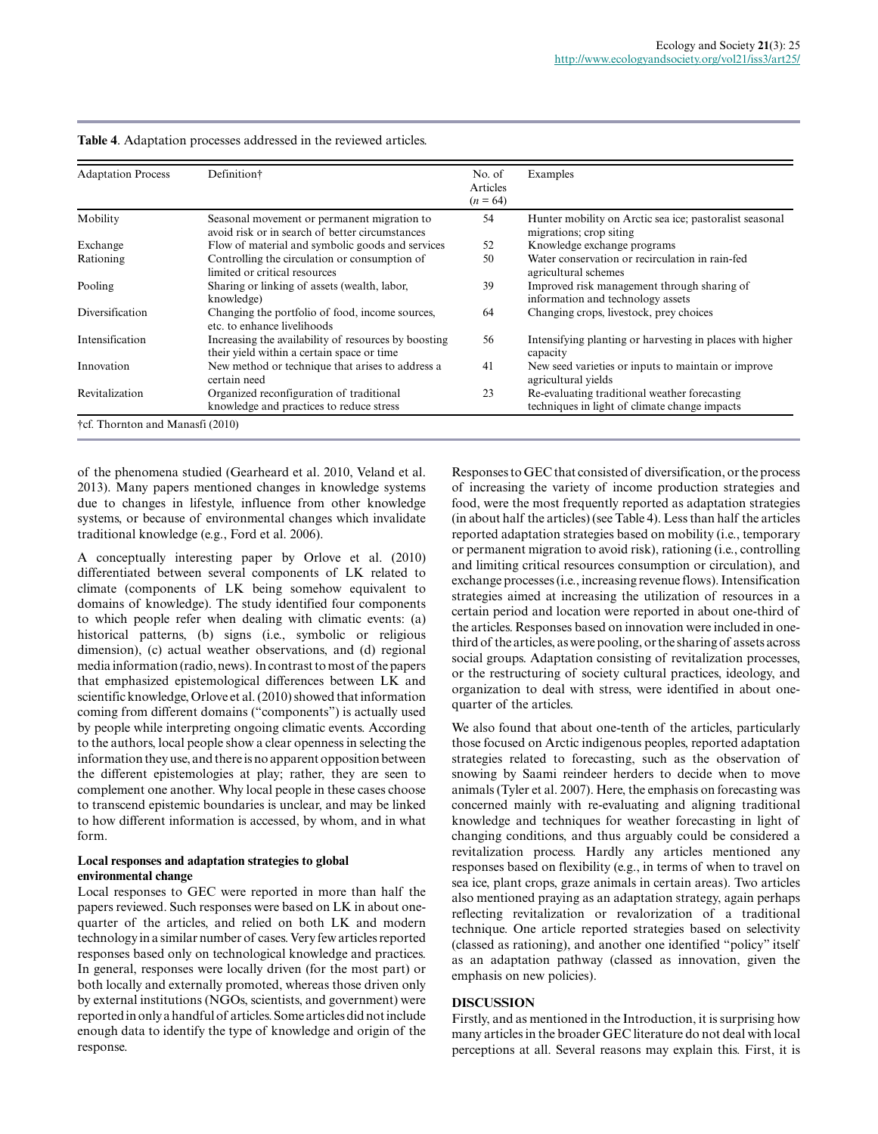| <b>Adaptation Process</b> | Definition <sup>†</sup>                                                                            | No. of<br>Articles<br>$(n = 64)$ | Examples                                                                                       |
|---------------------------|----------------------------------------------------------------------------------------------------|----------------------------------|------------------------------------------------------------------------------------------------|
| Mobility                  | Seasonal movement or permanent migration to<br>avoid risk or in search of better circumstances     | 54                               | Hunter mobility on Arctic sea ice; pastoralist seasonal<br>migrations; crop siting             |
| Exchange                  | Flow of material and symbolic goods and services                                                   | 52                               | Knowledge exchange programs                                                                    |
| Rationing                 | Controlling the circulation or consumption of<br>limited or critical resources                     | 50                               | Water conservation or recirculation in rain-fed<br>agricultural schemes                        |
| Pooling                   | Sharing or linking of assets (wealth, labor,<br>knowledge)                                         | 39                               | Improved risk management through sharing of<br>information and technology assets               |
| Diversification           | Changing the portfolio of food, income sources,<br>etc. to enhance livelihoods                     | 64                               | Changing crops, livestock, prey choices                                                        |
| Intensification           | Increasing the availability of resources by boosting<br>their yield within a certain space or time | 56                               | Intensifying planting or harvesting in places with higher<br>capacity                          |
| Innovation                | New method or technique that arises to address a<br>certain need                                   | 41                               | New seed varieties or inputs to maintain or improve<br>agricultural yields                     |
| Revitalization            | Organized reconfiguration of traditional<br>knowledge and practices to reduce stress               | 23                               | Re-evaluating traditional weather forecasting<br>techniques in light of climate change impacts |

**Table 4**. Adaptation processes addressed in the reviewed articles.

of the phenomena studied (Gearheard et al. 2010, Veland et al. 2013). Many papers mentioned changes in knowledge systems due to changes in lifestyle, influence from other knowledge systems, or because of environmental changes which invalidate traditional knowledge (e.g., Ford et al. 2006).

A conceptually interesting paper by Orlove et al. (2010) differentiated between several components of LK related to climate (components of LK being somehow equivalent to domains of knowledge). The study identified four components to which people refer when dealing with climatic events: (a) historical patterns, (b) signs (i.e., symbolic or religious dimension), (c) actual weather observations, and (d) regional media information (radio, news). In contrast to most of the papers that emphasized epistemological differences between LK and scientific knowledge, Orlove et al. (2010) showed that information coming from different domains ("components") is actually used by people while interpreting ongoing climatic events. According to the authors, local people show a clear openness in selecting the information they use, and there is no apparent opposition between the different epistemologies at play; rather, they are seen to complement one another. Why local people in these cases choose to transcend epistemic boundaries is unclear, and may be linked to how different information is accessed, by whom, and in what form.

#### **Local responses and adaptation strategies to global environmental change**

Local responses to GEC were reported in more than half the papers reviewed. Such responses were based on LK in about onequarter of the articles, and relied on both LK and modern technology in a similar number of cases. Very few articles reported responses based only on technological knowledge and practices. In general, responses were locally driven (for the most part) or both locally and externally promoted, whereas those driven only by external institutions (NGOs, scientists, and government) were reported in only a handful of articles. Some articles did not include enough data to identify the type of knowledge and origin of the response.

Responses to GEC that consisted of diversification, or the process of increasing the variety of income production strategies and food, were the most frequently reported as adaptation strategies (in about half the articles) (see Table 4). Less than half the articles reported adaptation strategies based on mobility (i.e., temporary or permanent migration to avoid risk), rationing (i.e., controlling and limiting critical resources consumption or circulation), and exchange processes (i.e., increasing revenue flows). Intensification strategies aimed at increasing the utilization of resources in a certain period and location were reported in about one-third of the articles. Responses based on innovation were included in onethird of the articles, as were pooling, or the sharing of assets across social groups. Adaptation consisting of revitalization processes, or the restructuring of society cultural practices, ideology, and organization to deal with stress, were identified in about onequarter of the articles.

We also found that about one-tenth of the articles, particularly those focused on Arctic indigenous peoples, reported adaptation strategies related to forecasting, such as the observation of snowing by Saami reindeer herders to decide when to move animals (Tyler et al. 2007). Here, the emphasis on forecasting was concerned mainly with re-evaluating and aligning traditional knowledge and techniques for weather forecasting in light of changing conditions, and thus arguably could be considered a revitalization process. Hardly any articles mentioned any responses based on flexibility (e.g., in terms of when to travel on sea ice, plant crops, graze animals in certain areas). Two articles also mentioned praying as an adaptation strategy, again perhaps reflecting revitalization or revalorization of a traditional technique. One article reported strategies based on selectivity (classed as rationing), and another one identified "policy" itself as an adaptation pathway (classed as innovation, given the emphasis on new policies).

#### **DISCUSSION**

Firstly, and as mentioned in the Introduction, it is surprising how many articles in the broader GEC literature do not deal with local perceptions at all. Several reasons may explain this. First, it is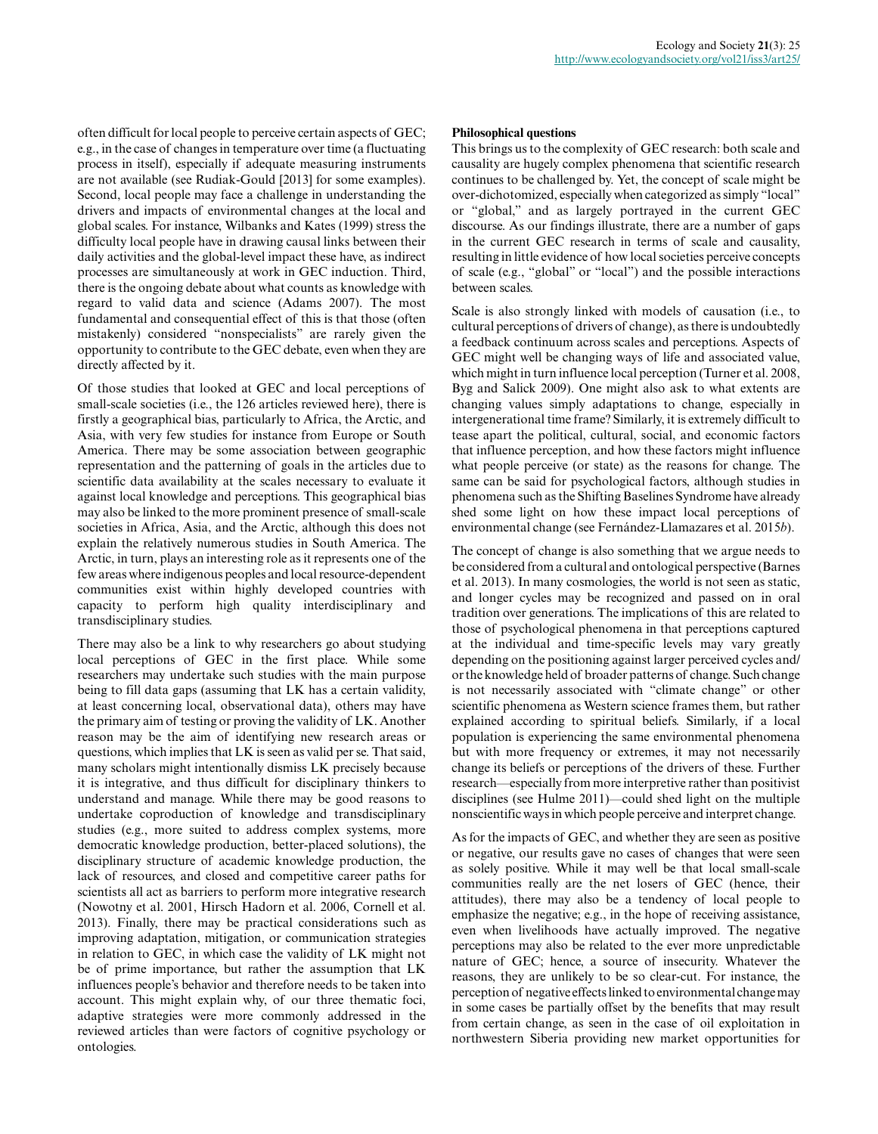often difficult for local people to perceive certain aspects of GEC; e.g., in the case of changes in temperature over time (a fluctuating process in itself), especially if adequate measuring instruments are not available (see Rudiak-Gould [2013] for some examples). Second, local people may face a challenge in understanding the drivers and impacts of environmental changes at the local and global scales. For instance, Wilbanks and Kates (1999) stress the difficulty local people have in drawing causal links between their daily activities and the global-level impact these have, as indirect processes are simultaneously at work in GEC induction. Third, there is the ongoing debate about what counts as knowledge with regard to valid data and science (Adams 2007). The most fundamental and consequential effect of this is that those (often mistakenly) considered "nonspecialists" are rarely given the opportunity to contribute to the GEC debate, even when they are directly affected by it.

Of those studies that looked at GEC and local perceptions of small-scale societies (i.e., the 126 articles reviewed here), there is firstly a geographical bias, particularly to Africa, the Arctic, and Asia, with very few studies for instance from Europe or South America. There may be some association between geographic representation and the patterning of goals in the articles due to scientific data availability at the scales necessary to evaluate it against local knowledge and perceptions. This geographical bias may also be linked to the more prominent presence of small-scale societies in Africa, Asia, and the Arctic, although this does not explain the relatively numerous studies in South America. The Arctic, in turn, plays an interesting role as it represents one of the few areas where indigenous peoples and local resource-dependent communities exist within highly developed countries with capacity to perform high quality interdisciplinary and transdisciplinary studies.

There may also be a link to why researchers go about studying local perceptions of GEC in the first place. While some researchers may undertake such studies with the main purpose being to fill data gaps (assuming that LK has a certain validity, at least concerning local, observational data), others may have the primary aim of testing or proving the validity of LK. Another reason may be the aim of identifying new research areas or questions, which implies that LK is seen as valid per se. That said, many scholars might intentionally dismiss LK precisely because it is integrative, and thus difficult for disciplinary thinkers to understand and manage. While there may be good reasons to undertake coproduction of knowledge and transdisciplinary studies (e.g., more suited to address complex systems, more democratic knowledge production, better-placed solutions), the disciplinary structure of academic knowledge production, the lack of resources, and closed and competitive career paths for scientists all act as barriers to perform more integrative research (Nowotny et al. 2001, Hirsch Hadorn et al. 2006, Cornell et al. 2013). Finally, there may be practical considerations such as improving adaptation, mitigation, or communication strategies in relation to GEC, in which case the validity of LK might not be of prime importance, but rather the assumption that LK influences people's behavior and therefore needs to be taken into account. This might explain why, of our three thematic foci, adaptive strategies were more commonly addressed in the reviewed articles than were factors of cognitive psychology or ontologies.

#### **Philosophical questions**

This brings us to the complexity of GEC research: both scale and causality are hugely complex phenomena that scientific research continues to be challenged by. Yet, the concept of scale might be over-dichotomized, especially when categorized as simply "local" or "global," and as largely portrayed in the current GEC discourse. As our findings illustrate, there are a number of gaps in the current GEC research in terms of scale and causality, resulting in little evidence of how local societies perceive concepts of scale (e.g., "global" or "local") and the possible interactions between scales.

Scale is also strongly linked with models of causation (i.e., to cultural perceptions of drivers of change), as there is undoubtedly a feedback continuum across scales and perceptions. Aspects of GEC might well be changing ways of life and associated value, which might in turn influence local perception (Turner et al. 2008, Byg and Salick 2009). One might also ask to what extents are changing values simply adaptations to change, especially in intergenerational time frame? Similarly, it is extremely difficult to tease apart the political, cultural, social, and economic factors that influence perception, and how these factors might influence what people perceive (or state) as the reasons for change. The same can be said for psychological factors, although studies in phenomena such as the Shifting Baselines Syndrome have already shed some light on how these impact local perceptions of environmental change (see Fernández-Llamazares et al. 2015*b*).

The concept of change is also something that we argue needs to be considered from a cultural and ontological perspective (Barnes et al. 2013). In many cosmologies, the world is not seen as static, and longer cycles may be recognized and passed on in oral tradition over generations. The implications of this are related to those of psychological phenomena in that perceptions captured at the individual and time-specific levels may vary greatly depending on the positioning against larger perceived cycles and/ or the knowledge held of broader patterns of change. Such change is not necessarily associated with "climate change" or other scientific phenomena as Western science frames them, but rather explained according to spiritual beliefs. Similarly, if a local population is experiencing the same environmental phenomena but with more frequency or extremes, it may not necessarily change its beliefs or perceptions of the drivers of these. Further research—especially from more interpretive rather than positivist disciplines (see Hulme 2011)—could shed light on the multiple nonscientific ways in which people perceive and interpret change.

As for the impacts of GEC, and whether they are seen as positive or negative, our results gave no cases of changes that were seen as solely positive. While it may well be that local small-scale communities really are the net losers of GEC (hence, their attitudes), there may also be a tendency of local people to emphasize the negative; e.g., in the hope of receiving assistance, even when livelihoods have actually improved. The negative perceptions may also be related to the ever more unpredictable nature of GEC; hence, a source of insecurity. Whatever the reasons, they are unlikely to be so clear-cut. For instance, the perception of negative effects linked to environmental change may in some cases be partially offset by the benefits that may result from certain change, as seen in the case of oil exploitation in northwestern Siberia providing new market opportunities for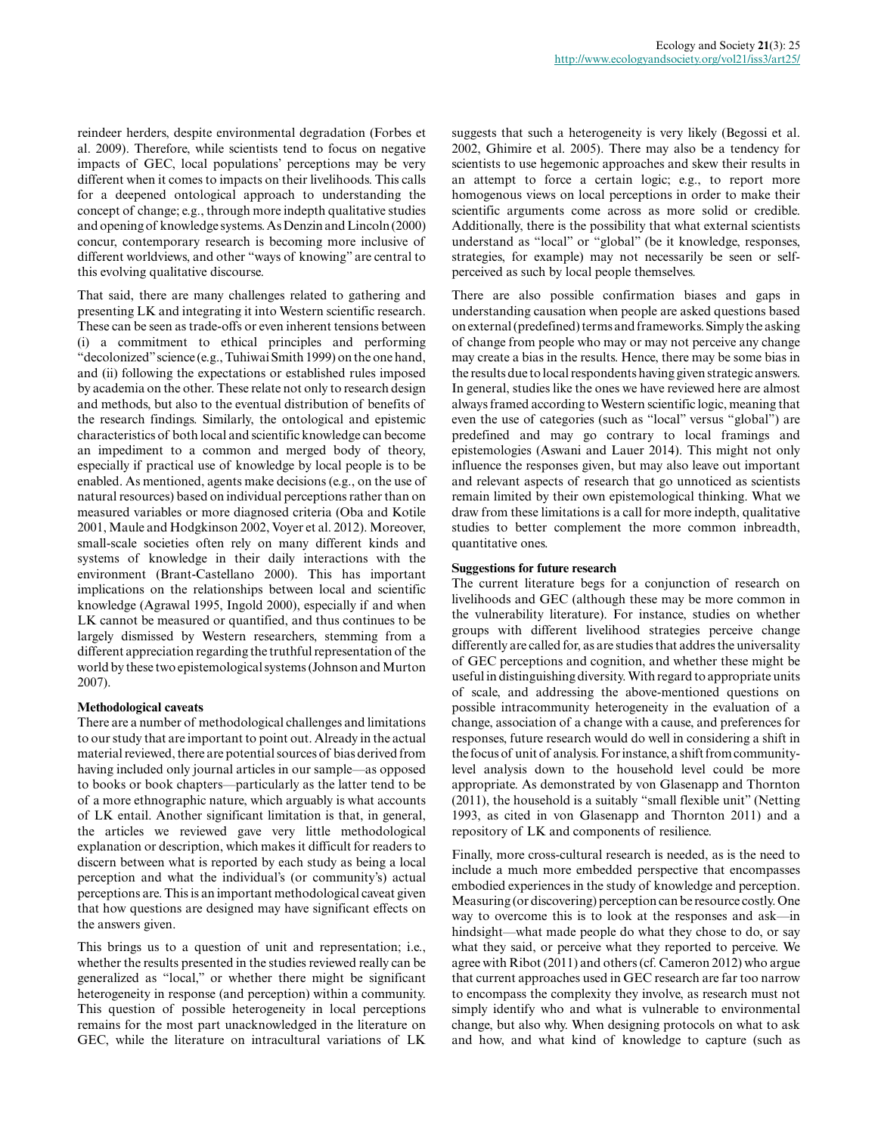reindeer herders, despite environmental degradation (Forbes et al. 2009). Therefore, while scientists tend to focus on negative impacts of GEC, local populations' perceptions may be very different when it comes to impacts on their livelihoods. This calls for a deepened ontological approach to understanding the concept of change; e.g., through more indepth qualitative studies and opening of knowledge systems. As Denzin and Lincoln (2000) concur, contemporary research is becoming more inclusive of different worldviews, and other "ways of knowing" are central to this evolving qualitative discourse.

That said, there are many challenges related to gathering and presenting LK and integrating it into Western scientific research. These can be seen as trade-offs or even inherent tensions between (i) a commitment to ethical principles and performing "decolonized" science (e.g., Tuhiwai Smith 1999) on the one hand, and (ii) following the expectations or established rules imposed by academia on the other. These relate not only to research design and methods, but also to the eventual distribution of benefits of the research findings. Similarly, the ontological and epistemic characteristics of both local and scientific knowledge can become an impediment to a common and merged body of theory, especially if practical use of knowledge by local people is to be enabled. As mentioned, agents make decisions (e.g., on the use of natural resources) based on individual perceptions rather than on measured variables or more diagnosed criteria (Oba and Kotile 2001, Maule and Hodgkinson 2002, Voyer et al. 2012). Moreover, small-scale societies often rely on many different kinds and systems of knowledge in their daily interactions with the environment (Brant-Castellano 2000). This has important implications on the relationships between local and scientific knowledge (Agrawal 1995, Ingold 2000), especially if and when LK cannot be measured or quantified, and thus continues to be largely dismissed by Western researchers, stemming from a different appreciation regarding the truthful representation of the world by these two epistemological systems (Johnson and Murton 2007).

#### **Methodological caveats**

There are a number of methodological challenges and limitations to our study that are important to point out. Already in the actual material reviewed, there are potential sources of bias derived from having included only journal articles in our sample—as opposed to books or book chapters—particularly as the latter tend to be of a more ethnographic nature, which arguably is what accounts of LK entail. Another significant limitation is that, in general, the articles we reviewed gave very little methodological explanation or description, which makes it difficult for readers to discern between what is reported by each study as being a local perception and what the individual's (or community's) actual perceptions are. This is an important methodological caveat given that how questions are designed may have significant effects on the answers given.

This brings us to a question of unit and representation; i.e., whether the results presented in the studies reviewed really can be generalized as "local," or whether there might be significant heterogeneity in response (and perception) within a community. This question of possible heterogeneity in local perceptions remains for the most part unacknowledged in the literature on GEC, while the literature on intracultural variations of LK

suggests that such a heterogeneity is very likely (Begossi et al. 2002, Ghimire et al. 2005). There may also be a tendency for scientists to use hegemonic approaches and skew their results in an attempt to force a certain logic; e.g., to report more homogenous views on local perceptions in order to make their scientific arguments come across as more solid or credible. Additionally, there is the possibility that what external scientists understand as "local" or "global" (be it knowledge, responses, strategies, for example) may not necessarily be seen or selfperceived as such by local people themselves.

There are also possible confirmation biases and gaps in understanding causation when people are asked questions based on external (predefined) terms and frameworks. Simply the asking of change from people who may or may not perceive any change may create a bias in the results. Hence, there may be some bias in the results due to local respondents having given strategic answers. In general, studies like the ones we have reviewed here are almost always framed according to Western scientific logic, meaning that even the use of categories (such as "local" versus "global") are predefined and may go contrary to local framings and epistemologies (Aswani and Lauer 2014). This might not only influence the responses given, but may also leave out important and relevant aspects of research that go unnoticed as scientists remain limited by their own epistemological thinking. What we draw from these limitations is a call for more indepth, qualitative studies to better complement the more common inbreadth, quantitative ones.

#### **Suggestions for future research**

The current literature begs for a conjunction of research on livelihoods and GEC (although these may be more common in the vulnerability literature). For instance, studies on whether groups with different livelihood strategies perceive change differently are called for, as are studies that addres the universality of GEC perceptions and cognition, and whether these might be useful in distinguishing diversity. With regard to appropriate units of scale, and addressing the above-mentioned questions on possible intracommunity heterogeneity in the evaluation of a change, association of a change with a cause, and preferences for responses, future research would do well in considering a shift in the focus of unit of analysis. For instance, a shift from communitylevel analysis down to the household level could be more appropriate. As demonstrated by von Glasenapp and Thornton (2011), the household is a suitably "small flexible unit" (Netting 1993, as cited in von Glasenapp and Thornton 2011) and a repository of LK and components of resilience.

Finally, more cross-cultural research is needed, as is the need to include a much more embedded perspective that encompasses embodied experiences in the study of knowledge and perception. Measuring (or discovering) perception can be resource costly. One way to overcome this is to look at the responses and ask—in hindsight—what made people do what they chose to do, or say what they said, or perceive what they reported to perceive. We agree with Ribot (2011) and others (cf. Cameron 2012) who argue that current approaches used in GEC research are far too narrow to encompass the complexity they involve, as research must not simply identify who and what is vulnerable to environmental change, but also why. When designing protocols on what to ask and how, and what kind of knowledge to capture (such as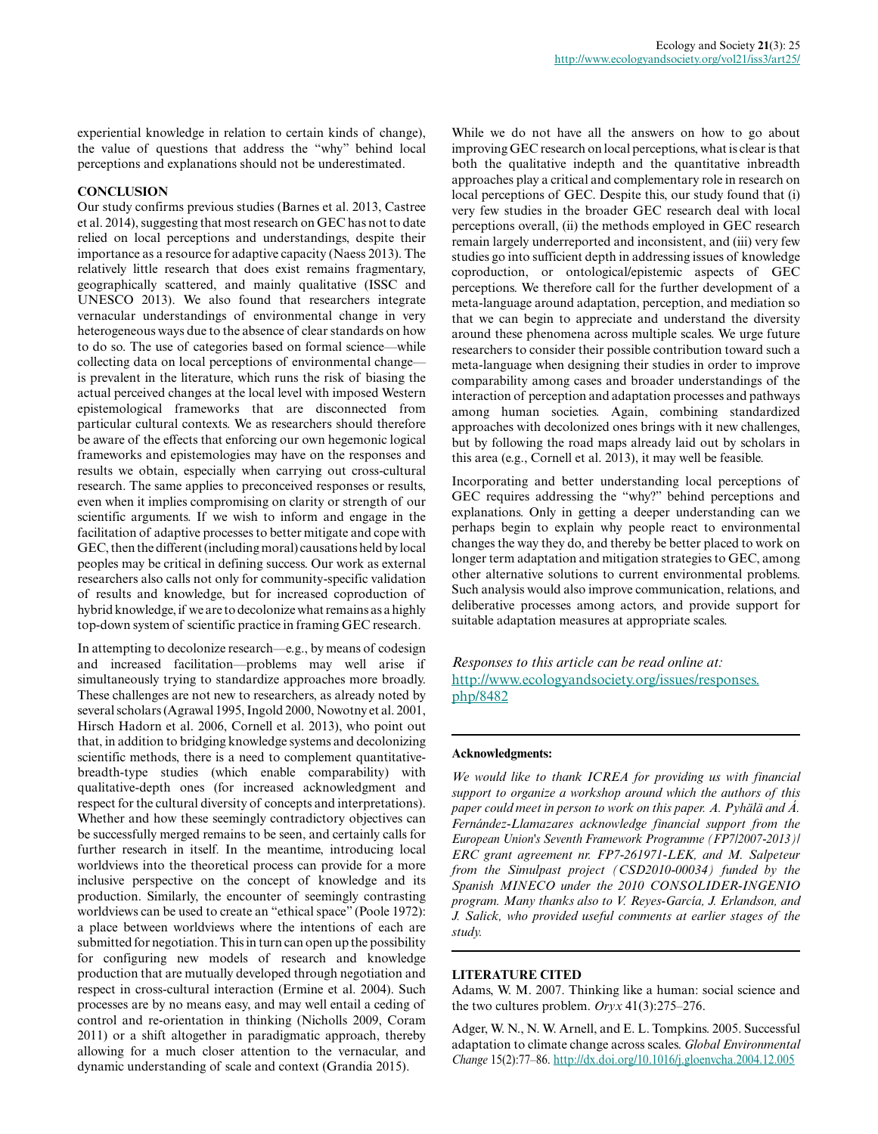experiential knowledge in relation to certain kinds of change), the value of questions that address the "why" behind local perceptions and explanations should not be underestimated.

#### **CONCLUSION**

Our study confirms previous studies (Barnes et al. 2013, Castree et al. 2014), suggesting that most research on GEC has not to date relied on local perceptions and understandings, despite their importance as a resource for adaptive capacity (Naess 2013). The relatively little research that does exist remains fragmentary, geographically scattered, and mainly qualitative (ISSC and UNESCO 2013). We also found that researchers integrate vernacular understandings of environmental change in very heterogeneous ways due to the absence of clear standards on how to do so. The use of categories based on formal science—while collecting data on local perceptions of environmental change is prevalent in the literature, which runs the risk of biasing the actual perceived changes at the local level with imposed Western epistemological frameworks that are disconnected from particular cultural contexts. We as researchers should therefore be aware of the effects that enforcing our own hegemonic logical frameworks and epistemologies may have on the responses and results we obtain, especially when carrying out cross-cultural research. The same applies to preconceived responses or results, even when it implies compromising on clarity or strength of our scientific arguments. If we wish to inform and engage in the facilitation of adaptive processes to better mitigate and cope with GEC, then the different (including moral) causations held by local peoples may be critical in defining success. Our work as external researchers also calls not only for community-specific validation of results and knowledge, but for increased coproduction of hybrid knowledge, if we are to decolonize what remains as a highly top-down system of scientific practice in framing GEC research.

In attempting to decolonize research—e.g., by means of codesign and increased facilitation—problems may well arise if simultaneously trying to standardize approaches more broadly. These challenges are not new to researchers, as already noted by several scholars (Agrawal 1995, Ingold 2000, Nowotny et al. 2001, Hirsch Hadorn et al. 2006, Cornell et al. 2013), who point out that, in addition to bridging knowledge systems and decolonizing scientific methods, there is a need to complement quantitativebreadth-type studies (which enable comparability) with qualitative-depth ones (for increased acknowledgment and respect for the cultural diversity of concepts and interpretations). Whether and how these seemingly contradictory objectives can be successfully merged remains to be seen, and certainly calls for further research in itself. In the meantime, introducing local worldviews into the theoretical process can provide for a more inclusive perspective on the concept of knowledge and its production. Similarly, the encounter of seemingly contrasting worldviews can be used to create an "ethical space" (Poole 1972): a place between worldviews where the intentions of each are submitted for negotiation. This in turn can open up the possibility for configuring new models of research and knowledge production that are mutually developed through negotiation and respect in cross-cultural interaction (Ermine et al. 2004). Such processes are by no means easy, and may well entail a ceding of control and re-orientation in thinking (Nicholls 2009, Coram 2011) or a shift altogether in paradigmatic approach, thereby allowing for a much closer attention to the vernacular, and dynamic understanding of scale and context (Grandia 2015).

While we do not have all the answers on how to go about improving GEC research on local perceptions, what is clear is that both the qualitative indepth and the quantitative inbreadth approaches play a critical and complementary role in research on local perceptions of GEC. Despite this, our study found that (i) very few studies in the broader GEC research deal with local perceptions overall, (ii) the methods employed in GEC research remain largely underreported and inconsistent, and (iii) very few studies go into sufficient depth in addressing issues of knowledge coproduction, or ontological/epistemic aspects of GEC perceptions. We therefore call for the further development of a meta-language around adaptation, perception, and mediation so that we can begin to appreciate and understand the diversity around these phenomena across multiple scales. We urge future researchers to consider their possible contribution toward such a meta-language when designing their studies in order to improve comparability among cases and broader understandings of the interaction of perception and adaptation processes and pathways among human societies. Again, combining standardized approaches with decolonized ones brings with it new challenges, but by following the road maps already laid out by scholars in this area (e.g., Cornell et al. 2013), it may well be feasible.

Incorporating and better understanding local perceptions of GEC requires addressing the "why?" behind perceptions and explanations. Only in getting a deeper understanding can we perhaps begin to explain why people react to environmental changes the way they do, and thereby be better placed to work on longer term adaptation and mitigation strategies to GEC, among other alternative solutions to current environmental problems. Such analysis would also improve communication, relations, and deliberative processes among actors, and provide support for suitable adaptation measures at appropriate scales.

*Responses to this article can be read online at:* [http://www.ecologyandsociety.org/issues/responses.](http://www.ecologyandsociety.org/issues/responses.php/8482) [php/8482](http://www.ecologyandsociety.org/issues/responses.php/8482)

#### **Acknowledgments:**

*We would like to thank ICREA for providing us with financial support to organize a workshop around which the authors of this paper could meet in person to work on this paper. A. Pyhälä and Á. Fernández-Llamazares acknowledge financial support from the European Union's Seventh Framework Programme (FP7/2007-2013)/ ERC grant agreement nr. FP7-261971-LEK, and M. Salpeteur from the Simulpast project (CSD2010-00034) funded by the Spanish MINECO under the 2010 CONSOLIDER-INGENIO program. Many thanks also to V. Reyes-García, J. Erlandson, and J. Salick, who provided useful comments at earlier stages of the study.*

#### **LITERATURE CITED**

Adams, W. M. 2007. Thinking like a human: social science and the two cultures problem. *Oryx* 41(3):275–276.

Adger, W. N., N. W. Arnell, and E. L. Tompkins. 2005. Successful adaptation to climate change across scales. *Global Environmental Change* 15(2):77–86. [http://dx.doi.org/10.1016/j.gloenvcha.2004.12.005](http://dx.doi.org/10.1016%2Fj.gloenvcha.2004.12.005)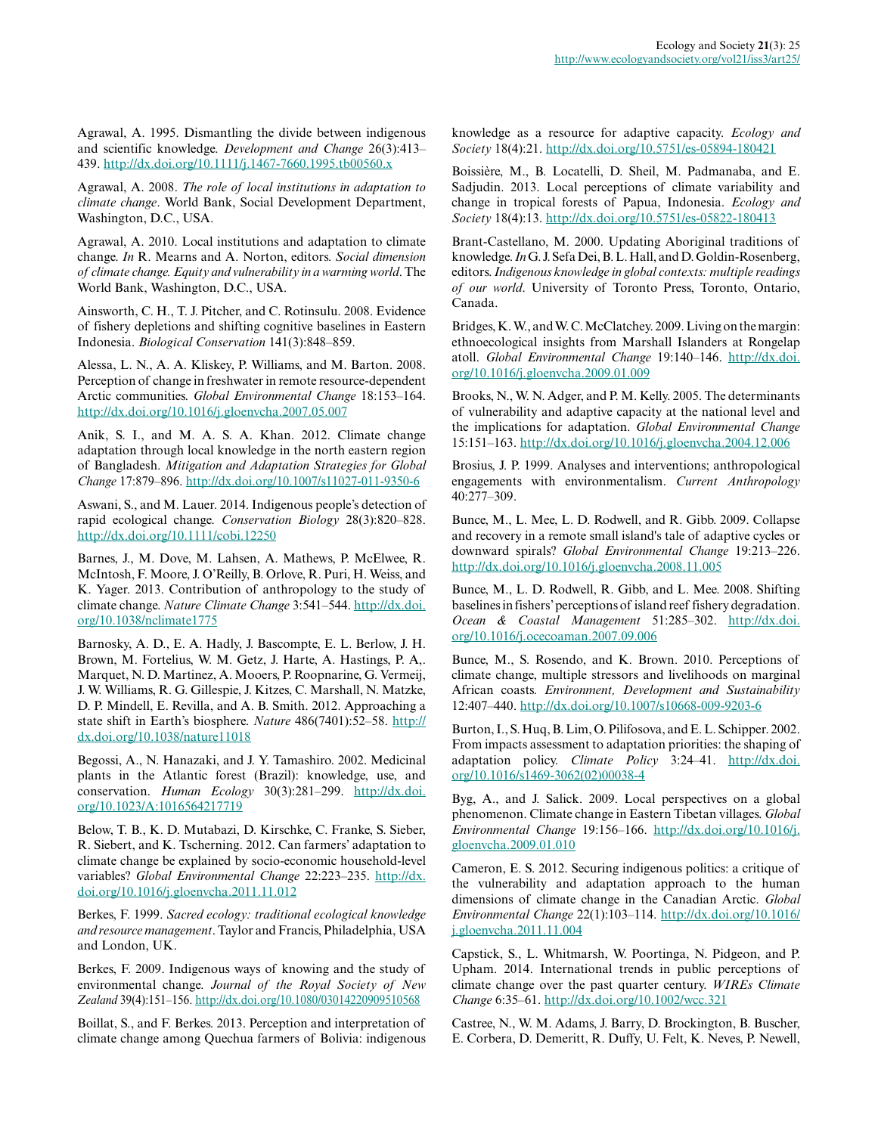Agrawal, A. 1995. Dismantling the divide between indigenous and scientific knowledge. *Development and Change* 26(3):413– 439. [http://dx.doi.org/10.1111/j.1467-7660.1995.tb00560.x](http://dx.doi.org/10.1111%2Fj.1467-7660.1995.tb00560.x) 

Agrawal, A. 2008. *The role of local institutions in adaptation to climate change*. World Bank, Social Development Department, Washington, D.C., USA.

Agrawal, A. 2010. Local institutions and adaptation to climate change. *In* R. Mearns and A. Norton, editors. *Social dimension of climate change. Equity and vulnerability in a warming world*. The World Bank, Washington, D.C., USA.

Ainsworth, C. H., T. J. Pitcher, and C. Rotinsulu. 2008. Evidence of fishery depletions and shifting cognitive baselines in Eastern Indonesia. *Biological Conservation* 141(3):848–859.

Alessa, L. N., A. A. Kliskey, P. Williams, and M. Barton. 2008. Perception of change in freshwater in remote resource-dependent Arctic communities. *Global Environmental Change* 18:153–164. [http://dx.doi.org/10.1016/j.gloenvcha.2007.05.007](http://dx.doi.org/10.1016%2Fj.gloenvcha.2007.05.007)

Anik, S. I., and M. A. S. A. Khan. 2012. Climate change adaptation through local knowledge in the north eastern region of Bangladesh. *Mitigation and Adaptation Strategies for Global Change* 17:879–896. [http://dx.doi.org/10.1007/s11027-011-9350-6](http://dx.doi.org/10.1007%2Fs11027-011-9350-6) 

Aswani, S., and M. Lauer. 2014. Indigenous people's detection of rapid ecological change. *Conservation Biology* 28(3):820–828. [http://dx.doi.org/10.1111/cobi.12250](http://dx.doi.org/10.1111%2Fcobi.12250) 

Barnes, J., M. Dove, M. Lahsen, A. Mathews, P. McElwee, R. McIntosh, F. Moore, J. O'Reilly, B. Orlove, R. Puri, H. Weiss, and K. Yager. 2013. Contribution of anthropology to the study of climate change. *Nature Climate Change* 3:541–544. [http://dx.doi.](http://dx.doi.org/10.1038%2Fnclimate1775) [org/10.1038/nclimate1775](http://dx.doi.org/10.1038%2Fnclimate1775) 

Barnosky, A. D., E. A. Hadly, J. Bascompte, E. L. Berlow, J. H. Brown, M. Fortelius, W. M. Getz, J. Harte, A. Hastings, P. A,. Marquet, N. D. Martinez, A. Mooers, P. Roopnarine, G. Vermeij, J. W. Williams, R. G. Gillespie, J. Kitzes, C. Marshall, N. Matzke, D. P. Mindell, E. Revilla, and A. B. Smith. 2012. Approaching a state shift in Earth's biosphere. *Nature* 486(7401):52–58. [http://](http://dx.doi.org/10.1038%2Fnature11018) [dx.doi.org/10.1038/nature11018](http://dx.doi.org/10.1038%2Fnature11018) 

Begossi, A., N. Hanazaki, and J. Y. Tamashiro. 2002. Medicinal plants in the Atlantic forest (Brazil): knowledge, use, and conservation. *Human Ecology* 30(3):281–299. [http://dx.doi.](http://dx.doi.org/10.1023%2FA%3A1016564217719) [org/10.1023/A:1016564217719](http://dx.doi.org/10.1023%2FA%3A1016564217719)

Below, T. B., K. D. Mutabazi, D. Kirschke, C. Franke, S. Sieber, R. Siebert, and K. Tscherning. 2012. Can farmers' adaptation to climate change be explained by socio-economic household-level variables? *Global Environmental Change* 22:223–235. [http://dx.](http://dx.doi.org/10.1016%2Fj.gloenvcha.2011.11.012) [doi.org/10.1016/j.gloenvcha.2011.11.012](http://dx.doi.org/10.1016%2Fj.gloenvcha.2011.11.012) 

Berkes, F. 1999. *Sacred ecology: traditional ecological knowledge and resource management*. Taylor and Francis, Philadelphia, USA and London, UK.

Berkes, F. 2009. Indigenous ways of knowing and the study of environmental change. *Journal of the Royal Society of New Zealand* 39(4):151–156. [http://dx.doi.org/10.1080/03014220909510568](http://dx.doi.org/10.1080%2F03014220909510568) 

Boillat, S., and F. Berkes. 2013. Perception and interpretation of climate change among Quechua farmers of Bolivia: indigenous knowledge as a resource for adaptive capacity. *Ecology and Society* 18(4):21. [http://dx.doi.org/10.5751/es-05894-180421](http://dx.doi.org/10.5751%2Fes-05894-180421) 

Boissière, M., B. Locatelli, D. Sheil, M. Padmanaba, and E. Sadjudin. 2013. Local perceptions of climate variability and change in tropical forests of Papua, Indonesia. *Ecology and Society* 18(4):13. [http://dx.doi.org/10.5751/es-05822-180413](http://dx.doi.org/10.5751%2Fes-05822-180413) 

Brant-Castellano, M. 2000. Updating Aboriginal traditions of knowledge. *In* G. J. Sefa Dei, B. L. Hall, and D. Goldin-Rosenberg, editors. *Indigenous knowledge in global contexts: multiple readings of our world*. University of Toronto Press, Toronto, Ontario, Canada.

Bridges, K. W., and W. C. McClatchey. 2009. Living on the margin: ethnoecological insights from Marshall Islanders at Rongelap atoll. *Global Environmental Change* 19:140–146. [http://dx.doi.](http://dx.doi.org/10.1016%2Fj.gloenvcha.2009.01.009) [org/10.1016/j.gloenvcha.2009.01.009](http://dx.doi.org/10.1016%2Fj.gloenvcha.2009.01.009)

Brooks, N., W. N. Adger, and P. M. Kelly. 2005. The determinants of vulnerability and adaptive capacity at the national level and the implications for adaptation. *Global Environmental Change* 15:151–163. [http://dx.doi.org/10.1016/j.gloenvcha.2004.12.006](http://dx.doi.org/10.1016%2Fj.gloenvcha.2004.12.006) 

Brosius, J. P. 1999. Analyses and interventions; anthropological engagements with environmentalism. *Current Anthropology* 40:277–309.

Bunce, M., L. Mee, L. D. Rodwell, and R. Gibb. 2009. Collapse and recovery in a remote small island's tale of adaptive cycles or downward spirals? *Global Environmental Change* 19:213–226. [http://dx.doi.org/10.1016/j.gloenvcha.2008.11.005](http://dx.doi.org/10.1016%2Fj.gloenvcha.2008.11.005)

Bunce, M., L. D. Rodwell, R. Gibb, and L. Mee. 2008. Shifting baselines in fishers' perceptions of island reef fishery degradation. *Ocean & Coastal Management* 51:285–302. [http://dx.doi.](http://dx.doi.org/10.1016%2Fj.ocecoaman.2007.09.006) [org/10.1016/j.ocecoaman.2007.09.006](http://dx.doi.org/10.1016%2Fj.ocecoaman.2007.09.006)

Bunce, M., S. Rosendo, and K. Brown. 2010. Perceptions of climate change, multiple stressors and livelihoods on marginal African coasts. *Environment, Development and Sustainability* 12:407–440. [http://dx.doi.org/10.1007/s10668-009-9203-6](http://dx.doi.org/10.1007%2Fs10668-009-9203-6) 

Burton, I., S. Huq, B. Lim, O. Pilifosova, and E. L. Schipper. 2002. From impacts assessment to adaptation priorities: the shaping of adaptation policy. *Climate Policy* 3:24–41. [http://dx.doi.](http://dx.doi.org/10.1016%2Fs1469-3062%2802%2900038-4) [org/10.1016/s1469-3062\(02\)00038-4](http://dx.doi.org/10.1016%2Fs1469-3062%2802%2900038-4) 

Byg, A., and J. Salick. 2009. Local perspectives on a global phenomenon. Climate change in Eastern Tibetan villages. *Global Environmental Change* 19:156–166. [http://dx.doi.org/10.1016/j.](http://dx.doi.org/10.1016%2Fj.gloenvcha.2009.01.010) [gloenvcha.2009.01.010](http://dx.doi.org/10.1016%2Fj.gloenvcha.2009.01.010)

Cameron, E. S. 2012. Securing indigenous politics: a critique of the vulnerability and adaptation approach to the human dimensions of climate change in the Canadian Arctic. *Global Environmental Change* 22(1):103–114. [http://dx.doi.org/10.1016/](http://dx.doi.org/10.1016%2Fj.gloenvcha.2011.11.004) [j.gloenvcha.2011.11.004](http://dx.doi.org/10.1016%2Fj.gloenvcha.2011.11.004) 

Capstick, S., L. Whitmarsh, W. Poortinga, N. Pidgeon, and P. Upham. 2014. International trends in public perceptions of climate change over the past quarter century. *WIREs Climate Change* 6:35–61. [http://dx.doi.org/10.1002/wcc.321](http://dx.doi.org/10.1002%2Fwcc.321) 

Castree, N., W. M. Adams, J. Barry, D. Brockington, B. Buscher, E. Corbera, D. Demeritt, R. Duffy, U. Felt, K. Neves, P. Newell,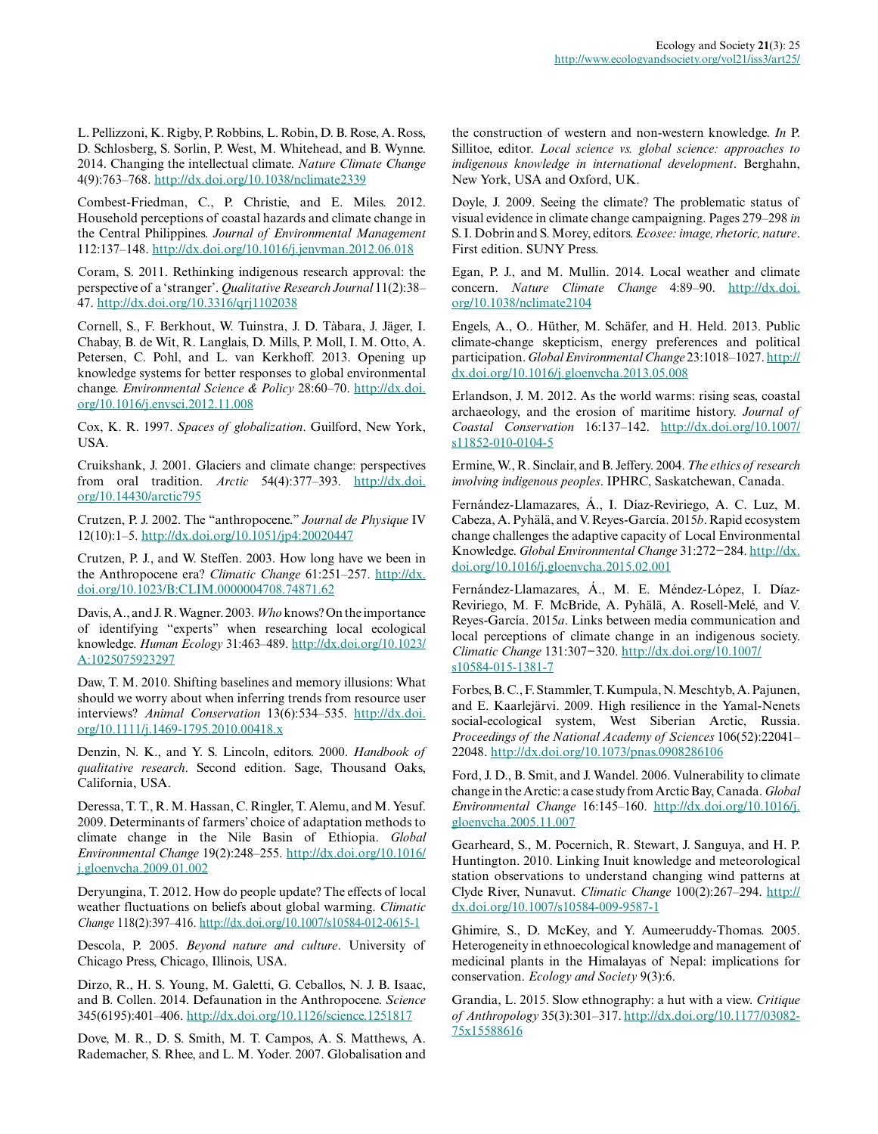L. Pellizzoni, K. Rigby, P. Robbins, L. Robin, D. B. Rose, A. Ross, D. Schlosberg, S. Sorlin, P. West, M. Whitehead, and B. Wynne. 2014. Changing the intellectual climate. *Nature Climate Change* 4(9):763–768. [http://dx.doi.org/10.1038/nclimate2339](http://dx.doi.org/10.1038%2Fnclimate2339)

Combest-Friedman, C., P. Christie, and E. Miles. 2012. Household perceptions of coastal hazards and climate change in the Central Philippines. *Journal of Environmental Management* 112:137–148. [http://dx.doi.org/10.1016/j.jenvman.2012.06.018](http://dx.doi.org/10.1016%2Fj.jenvman.2012.06.018) 

Coram, S. 2011. Rethinking indigenous research approval: the perspective of a 'stranger'. *Qualitative Research Journal* 11(2):38– 47. [http://dx.doi.org/10.3316/qrj1102038](http://dx.doi.org/10.3316%2Fqrj1102038)

Cornell, S., F. Berkhout, W. Tuinstra, J. D. Tàbara, J. Jäger, I. Chabay, B. de Wit, R. Langlais, D. Mills, P. Moll, I. M. Otto, A. Petersen, C. Pohl, and L. van Kerkhoff. 2013. Opening up knowledge systems for better responses to global environmental change. *Environmental Science & Policy* 28:60–70. [http://dx.doi.](http://dx.doi.org/10.1016%2Fj.envsci.2012.11.008) [org/10.1016/j.envsci.2012.11.008](http://dx.doi.org/10.1016%2Fj.envsci.2012.11.008) 

Cox, K. R. 1997. *Spaces of globalization*. Guilford, New York, USA.

Cruikshank, J. 2001. Glaciers and climate change: perspectives from oral tradition. *Arctic* 54(4):377–393. [http://dx.doi.](http://dx.doi.org/10.14430%2Farctic795) [org/10.14430/arctic795](http://dx.doi.org/10.14430%2Farctic795)

Crutzen, P. J. 2002. The "anthropocene." *Journal de Physique* IV 12(10):1–5. [http://dx.doi.org/10.1051/jp4:20020447](http://dx.doi.org/10.1051%2Fjp4%3A20020447)

Crutzen, P. J., and W. Steffen. 2003. How long have we been in the Anthropocene era? *Climatic Change* 61:251–257. [http://dx.](http://dx.doi.org/10.1023%2FB%3ACLIM.0000004708.74871.62) [doi.org/10.1023/B:CLIM.0000004708.74871.62](http://dx.doi.org/10.1023%2FB%3ACLIM.0000004708.74871.62)

Davis, A., and J. R. Wagner. 2003. *Who* knows? On the importance of identifying "experts" when researching local ecological knowledge. *Human Ecology* 31:463–489. [http://dx.doi.org/10.1023/](http://dx.doi.org/10.1023%2FA%3A1025075923297) [A:1025075923297](http://dx.doi.org/10.1023%2FA%3A1025075923297) 

Daw, T. M. 2010. Shifting baselines and memory illusions: What should we worry about when inferring trends from resource user interviews? *Animal Conservation* 13(6):534–535. [http://dx.doi.](http://dx.doi.org/10.1111%2Fj.1469-1795.2010.00418.x) [org/10.1111/j.1469-1795.2010.00418.x](http://dx.doi.org/10.1111%2Fj.1469-1795.2010.00418.x)

Denzin, N. K., and Y. S. Lincoln, editors. 2000. *Handbook of qualitative research*. Second edition. Sage, Thousand Oaks, California, USA.

Deressa, T. T., R. M. Hassan, C. Ringler, T. Alemu, and M. Yesuf. 2009. Determinants of farmers' choice of adaptation methods to climate change in the Nile Basin of Ethiopia. *Global Environmental Change* 19(2):248–255. [http://dx.doi.org/10.1016/](http://dx.doi.org/10.1016%2Fj.gloenvcha.2009.01.002) [j.gloenvcha.2009.01.002](http://dx.doi.org/10.1016%2Fj.gloenvcha.2009.01.002) 

Deryungina, T. 2012. How do people update? The effects of local weather fluctuations on beliefs about global warming. *Climatic Change* 118(2):397–416. [http://dx.doi.org/10.1007/s10584-012-0615-1](http://dx.doi.org/10.1007%2Fs10584-012-0615-1) 

Descola, P. 2005. *Beyond nature and culture*. University of Chicago Press, Chicago, Illinois, USA.

Dirzo, R., H. S. Young, M. Galetti, G. Ceballos, N. J. B. Isaac, and B. Collen. 2014. Defaunation in the Anthropocene. *Science* 345(6195):401–406. [http://dx.doi.org/10.1126/science.1251817](http://dx.doi.org/10.1126%2Fscience.1251817) 

Dove, M. R., D. S. Smith, M. T. Campos, A. S. Matthews, A. Rademacher, S. Rhee, and L. M. Yoder. 2007. Globalisation and the construction of western and non-western knowledge. *In* P. Sillitoe, editor. *Local science vs. global science: approaches to indigenous knowledge in international development*. Berghahn, New York, USA and Oxford, UK.

Doyle, J. 2009. Seeing the climate? The problematic status of visual evidence in climate change campaigning. Pages 279–298 *in* S. I. Dobrin and S. Morey, editors. *Ecosee: image, rhetoric, nature*. First edition. SUNY Press.

Egan, P. J., and M. Mullin. 2014. Local weather and climate concern. *Nature Climate Change* 4:89–90. [http://dx.doi.](http://dx.doi.org/10.1038%2Fnclimate2104) [org/10.1038/nclimate2104](http://dx.doi.org/10.1038%2Fnclimate2104) 

Engels, A., O.. Hüther, M. Schäfer, and H. Held. 2013. Public climate-change skepticism, energy preferences and political participation. *Global Environmental Change* 23:1018–1027. [http://](http://dx.doi.org/10.1016%2Fj.gloenvcha.2013.05.008) [dx.doi.org/10.1016/j.gloenvcha.2013.05.008](http://dx.doi.org/10.1016%2Fj.gloenvcha.2013.05.008) 

Erlandson, J. M. 2012. As the world warms: rising seas, coastal archaeology, and the erosion of maritime history. *Journal of Coastal Conservation* 16:137–142. [http://dx.doi.org/10.1007/](http://dx.doi.org/10.1007%2Fs11852-010-0104-5) [s11852-010-0104-5](http://dx.doi.org/10.1007%2Fs11852-010-0104-5) 

Ermine, W., R. Sinclair, and B. Jeffery. 2004. *The ethics of research involving indigenous peoples*. IPHRC, Saskatchewan, Canada.

Fernández-Llamazares, Á., I. Díaz-Reviriego, A. C. Luz, M. Cabeza, A. Pyhälä, and V. Reyes-García. 2015*b*. Rapid ecosystem change challenges the adaptive capacity of Local Environmental Knowledge. *Global Environmental Change* 31:272−284. [http://dx.](http://dx.doi.org/10.1016%2Fj.gloenvcha.2015.02.001) [doi.org/10.1016/j.gloenvcha.2015.02.001](http://dx.doi.org/10.1016%2Fj.gloenvcha.2015.02.001) 

Fernández-Llamazares, Á., M. E. Méndez-López, I. Díaz-Reviriego, M. F. McBride, A. Pyhälä, A. Rosell-Melé, and V. Reyes-García. 2015*a*. Links between media communication and local perceptions of climate change in an indigenous society. *Climatic Change* 131:307−320. [http://dx.doi.org/10.1007/](http://dx.doi.org/10.1007%2Fs10584-015-1381-7) [s10584-015-1381-7](http://dx.doi.org/10.1007%2Fs10584-015-1381-7) 

Forbes, B. C., F. Stammler, T. Kumpula, N. Meschtyb, A. Pajunen, and E. Kaarlejärvi. 2009. High resilience in the Yamal-Nenets social-ecological system, West Siberian Arctic, Russia. *Proceedings of the National Academy of Sciences* 106(52):22041– 22048. [http://dx.doi.org/10.1073/pnas.0908286106](http://dx.doi.org/10.1073%2Fpnas.0908286106)

Ford, J. D., B. Smit, and J. Wandel. 2006. Vulnerability to climate change in the Arctic: a case study from Arctic Bay, Canada. *Global Environmental Change* 16:145–160. [http://dx.doi.org/10.1016/j.](http://dx.doi.org/10.1016%2Fj.gloenvcha.2005.11.007) [gloenvcha.2005.11.007](http://dx.doi.org/10.1016%2Fj.gloenvcha.2005.11.007)

Gearheard, S., M. Pocernich, R. Stewart, J. Sanguya, and H. P. Huntington. 2010. Linking Inuit knowledge and meteorological station observations to understand changing wind patterns at Clyde River, Nunavut. *Climatic Change* 100(2):267–294. [http://](http://dx.doi.org/10.1007%2Fs10584-009-9587-1) [dx.doi.org/10.1007/s10584-009-9587-1](http://dx.doi.org/10.1007%2Fs10584-009-9587-1) 

Ghimire, S., D. McKey, and Y. Aumeeruddy-Thomas. 2005. Heterogeneity in ethnoecological knowledge and management of medicinal plants in the Himalayas of Nepal: implications for conservation. *Ecology and Society* 9(3):6.

Grandia, L. 2015. Slow ethnography: a hut with a view. *Critique of Anthropology* 35(3):301–317. [http://dx.doi.org/10.1177/03082](http://dx.doi.org/10.1177%2F0308275x15588616) [75x15588616](http://dx.doi.org/10.1177%2F0308275x15588616)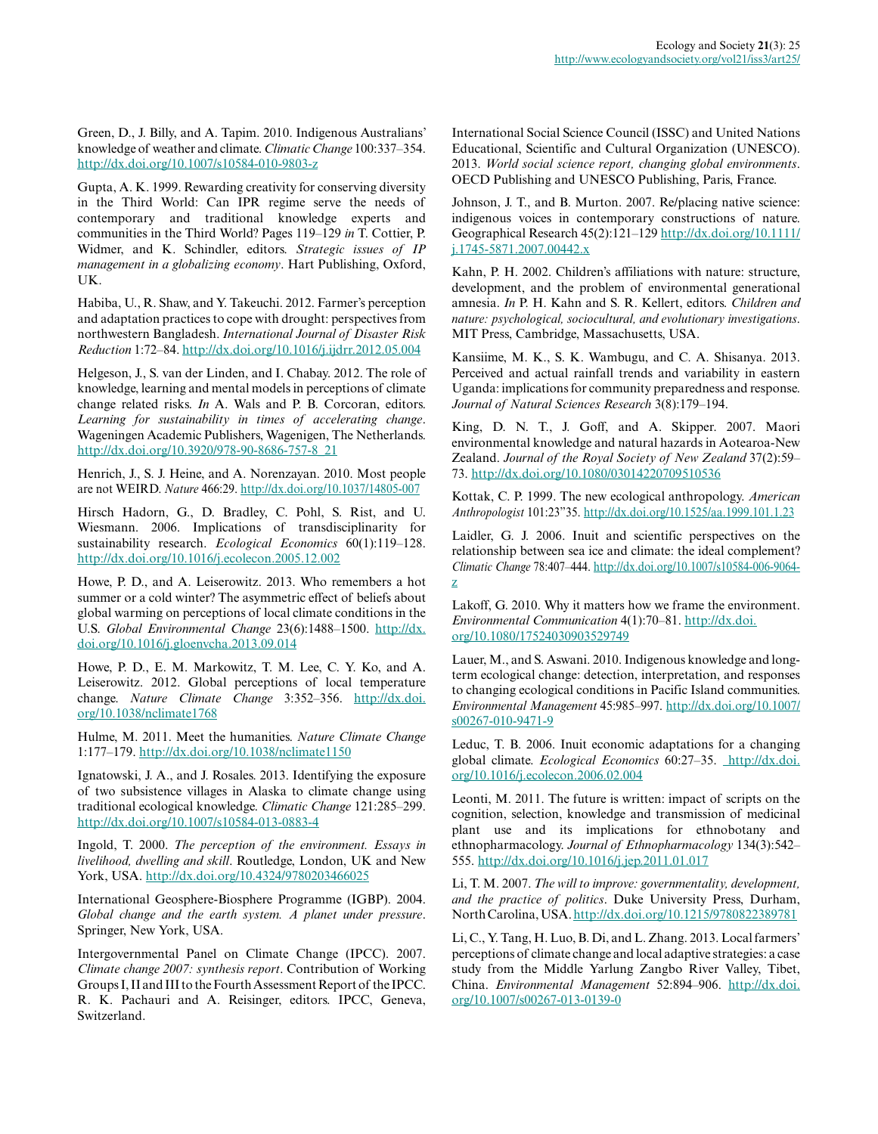Green, D., J. Billy, and A. Tapim. 2010. Indigenous Australians' knowledge of weather and climate. *Climatic Change* 100:337–354. [http://dx.doi.org/10.1007/s10584-010-9803-z](http://dx.doi.org/10.1007%2Fs10584-010-9803-z) 

Gupta, A. K. 1999. Rewarding creativity for conserving diversity in the Third World: Can IPR regime serve the needs of contemporary and traditional knowledge experts and communities in the Third World? Pages 119–129 *in* T. Cottier, P. Widmer, and K. Schindler, editors. *Strategic issues of IP management in a globalizing economy*. Hart Publishing, Oxford, UK.

Habiba, U., R. Shaw, and Y. Takeuchi. 2012. Farmer's perception and adaptation practices to cope with drought: perspectives from northwestern Bangladesh. *International Journal of Disaster Risk Reduction* 1:72–84. [http://dx.doi.org/10.1016/j.ijdrr.2012.05.004](http://dx.doi.org/10.1016%2Fj.ijdrr.2012.05.004)

Helgeson, J., S. van der Linden, and I. Chabay. 2012. The role of knowledge, learning and mental models in perceptions of climate change related risks. *In* A. Wals and P. B. Corcoran, editors. *Learning for sustainability in times of accelerating change*. Wageningen Academic Publishers, Wagenigen, The Netherlands. [http://dx.doi.org/10.3920/978-90-8686-757-8\\_21](http://dx.doi.org/10.3920%2F978-90-8686-757-8_21)

Henrich, J., S. J. Heine, and A. Norenzayan. 2010. Most people are not WEIRD. *Nature* 466:29. [http://dx.doi.org/10.1037/14805-007](http://dx.doi.org/10.1037%2F14805-007) 

Hirsch Hadorn, G., D. Bradley, C. Pohl, S. Rist, and U. Wiesmann. 2006. Implications of transdisciplinarity for sustainability research. *Ecological Economics* 60(1):119–128. [http://dx.doi.org/10.1016/j.ecolecon.2005.12.002](http://dx.doi.org/10.1016%2Fj.ecolecon.2005.12.002)

Howe, P. D., and A. Leiserowitz. 2013. Who remembers a hot summer or a cold winter? The asymmetric effect of beliefs about global warming on perceptions of local climate conditions in the U.S. *Global Environmental Change* 23(6):1488–1500. [http://dx.](http://dx.doi.org/10.1016%2Fj.gloenvcha.2013.09.014) [doi.org/10.1016/j.gloenvcha.2013.09.014](http://dx.doi.org/10.1016%2Fj.gloenvcha.2013.09.014) 

Howe, P. D., E. M. Markowitz, T. M. Lee, C. Y. Ko, and A. Leiserowitz. 2012. Global perceptions of local temperature change. *Nature Climate Change* 3:352–356. [http://dx.doi.](http://dx.doi.org/10.1038%2Fnclimate1768) [org/10.1038/nclimate1768](http://dx.doi.org/10.1038%2Fnclimate1768) 

Hulme, M. 2011. Meet the humanities. *Nature Climate Change* 1:177–179. [http://dx.doi.org/10.1038/nclimate1150](http://dx.doi.org/10.1038%2Fnclimate1150) 

Ignatowski, J. A., and J. Rosales. 2013. Identifying the exposure of two subsistence villages in Alaska to climate change using traditional ecological knowledge. *Climatic Change* 121:285–299. [http://dx.doi.org/10.1007/s10584-013-0883-4](http://dx.doi.org/10.1007%2Fs10584-013-0883-4)

Ingold, T. 2000. *The perception of the environment. Essays in livelihood, dwelling and skill*. Routledge, London, UK and New York, USA. [http://dx.doi.org/10.4324/9780203466025](http://dx.doi.org/10.4324%2F9780203466025)

International Geosphere-Biosphere Programme (IGBP). 2004. *Global change and the earth system. A planet under pressure*. Springer, New York, USA.

Intergovernmental Panel on Climate Change (IPCC). 2007. *Climate change 2007: synthesis report*. Contribution of Working Groups I, II and III to the Fourth Assessment Report of the IPCC. R. K. Pachauri and A. Reisinger, editors. IPCC, Geneva, Switzerland.

International Social Science Council (ISSC) and United Nations Educational, Scientific and Cultural Organization (UNESCO). 2013. *World social science report, changing global environments*. OECD Publishing and UNESCO Publishing, Paris, France.

Johnson, J. T., and B. Murton. 2007. Re/placing native science: indigenous voices in contemporary constructions of nature. Geographical Research 45(2):121–129 [http://dx.doi.org/10.1111/](http://dx.doi.org/10.1111%2Fj.1745-5871.2007.00442.x) [j.1745-5871.2007.00442.x](http://dx.doi.org/10.1111%2Fj.1745-5871.2007.00442.x)

Kahn, P. H. 2002. Children's affiliations with nature: structure, development, and the problem of environmental generational amnesia. *In* P. H. Kahn and S. R. Kellert, editors. *Children and nature: psychological, sociocultural, and evolutionary investigations*. MIT Press, Cambridge, Massachusetts, USA.

Kansiime, M. K., S. K. Wambugu, and C. A. Shisanya. 2013. Perceived and actual rainfall trends and variability in eastern Uganda: implications for community preparedness and response. *Journal of Natural Sciences Research* 3(8):179–194.

King, D. N. T., J. Goff, and A. Skipper. 2007. Maori environmental knowledge and natural hazards in Aotearoa-New Zealand. *Journal of the Royal Society of New Zealand* 37(2):59– 73. [http://dx.doi.org/10.1080/03014220709510536](http://dx.doi.org/10.1080%2F03014220709510536) 

Kottak, C. P. 1999. The new ecological anthropology. *American Anthropologist* 101:23"35. [http://dx.doi.org/10.1525/aa.1999.101.1.23](http://dx.doi.org/10.1525%2Faa.1999.101.1.23) 

Laidler, G. J. 2006. Inuit and scientific perspectives on the relationship between sea ice and climate: the ideal complement? *Climatic Change* 78:407–444. [http://dx.doi.org/10.1007/s10584-006-9064](http://dx.doi.org/10.1007%2Fs10584-006-9064-z) [z](http://dx.doi.org/10.1007%2Fs10584-006-9064-z) 

Lakoff, G. 2010. Why it matters how we frame the environment. *Environmental Communication* 4(1):70–81. [http://dx.doi.](http://dx.doi.org/10.1080%2F17524030903529749) [org/10.1080/17524030903529749](http://dx.doi.org/10.1080%2F17524030903529749) 

Lauer, M., and S. Aswani. 2010. Indigenous knowledge and longterm ecological change: detection, interpretation, and responses to changing ecological conditions in Pacific Island communities. *Environmental Management* 45:985–997. [http://dx.doi.org/10.1007/](http://dx.doi.org/10.1007%2Fs00267-010-9471-9) [s00267-010-9471-9](http://dx.doi.org/10.1007%2Fs00267-010-9471-9) 

Leduc, T. B. 2006. Inuit economic adaptations for a changing global climate. *Ecological Economics* 60:27–35. [http://dx.doi.](http://dx.doi.org/10.1016/j.ecolecon.2006.02.004) [org/10.1016/j.ecolecon.2006.02.004](http://dx.doi.org/10.1016/j.ecolecon.2006.02.004) 

Leonti, M. 2011. The future is written: impact of scripts on the cognition, selection, knowledge and transmission of medicinal plant use and its implications for ethnobotany and ethnopharmacology. *Journal of Ethnopharmacology* 134(3):542– 555. [http://dx.doi.org/10.1016/j.jep.2011.01.017](http://dx.doi.org/10.1016%2Fj.jep.2011.01.017) 

Li, T. M. 2007. *The will to improve: governmentality, development, and the practice of politics*. Duke University Press, Durham, North Carolina, USA. [http://dx.doi.org/10.1215/9780822389781](http://dx.doi.org/10.1215%2F9780822389781) 

Li, C., Y. Tang, H. Luo, B. Di, and L. Zhang. 2013. Local farmers' perceptions of climate change and local adaptive strategies: a case study from the Middle Yarlung Zangbo River Valley, Tibet, China. *Environmental Management* 52:894–906. [http://dx.doi.](http://dx.doi.org/10.1007%2Fs00267-013-0139-0) [org/10.1007/s00267-013-0139-0](http://dx.doi.org/10.1007%2Fs00267-013-0139-0)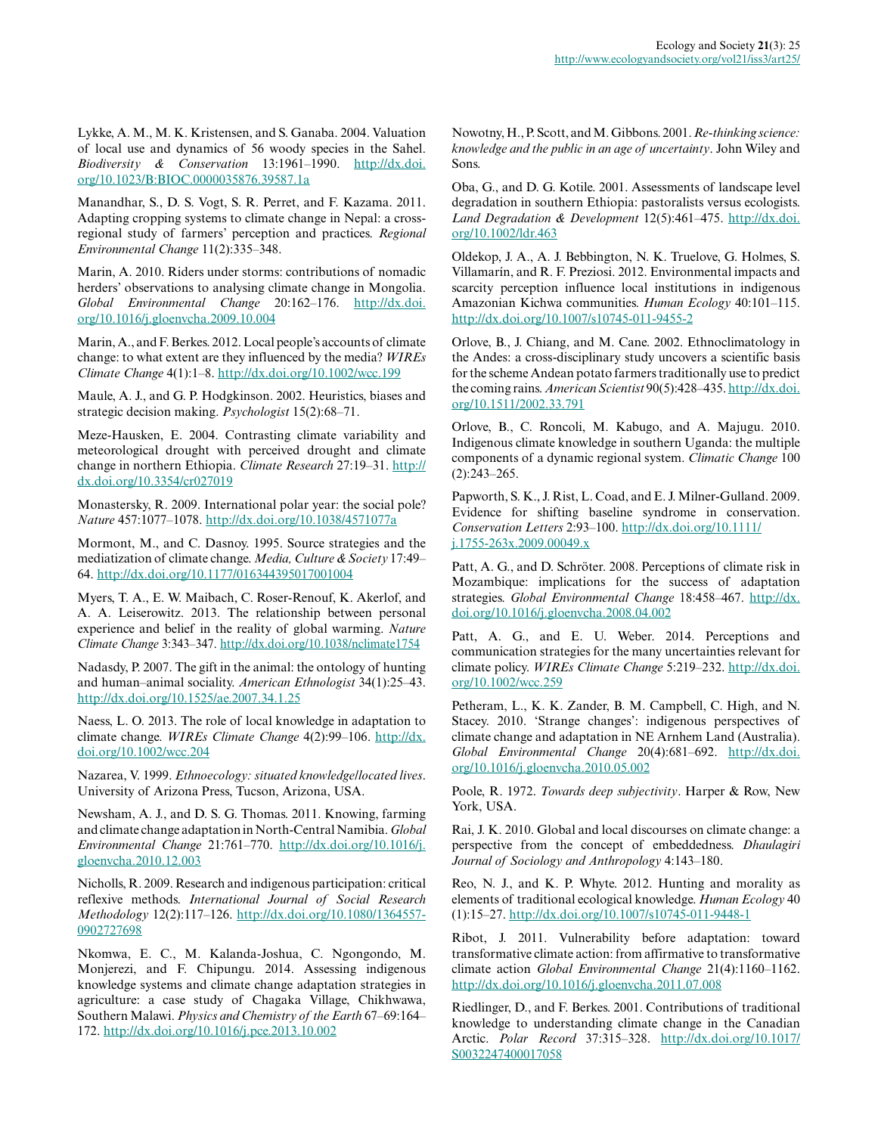Lykke, A. M., M. K. Kristensen, and S. Ganaba. 2004. Valuation of local use and dynamics of 56 woody species in the Sahel. *Biodiversity & Conservation* 13:1961–1990. [http://dx.doi.](http://dx.doi.org/10.1023%2FB%3ABIOC.0000035876.39587.1a) [org/10.1023/B:BIOC.0000035876.39587.1a](http://dx.doi.org/10.1023%2FB%3ABIOC.0000035876.39587.1a)

Manandhar, S., D. S. Vogt, S. R. Perret, and F. Kazama. 2011. Adapting cropping systems to climate change in Nepal: a crossregional study of farmers' perception and practices. *Regional Environmental Change* 11(2):335–348.

Marin, A. 2010. Riders under storms: contributions of nomadic herders' observations to analysing climate change in Mongolia. *Global Environmental Change* 20:162–176. [http://dx.doi.](http://dx.doi.org/10.1016%2Fj.gloenvcha.2009.10.004) [org/10.1016/j.gloenvcha.2009.10.004](http://dx.doi.org/10.1016%2Fj.gloenvcha.2009.10.004)

Marin, A., and F. Berkes. 2012. Local people's accounts of climate change: to what extent are they influenced by the media? *WIREs Climate Change* 4(1):1–8. [http://dx.doi.org/10.1002/wcc.199](http://dx.doi.org/10.1002%2Fwcc.199)

Maule, A. J., and G. P. Hodgkinson. 2002. Heuristics, biases and strategic decision making. *Psychologist* 15(2):68–71.

Meze-Hausken, E. 2004. Contrasting climate variability and meteorological drought with perceived drought and climate change in northern Ethiopia. *Climate Research* 27:19–31. [http://](http://dx.doi.org/10.3354%2Fcr027019) [dx.doi.org/10.3354/cr027019](http://dx.doi.org/10.3354%2Fcr027019)

Monastersky, R. 2009. International polar year: the social pole? *Nature* 457:1077–1078. [http://dx.doi.org/10.1038/4571077a](http://dx.doi.org/10.1038%2F4571077a) 

Mormont, M., and C. Dasnoy. 1995. Source strategies and the mediatization of climate change. *Media, Culture & Society* 17:49– 64. [http://dx.doi.org/10.1177/016344395017001004](http://dx.doi.org/10.1177%2F016344395017001004)

Myers, T. A., E. W. Maibach, C. Roser-Renouf, K. Akerlof, and A. A. Leiserowitz. 2013. The relationship between personal experience and belief in the reality of global warming. *Nature Climate Change* 3:343–347. [http://dx.doi.org/10.1038/nclimate1754](http://dx.doi.org/10.1038%2Fnclimate1754) 

Nadasdy, P. 2007. The gift in the animal: the ontology of hunting and human–animal sociality. *American Ethnologist* 34(1):25–43. [http://dx.doi.org/10.1525/ae.2007.34.1.25](http://dx.doi.org/10.1525%2Fae.2007.34.1.25) 

Naess, L. O. 2013. The role of local knowledge in adaptation to climate change. *WIREs Climate Change* 4(2):99–106. [http://dx.](http://dx.doi.org/10.1002%2Fwcc.204) [doi.org/10.1002/wcc.204](http://dx.doi.org/10.1002%2Fwcc.204)

Nazarea, V. 1999. *Ethnoecology: situated knowledge/located lives*. University of Arizona Press, Tucson, Arizona, USA.

Newsham, A. J., and D. S. G. Thomas. 2011. Knowing, farming and climate change adaptation in North-Central Namibia. *Global Environmental Change* 21:761–770. [http://dx.doi.org/10.1016/j.](http://dx.doi.org/10.1016%2Fj.gloenvcha.2010.12.003) [gloenvcha.2010.12.003](http://dx.doi.org/10.1016%2Fj.gloenvcha.2010.12.003)

Nicholls, R. 2009. Research and indigenous participation: critical reflexive methods. *International Journal of Social Research Methodology* 12(2):117–126. [http://dx.doi.org/10.1080/1364557](http://dx.doi.org/10.1080%2F13645570902727698) [0902727698](http://dx.doi.org/10.1080%2F13645570902727698)

Nkomwa, E. C., M. Kalanda-Joshua, C. Ngongondo, M. Monjerezi, and F. Chipungu. 2014. Assessing indigenous knowledge systems and climate change adaptation strategies in agriculture: a case study of Chagaka Village, Chikhwawa, Southern Malawi. *Physics and Chemistry of the Earth* 67–69:164– 172. [http://dx.doi.org/10.1016/j.pce.2013.10.002](http://dx.doi.org/10.1016%2Fj.pce.2013.10.002) 

Nowotny, H., P. Scott, and M. Gibbons. 2001. *Re-thinking science: knowledge and the public in an age of uncertainty*. John Wiley and Sons.

Oba, G., and D. G. Kotile. 2001. Assessments of landscape level degradation in southern Ethiopia: pastoralists versus ecologists. *Land Degradation & Development* 12(5):461–475. [http://dx.doi.](http://dx.doi.org/10.1002%2Fldr.463) [org/10.1002/ldr.463](http://dx.doi.org/10.1002%2Fldr.463)

Oldekop, J. A., A. J. Bebbington, N. K. Truelove, G. Holmes, S. Villamarín, and R. F. Preziosi. 2012. Environmental impacts and scarcity perception influence local institutions in indigenous Amazonian Kichwa communities. *Human Ecology* 40:101–115. [http://dx.doi.org/10.1007/s10745-011-9455-2](http://dx.doi.org/10.1007%2Fs10745-011-9455-2)

Orlove, B., J. Chiang, and M. Cane. 2002. Ethnoclimatology in the Andes: a cross-disciplinary study uncovers a scientific basis for the scheme Andean potato farmers traditionally use to predict the coming rains. *American Scientist* 90(5):428–435. [http://dx.doi.](http://dx.doi.org/10.1511%2F2002.33.791) [org/10.1511/2002.33.791](http://dx.doi.org/10.1511%2F2002.33.791) 

Orlove, B., C. Roncoli, M. Kabugo, and A. Majugu. 2010. Indigenous climate knowledge in southern Uganda: the multiple components of a dynamic regional system. *Climatic Change* 100 (2):243–265.

Papworth, S. K., J. Rist, L. Coad, and E. J. Milner-Gulland. 2009. Evidence for shifting baseline syndrome in conservation. *Conservation Letters* 2:93–100. [http://dx.doi.org/10.1111/](http://dx.doi.org/10.1111%2Fj.1755-263x.2009.00049.x) [j.1755-263x.2009.00049.x](http://dx.doi.org/10.1111%2Fj.1755-263x.2009.00049.x)

Patt, A. G., and D. Schröter. 2008. Perceptions of climate risk in Mozambique: implications for the success of adaptation strategies. *Global Environmental Change* 18:458–467. [http://dx.](http://dx.doi.org/10.1016%2Fj.gloenvcha.2008.04.002) [doi.org/10.1016/j.gloenvcha.2008.04.002](http://dx.doi.org/10.1016%2Fj.gloenvcha.2008.04.002) 

Patt, A. G., and E. U. Weber. 2014. Perceptions and communication strategies for the many uncertainties relevant for climate policy. *WIREs Climate Change* 5:219–232. [http://dx.doi.](http://dx.doi.org/10.1002%2Fwcc.259) [org/10.1002/wcc.259](http://dx.doi.org/10.1002%2Fwcc.259)

Petheram, L., K. K. Zander, B. M. Campbell, C. High, and N. Stacey. 2010. 'Strange changes': indigenous perspectives of climate change and adaptation in NE Arnhem Land (Australia). *Global Environmental Change* 20(4):681–692. [http://dx.doi.](http://dx.doi.org/10.1016%2Fj.gloenvcha.2010.05.002) [org/10.1016/j.gloenvcha.2010.05.002](http://dx.doi.org/10.1016%2Fj.gloenvcha.2010.05.002)

Poole, R. 1972. *Towards deep subjectivity*. Harper & Row, New York, USA.

Rai, J. K. 2010. Global and local discourses on climate change: a perspective from the concept of embeddedness. *Dhaulagiri Journal of Sociology and Anthropology* 4:143–180.

Reo, N. J., and K. P. Whyte. 2012. Hunting and morality as elements of traditional ecological knowledge. *Human Ecology* 40 (1):15–27. [http://dx.doi.org/10.1007/s10745-011-9448-1](http://dx.doi.org/10.1007%2Fs10745-011-9448-1)

Ribot, J. 2011. Vulnerability before adaptation: toward transformative climate action: from affirmative to transformative climate action *Global Environmental Change* 21(4):1160–1162. [http://dx.doi.org/10.1016/j.gloenvcha.2011.07.008](http://dx.doi.org/10.1016%2Fj.gloenvcha.2011.07.008)

Riedlinger, D., and F. Berkes. 2001. Contributions of traditional knowledge to understanding climate change in the Canadian Arctic. *Polar Record* 37:315–328. [http://dx.doi.org/10.1017/](http://dx.doi.org/10.1017%2FS0032247400017058) [S0032247400017058](http://dx.doi.org/10.1017%2FS0032247400017058)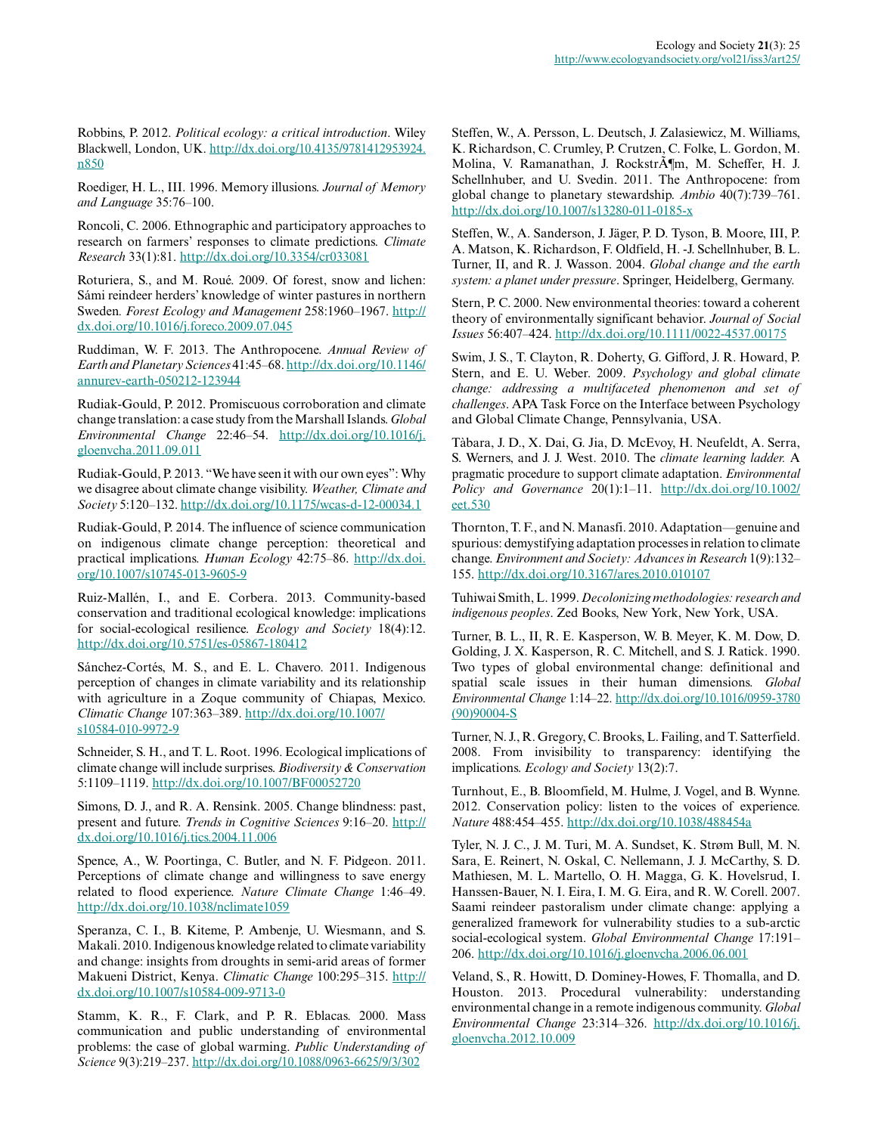Robbins, P. 2012. *Political ecology: a critical introduction*. Wiley Blackwell, London, UK. [http://dx.doi.org/10.4135/9781412953924.](http://dx.doi.org/10.4135%2F9781412953924.n850) [n850](http://dx.doi.org/10.4135%2F9781412953924.n850)

Roediger, H. L., III. 1996. Memory illusions. *Journal of Memory and Language* 35:76–100.

Roncoli, C. 2006. Ethnographic and participatory approaches to research on farmers' responses to climate predictions. *Climate Research* 33(1):81. [http://dx.doi.org/10.3354/cr033081](http://dx.doi.org/10.3354%2Fcr033081)

Roturiera, S., and M. Roué. 2009. Of forest, snow and lichen: Sámi reindeer herders' knowledge of winter pastures in northern Sweden*. Forest Ecology and Management* 258:1960–1967. [http://](http://dx.doi.org/10.1016%2Fj.foreco.2009.07.045) [dx.doi.org/10.1016/j.foreco.2009.07.045](http://dx.doi.org/10.1016%2Fj.foreco.2009.07.045) 

Ruddiman, W. F. 2013. The Anthropocene. *Annual Review of Earth and Planetary Sciences* 41:45–68. [http://dx.doi.org/10.1146/](http://dx.doi.org/10.1146%2Fannurev-earth-050212-123944) [annurev-earth-050212-123944](http://dx.doi.org/10.1146%2Fannurev-earth-050212-123944) 

Rudiak-Gould, P. 2012. Promiscuous corroboration and climate change translation: a case study from the Marshall Islands. *Global Environmental Change* 22:46–54. [http://dx.doi.org/10.1016/j.](http://dx.doi.org/10.1016%2Fj.gloenvcha.2011.09.011) [gloenvcha.2011.09.011](http://dx.doi.org/10.1016%2Fj.gloenvcha.2011.09.011)

Rudiak-Gould, P. 2013. "We have seen it with our own eyes": Why we disagree about climate change visibility. *Weather, Climate and Society* 5:120–132. [http://dx.doi.org/10.1175/wcas-d-12-00034.1](http://dx.doi.org/10.1175%2Fwcas-d-12-00034.1) 

Rudiak-Gould, P. 2014. The influence of science communication on indigenous climate change perception: theoretical and practical implications. *Human Ecology* 42:75–86. [http://dx.doi.](http://dx.doi.org/10.1007%2Fs10745-013-9605-9) [org/10.1007/s10745-013-9605-9](http://dx.doi.org/10.1007%2Fs10745-013-9605-9)

Ruiz-Mallén, I., and E. Corbera. 2013. Community-based conservation and traditional ecological knowledge: implications for social-ecological resilience. *Ecology and Society* 18(4):12. [http://dx.doi.org/10.5751/es-05867-180412](http://dx.doi.org/10.5751%2Fes-05867-180412)

Sánchez-Cortés, M. S., and E. L. Chavero. 2011. Indigenous perception of changes in climate variability and its relationship with agriculture in a Zoque community of Chiapas, Mexico. *Climatic Change* 107:363–389. [http://dx.doi.org/10.1007/](http://dx.doi.org/10.1007%2Fs10584-010-9972-9) [s10584-010-9972-9](http://dx.doi.org/10.1007%2Fs10584-010-9972-9) 

Schneider, S. H., and T. L. Root. 1996. Ecological implications of climate change will include surprises. *Biodiversity & Conservation* 5:1109–1119. [http://dx.doi.org/10.1007/BF00052720](http://dx.doi.org/10.1007%2FBF00052720)

Simons, D. J., and R. A. Rensink. 2005. Change blindness: past, present and future. *Trends in Cognitive Sciences* 9:16–20. [http://](http://dx.doi.org/10.1016%2Fj.tics.2004.11.006) [dx.doi.org/10.1016/j.tics.2004.11.006](http://dx.doi.org/10.1016%2Fj.tics.2004.11.006) 

Spence, A., W. Poortinga, C. Butler, and N. F. Pidgeon. 2011. Perceptions of climate change and willingness to save energy related to flood experience. *Nature Climate Change* 1:46–49. [http://dx.doi.org/10.1038/nclimate1059](http://dx.doi.org/10.1038%2Fnclimate1059) 

Speranza, C. I., B. Kiteme, P. Ambenje, U. Wiesmann, and S. Makali. 2010. Indigenous knowledge related to climate variability and change: insights from droughts in semi-arid areas of former Makueni District, Kenya. *Climatic Change* 100:295–315. [http://](http://dx.doi.org/10.1007%2Fs10584-009-9713-0) [dx.doi.org/10.1007/s10584-009-9713-0](http://dx.doi.org/10.1007%2Fs10584-009-9713-0) 

Stamm, K. R., F. Clark, and P. R. Eblacas. 2000. Mass communication and public understanding of environmental problems: the case of global warming. *Public Understanding of Science* 9(3):219–237. [http://dx.doi.org/10.1088/0963-6625/9/3/302](http://dx.doi.org/10.1088%2F0963-6625%2F9%2F3%2F302) 

Steffen, W., A. Persson, L. Deutsch, J. Zalasiewicz, M. Williams, K. Richardson, C. Crumley, P. Crutzen, C. Folke, L. Gordon, M. Molina, V. Ramanathan, J. Rockstr $\tilde{A}$ m, M. Scheffer, H. J. Schellnhuber, and U. Svedin. 2011. The Anthropocene: from global change to planetary stewardship. *Ambio* 40(7):739–761. [http://dx.doi.org/10.1007/s13280-011-0185-x](http://dx.doi.org/10.1007%2Fs13280-011-0185-x)

Steffen, W., A. Sanderson, J. Jäger, P. D. Tyson, B. Moore, III, P. A. Matson, K. Richardson, F. Oldfield, H. -J. Schellnhuber, B. L. Turner, II, and R. J. Wasson. 2004. *Global change and the earth system: a planet under pressure*. Springer, Heidelberg, Germany.

Stern, P. C. 2000. New environmental theories: toward a coherent theory of environmentally significant behavior. *Journal of Social Issues* 56:407–424. [http://dx.doi.org/10.1111/0022-4537.00175](http://dx.doi.org/10.1111%2F0022-4537.00175)

Swim, J. S., T. Clayton, R. Doherty, G. Gifford, J. R. Howard, P. Stern, and E. U. Weber. 2009. *Psychology and global climate change: addressing a multifaceted phenomenon and set of challenges*. APA Task Force on the Interface between Psychology and Global Climate Change, Pennsylvania, USA.

Tàbara, J. D., X. Dai, G. Jia, D. McEvoy, H. Neufeldt, A. Serra, S. Werners, and J. J. West. 2010. The *climate learning ladder.* A pragmatic procedure to support climate adaptation. *Environmental Policy and Governance* 20(1):1–11. [http://dx.doi.org/10.1002/](http://dx.doi.org/10.1002%2Feet.530) [eet.530](http://dx.doi.org/10.1002%2Feet.530) 

Thornton, T. F., and N. Manasfi. 2010. Adaptation—genuine and spurious: demystifying adaptation processes in relation to climate change. *Environment and Society: Advances in Research* 1(9):132– 155. [http://dx.doi.org/10.3167/ares.2010.010107](http://dx.doi.org/10.3167%2Fares.2010.010107)

Tuhiwai Smith, L. 1999. *Decolonizing methodologies: research and indigenous peoples*. Zed Books, New York, New York, USA.

Turner, B. L., II, R. E. Kasperson, W. B. Meyer, K. M. Dow, D. Golding, J. X. Kasperson, R. C. Mitchell, and S. J. Ratick. 1990. Two types of global environmental change: definitional and spatial scale issues in their human dimensions. *Global Environmental Change* 1:14–22. [http://dx.doi.org/10.1016/0959-3780](http://dx.doi.org/10.1016%2F0959-3780%2890%2990004-S) [\(90\)90004-S](http://dx.doi.org/10.1016%2F0959-3780%2890%2990004-S)

Turner, N. J., R. Gregory, C. Brooks, L. Failing, and T. Satterfield. 2008. From invisibility to transparency: identifying the implications. *Ecology and Society* 13(2):7.

Turnhout, E., B. Bloomfield, M. Hulme, J. Vogel, and B. Wynne. 2012. Conservation policy: listen to the voices of experience. *Nature* 488:454–455. [http://dx.doi.org/10.1038/488454a](http://dx.doi.org/10.1038%2F488454a)

Tyler, N. J. C., J. M. Turi, M. A. Sundset, K. Strøm Bull, M. N. Sara, E. Reinert, N. Oskal, C. Nellemann, J. J. McCarthy, S. D. Mathiesen, M. L. Martello, O. H. Magga, G. K. Hovelsrud, I. Hanssen-Bauer, N. I. Eira, I. M. G. Eira, and R. W. Corell. 2007. Saami reindeer pastoralism under climate change: applying a generalized framework for vulnerability studies to a sub-arctic social-ecological system. *Global Environmental Change* 17:191– 206. [http://dx.doi.org/10.1016/j.gloenvcha.2006.06.001](http://dx.doi.org/10.1016%2Fj.gloenvcha.2006.06.001)

Veland, S., R. Howitt, D. Dominey-Howes, F. Thomalla, and D. Houston. 2013. Procedural vulnerability: understanding environmental change in a remote indigenous community. *Global Environmental Change* 23:314–326. [http://dx.doi.org/10.1016/j.](http://dx.doi.org/10.1016%2Fj.gloenvcha.2012.10.009) [gloenvcha.2012.10.009](http://dx.doi.org/10.1016%2Fj.gloenvcha.2012.10.009)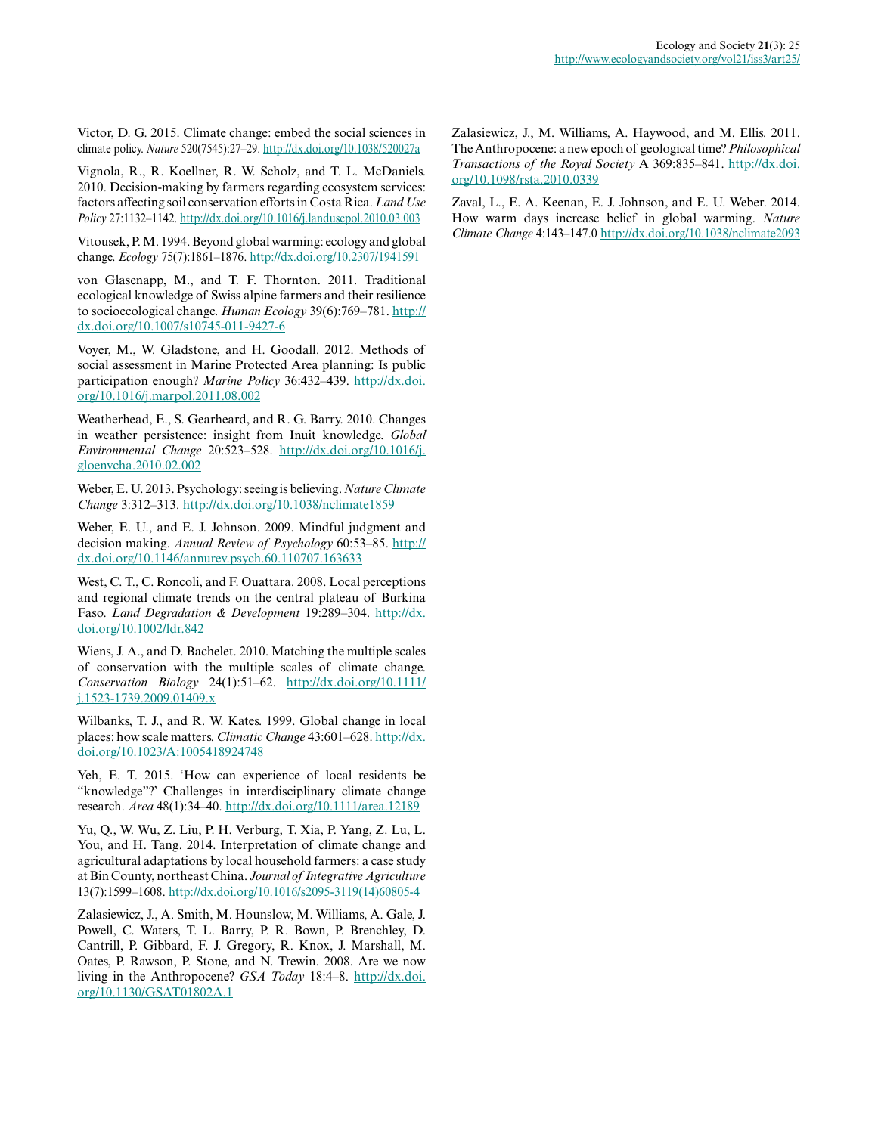Victor, D. G. 2015. Climate change: embed the social sciences in climate policy. *Nature* 520(7545):27–29. [http://dx.doi.org/10.1038/520027a](http://dx.doi.org/10.1038%2F520027a)

Vignola, R., R. Koellner, R. W. Scholz, and T. L. McDaniels. 2010. Decision-making by farmers regarding ecosystem services: factors affecting soil conservation efforts in Costa Rica. *Land Use Policy* 27:1132–1142. [http://dx.doi.org/10.1016/j.landusepol.2010.03.003](http://dx.doi.org/10.1016%2Fj.landusepol.2010.03.003)

Vitousek, P. M. 1994. Beyond global warming: ecology and global change. *Ecology* 75(7):1861–1876. [http://dx.doi.org/10.2307/1941591](http://dx.doi.org/10.2307%2F1941591) 

von Glasenapp, M., and T. F. Thornton. 2011. Traditional ecological knowledge of Swiss alpine farmers and their resilience to socioecological change. *Human Ecology* 39(6):769–781. [http://](http://dx.doi.org/10.1007%2Fs10745-011-9427-6) [dx.doi.org/10.1007/s10745-011-9427-6](http://dx.doi.org/10.1007%2Fs10745-011-9427-6) 

Voyer, M., W. Gladstone, and H. Goodall. 2012. Methods of social assessment in Marine Protected Area planning: Is public participation enough? *Marine Policy* 36:432–439. [http://dx.doi.](http://dx.doi.org/10.1016%2Fj.marpol.2011.08.002) [org/10.1016/j.marpol.2011.08.002](http://dx.doi.org/10.1016%2Fj.marpol.2011.08.002) 

Weatherhead, E., S. Gearheard, and R. G. Barry. 2010. Changes in weather persistence: insight from Inuit knowledge. *Global Environmental Change* 20:523–528. [http://dx.doi.org/10.1016/j.](http://dx.doi.org/10.1016%2Fj.gloenvcha.2010.02.002) [gloenvcha.2010.02.002](http://dx.doi.org/10.1016%2Fj.gloenvcha.2010.02.002)

Weber, E. U. 2013. Psychology: seeing is believing. *Nature Climate Change* 3:312–313. [http://dx.doi.org/10.1038/nclimate1859](http://dx.doi.org/10.1038%2Fnclimate1859)

Weber, E. U., and E. J. Johnson. 2009. Mindful judgment and decision making. *Annual Review of Psychology* 60:53–85. [http://](http://dx.doi.org/10.1146%2Fannurev.psych.60.110707.163633) [dx.doi.org/10.1146/annurev.psych.60.110707.163633](http://dx.doi.org/10.1146%2Fannurev.psych.60.110707.163633)

West, C. T., C. Roncoli, and F. Ouattara. 2008. Local perceptions and regional climate trends on the central plateau of Burkina Faso. *Land Degradation & Development* 19:289–304. [http://dx.](http://dx.doi.org/10.1002%2Fldr.842) [doi.org/10.1002/ldr.842](http://dx.doi.org/10.1002%2Fldr.842)

Wiens, J. A., and D. Bachelet. 2010. Matching the multiple scales of conservation with the multiple scales of climate change. *Conservation Biology* 24(1):51–62. [http://dx.doi.org/10.1111/](http://dx.doi.org/10.1111%2Fj.1523-1739.2009.01409.x) [j.1523-1739.2009.01409.x](http://dx.doi.org/10.1111%2Fj.1523-1739.2009.01409.x)

Wilbanks, T. J., and R. W. Kates. 1999. Global change in local places: how scale matters. *Climatic Change* 43:601–628. [http://dx.](http://dx.doi.org/10.1023%2FA%3A1005418924748) [doi.org/10.1023/A:1005418924748](http://dx.doi.org/10.1023%2FA%3A1005418924748) 

Yeh, E. T. 2015. 'How can experience of local residents be "knowledge"?' Challenges in interdisciplinary climate change research. *Area* 48(1):34–40. [http://dx.doi.org/10.1111/area.12189](http://dx.doi.org/10.1111%2Farea.12189) 

Yu, Q., W. Wu, Z. Liu, P. H. Verburg, T. Xia, P. Yang, Z. Lu, L. You, and H. Tang. 2014. Interpretation of climate change and agricultural adaptations by local household farmers: a case study at Bin County, northeast China. *Journal of Integrative Agriculture* 13(7):1599–1608. [http://dx.doi.org/10.1016/s2095-3119\(14\)60805-4](http://dx.doi.org/10.1016%2Fs2095-3119%2814%2960805-4) 

Zalasiewicz, J., A. Smith, M. Hounslow, M. Williams, A. Gale, J. Powell, C. Waters, T. L. Barry, P. R. Bown, P. Brenchley, D. Cantrill, P. Gibbard, F. J. Gregory, R. Knox, J. Marshall, M. Oates, P. Rawson, P. Stone, and N. Trewin. 2008. Are we now living in the Anthropocene? *GSA Today* 18:4–8. [http://dx.doi.](http://dx.doi.org/10.1130%2FGSAT01802A.1) [org/10.1130/GSAT01802A.1](http://dx.doi.org/10.1130%2FGSAT01802A.1)

Zalasiewicz, J., M. Williams, A. Haywood, and M. Ellis. 2011. The Anthropocene: a new epoch of geological time? *Philosophical Transactions of the Royal Society* A 369:835–841. [http://dx.doi.](http://dx.doi.org/10.1098%2Frsta.2010.0339) [org/10.1098/rsta.2010.0339](http://dx.doi.org/10.1098%2Frsta.2010.0339)

Zaval, L., E. A. Keenan, E. J. Johnson, and E. U. Weber. 2014. How warm days increase belief in global warming. *Nature Climate Change* 4:143–147.0 [http://dx.doi.org/10.1038/nclimate2093](http://dx.doi.org/10.1038%2Fnclimate2093)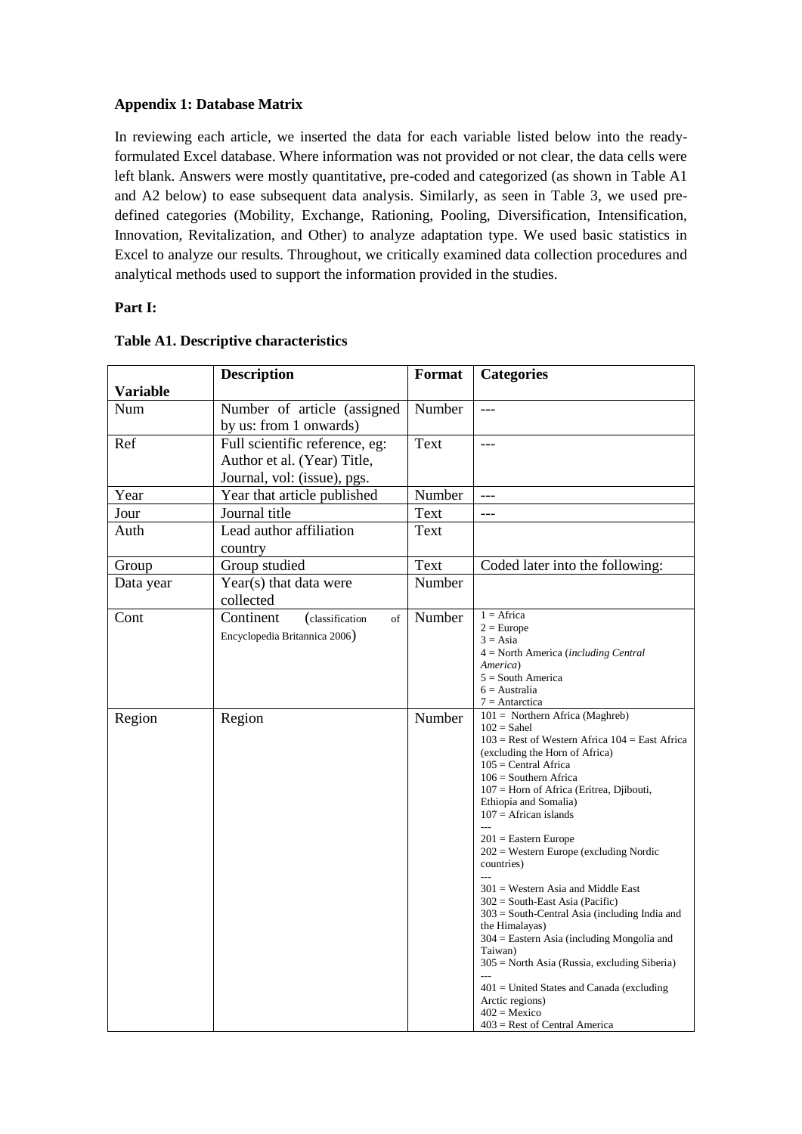## **Appendix 1: Database Matrix**

In reviewing each article, we inserted the data for each variable listed below into the readyformulated Excel database. Where information was not provided or not clear, the data cells were left blank. Answers were mostly quantitative, pre-coded and categorized (as shown in Table A1 and A2 below) to ease subsequent data analysis. Similarly, as seen in Table 3, we used predefined categories (Mobility, Exchange, Rationing, Pooling, Diversification, Intensification, Innovation, Revitalization, and Other) to analyze adaptation type. We used basic statistics in Excel to analyze our results. Throughout, we critically examined data collection procedures and analytical methods used to support the information provided in the studies.

## **Part I:**

|                 | <b>Description</b>                  | Format      | <b>Categories</b>                                                                                   |
|-----------------|-------------------------------------|-------------|-----------------------------------------------------------------------------------------------------|
| <b>Variable</b> |                                     |             |                                                                                                     |
| Num             | Number of article (assigned         | Number      | $---$                                                                                               |
|                 | by us: from 1 onwards)              |             |                                                                                                     |
| Ref             | Full scientific reference, eg:      | <b>Text</b> | $---$                                                                                               |
|                 | Author et al. (Year) Title,         |             |                                                                                                     |
|                 | Journal, vol: (issue), pgs.         |             |                                                                                                     |
| Year            | Year that article published         | Number      | $---$                                                                                               |
| Jour            | Journal title                       | Text        | ---                                                                                                 |
| Auth            | Lead author affiliation             | Text        |                                                                                                     |
|                 | country                             |             |                                                                                                     |
| Group           | Group studied                       | Text        | Coded later into the following:                                                                     |
| Data year       | Year(s) that data were              | Number      |                                                                                                     |
|                 | collected                           |             |                                                                                                     |
| Cont            | Continent<br>(classification)<br>of | Number      | $1 =$ Africa                                                                                        |
|                 | Encyclopedia Britannica 2006)       |             | $2 = Europe$                                                                                        |
|                 |                                     |             | $3 = Asia$<br>4 = North America (including Central                                                  |
|                 |                                     |             | America)                                                                                            |
|                 |                                     |             | $5 =$ South America                                                                                 |
|                 |                                     |             | $6 =$ Australia<br>$7 =$ Antarctica                                                                 |
| Region          | Region                              | Number      | 101 = Northern Africa (Maghreb)                                                                     |
|                 |                                     |             | $102 =$ Sahel                                                                                       |
|                 |                                     |             | $103$ = Rest of Western Africa $104$ = East Africa                                                  |
|                 |                                     |             | (excluding the Horn of Africa)<br>$105$ = Central Africa                                            |
|                 |                                     |             | $106 =$ Southern Africa                                                                             |
|                 |                                     |             | 107 = Horn of Africa (Eritrea, Djibouti,                                                            |
|                 |                                     |             | Ethiopia and Somalia)<br>$107$ = African islands                                                    |
|                 |                                     |             | $\sim$                                                                                              |
|                 |                                     |             | $201$ = Eastern Europe                                                                              |
|                 |                                     |             | $202$ = Western Europe (excluding Nordic<br>countries)                                              |
|                 |                                     |             | $\sim$                                                                                              |
|                 |                                     |             | $301$ = Western Asia and Middle East                                                                |
|                 |                                     |             | $302 =$ South-East Asia (Pacific)                                                                   |
|                 |                                     |             | $303 =$ South-Central Asia (including India and<br>the Himalayas)                                   |
|                 |                                     |             | $304$ = Eastern Asia (including Mongolia and                                                        |
|                 |                                     |             | Taiwan)                                                                                             |
|                 |                                     |             |                                                                                                     |
|                 |                                     |             | $401$ = United States and Canada (excluding                                                         |
|                 |                                     |             | Arctic regions)                                                                                     |
|                 |                                     |             |                                                                                                     |
|                 |                                     |             | $305$ = North Asia (Russia, excluding Siberia)<br>$402$ = Mexico<br>$403$ = Rest of Central America |

## **Table A1. Descriptive characteristics**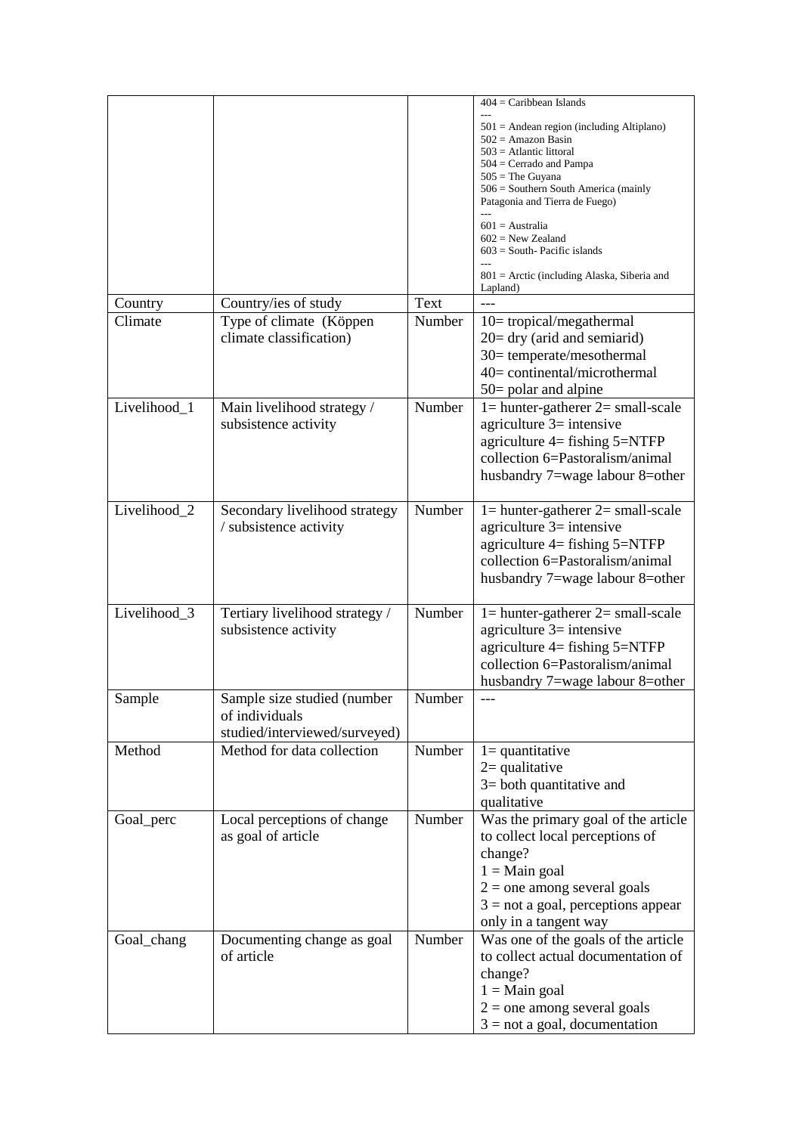|              |                                                                                |        | $404 =$ Caribbean Islands                                                                                                                                                                                                 |
|--------------|--------------------------------------------------------------------------------|--------|---------------------------------------------------------------------------------------------------------------------------------------------------------------------------------------------------------------------------|
|              |                                                                                |        | 501 = Andean region (including Altiplano)<br>502 = Amazon Basin<br>$503$ = Atlantic littoral<br>$504$ = Cerrado and Pampa<br>$505$ = The Guyana<br>506 = Southern South America (mainly<br>Patagonia and Tierra de Fuego) |
|              |                                                                                |        | $601$ = Australia<br>$602$ = New Zealand<br>$603 =$ South-Pacific islands                                                                                                                                                 |
|              |                                                                                |        | $801$ = Arctic (including Alaska, Siberia and<br>Lapland)                                                                                                                                                                 |
| Country      | Country/ies of study                                                           | Text   |                                                                                                                                                                                                                           |
| Climate      | Type of climate (Köppen                                                        | Number | $10$ = tropical/megathermal                                                                                                                                                                                               |
|              | climate classification)                                                        |        | $20 =$ dry (arid and semiarid)<br>30= temperate/mesothermal<br>40= continental/microthermal<br>$50$ = polar and alpine                                                                                                    |
| Livelihood 1 | Main livelihood strategy /<br>subsistence activity                             | Number | $1 =$ hunter-gatherer $2 =$ small-scale<br>agriculture $3=$ intensive<br>agriculture $4=$ fishing $5=$ NTFP<br>collection 6=Pastoralism/animal<br>husbandry 7=wage labour 8=other                                         |
| Livelihood_2 | Secondary livelihood strategy<br>/ subsistence activity                        | Number | $1 =$ hunter-gatherer $2 =$ small-scale<br>agriculture $3=$ intensive<br>agriculture $4 =$ fishing $5 =$ NTFP<br>collection 6=Pastoralism/animal<br>husbandry 7=wage labour 8=other                                       |
| Livelihood_3 | Tertiary livelihood strategy /<br>subsistence activity                         | Number | $1 =$ hunter-gatherer $2 =$ small-scale<br>agriculture $3=$ intensive<br>agriculture $4=$ fishing $5=$ NTFP<br>collection 6=Pastoralism/animal<br>husbandry 7=wage labour 8=other                                         |
| Sample       | Sample size studied (number<br>of individuals<br>studied/interviewed/surveyed) | Number |                                                                                                                                                                                                                           |
| Method       | Method for data collection                                                     | Number | $1 =$ quantitative<br>$2=$ qualitative<br>$3 =$ both quantitative and<br>qualitative                                                                                                                                      |
| Goal_perc    | Local perceptions of change<br>as goal of article                              | Number | Was the primary goal of the article<br>to collect local perceptions of<br>change?<br>$1 = Main goal$<br>$2 =$ one among several goals<br>$3 = not a goal, perceptions appear$<br>only in a tangent way                    |
| Goal_chang   | Documenting change as goal<br>of article                                       | Number | Was one of the goals of the article<br>to collect actual documentation of<br>change?<br>$1 = Main goal$<br>$2 =$ one among several goals<br>$3 = not a goal, documentation$                                               |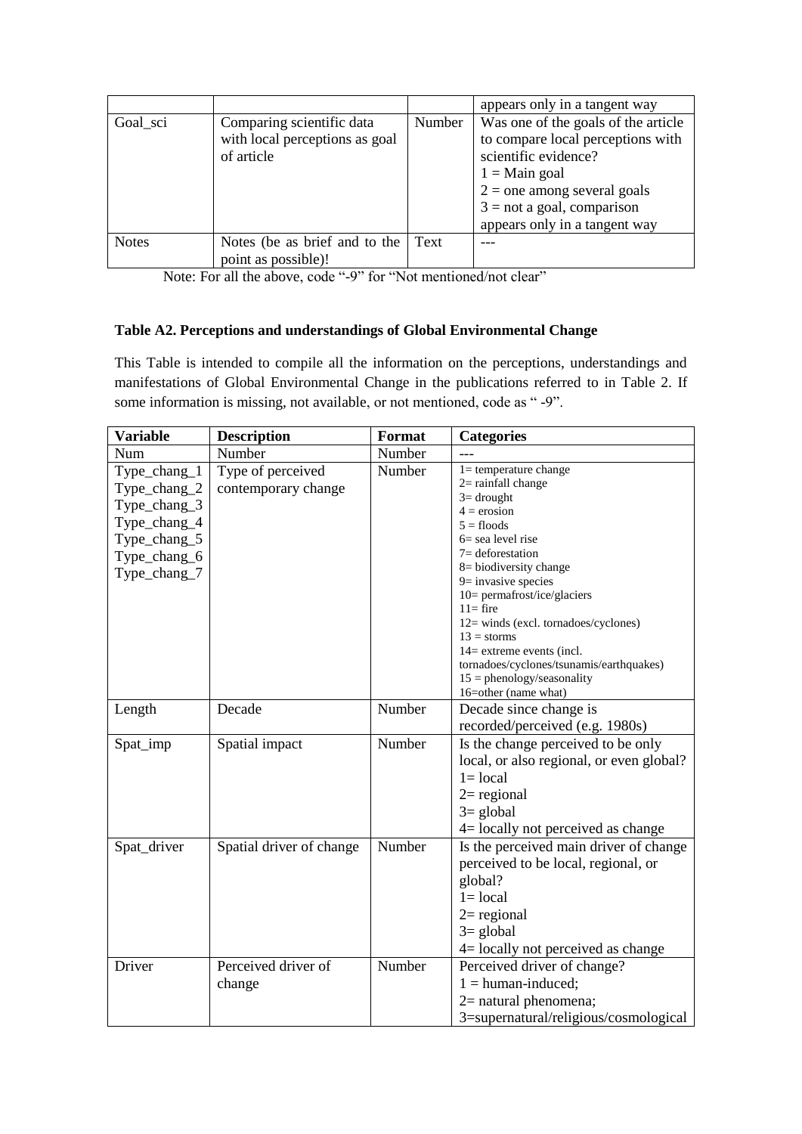|              |                                                                           |        | appears only in a tangent way                                                                                                                                                                                         |
|--------------|---------------------------------------------------------------------------|--------|-----------------------------------------------------------------------------------------------------------------------------------------------------------------------------------------------------------------------|
| Goal_sci     | Comparing scientific data<br>with local perceptions as goal<br>of article | Number | Was one of the goals of the article<br>to compare local perceptions with<br>scientific evidence?<br>$1 =$ Main goal<br>$2 =$ one among several goals<br>$3 = not a goal, comparison$<br>appears only in a tangent way |
| <b>Notes</b> | Notes (be as brief and to the<br>point as possible)!                      | Text   |                                                                                                                                                                                                                       |

Note: For all the above, code "-9" for "Not mentioned/not clear"

## **Table A2. Perceptions and understandings of Global Environmental Change**

This Table is intended to compile all the information on the perceptions, understandings and manifestations of Global Environmental Change in the publications referred to in Table 2. If some information is missing, not available, or not mentioned, code as " -9".

| <b>Variable</b> | <b>Description</b>       | Format | <b>Categories</b>                                                        |
|-----------------|--------------------------|--------|--------------------------------------------------------------------------|
| Num             | Number                   | Number |                                                                          |
| Type_chang_1    | Type of perceived        | Number | $l$ = temperature change                                                 |
| Type_chang_2    | contemporary change      |        | $2$ = rainfall change                                                    |
| Type_chang_3    |                          |        | $3 =$ drought                                                            |
| Type_chang_4    |                          |        | $4 = \text{erosion}$                                                     |
| Type_chang_5    |                          |        | $5 =$ floods<br>$6$ = sea level rise                                     |
|                 |                          |        | $7=$ deforestation                                                       |
| Type_chang_6    |                          |        | 8= biodiversity change                                                   |
| Type_chang_7    |                          |        | $9$ = invasive species                                                   |
|                 |                          |        | 10= permafrost/ice/glaciers                                              |
|                 |                          |        | $11 =$ fire                                                              |
|                 |                          |        | $12$ = winds (excl. tornadoes/cyclones)                                  |
|                 |                          |        | $13 =$ storms                                                            |
|                 |                          |        | $14$ = extreme events (incl.<br>tornadoes/cyclones/tsunamis/earthquakes) |
|                 |                          |        | $15 =$ phenology/seasonality                                             |
|                 |                          |        | 16=other (name what)                                                     |
| Length          | Decade                   | Number | Decade since change is                                                   |
|                 |                          |        | recorded/perceived (e.g. 1980s)                                          |
| Spat_imp        | Spatial impact           | Number | Is the change perceived to be only                                       |
|                 |                          |        | local, or also regional, or even global?                                 |
|                 |                          |        | $1 = local$                                                              |
|                 |                          |        | $2 =$ regional                                                           |
|                 |                          |        | $3 =$ global                                                             |
|                 |                          |        | 4= locally not perceived as change                                       |
| Spat_driver     | Spatial driver of change | Number | Is the perceived main driver of change                                   |
|                 |                          |        | perceived to be local, regional, or                                      |
|                 |                          |        | global?                                                                  |
|                 |                          |        | $1 = local$                                                              |
|                 |                          |        | $2 =$ regional                                                           |
|                 |                          |        | $3 =$ global                                                             |
|                 |                          |        | $4$ = locally not perceived as change                                    |
| Driver          | Perceived driver of      | Number | Perceived driver of change?                                              |
|                 | change                   |        | $1 =$ human-induced;                                                     |
|                 |                          |        | $2$ = natural phenomena;                                                 |
|                 |                          |        | 3=supernatural/religious/cosmological                                    |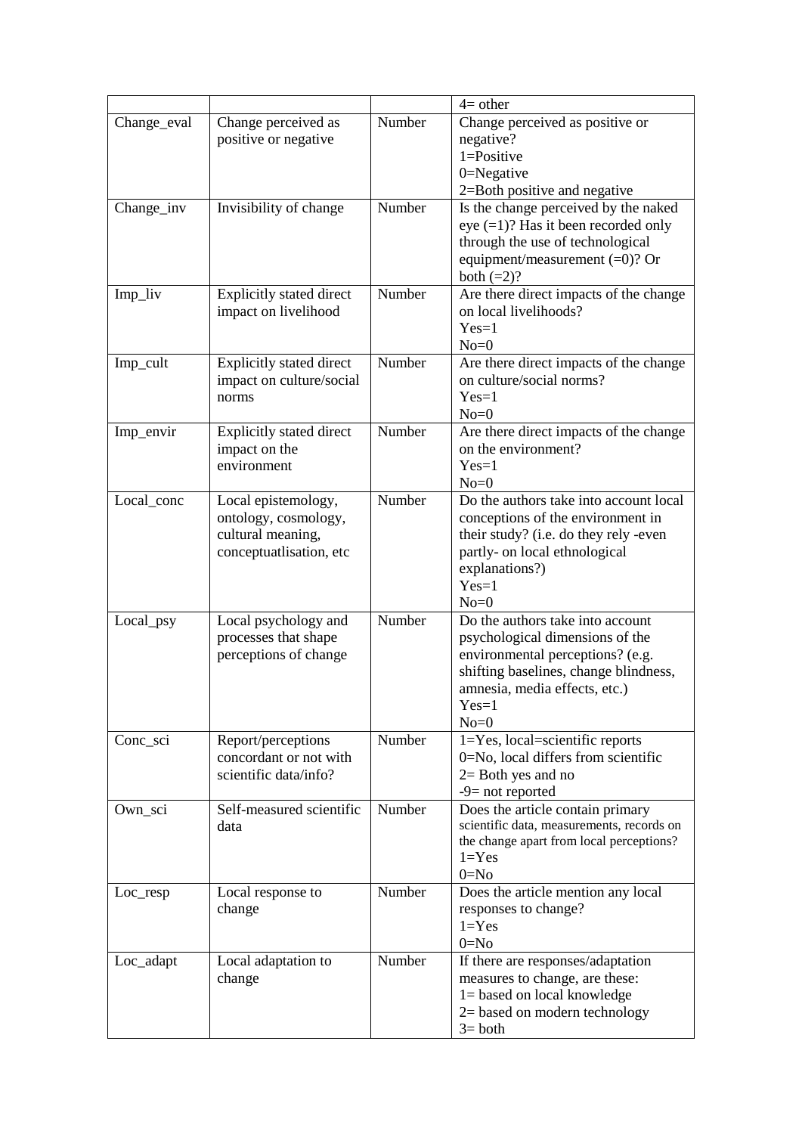|                       |                                             |        | $4=$ other                                   |
|-----------------------|---------------------------------------------|--------|----------------------------------------------|
| Change_eval           | Change perceived as<br>positive or negative | Number | Change perceived as positive or<br>negative? |
|                       |                                             |        | $1 = Positive$                               |
|                       |                                             |        | $0 = Negative$                               |
|                       |                                             |        | 2=Both positive and negative                 |
| Change_inv            | Invisibility of change                      | Number | Is the change perceived by the naked         |
|                       |                                             |        | eye $(=1)$ ? Has it been recorded only       |
|                       |                                             |        | through the use of technological             |
|                       |                                             |        | equipment/measurement $(=0)$ ? Or            |
|                       |                                             |        | both $(=2)?$                                 |
| Imp_liv               | <b>Explicitly stated direct</b>             | Number | Are there direct impacts of the change       |
|                       | impact on livelihood                        |        | on local livelihoods?                        |
|                       |                                             |        | $Yes=1$                                      |
|                       |                                             |        | $No = 0$                                     |
| Imp_cult              | <b>Explicitly stated direct</b>             | Number | Are there direct impacts of the change       |
|                       | impact on culture/social                    |        | on culture/social norms?                     |
|                       | norms                                       |        | $Yes=1$                                      |
|                       |                                             |        | $No = 0$                                     |
| Imp_envir             | <b>Explicitly stated direct</b>             | Number | Are there direct impacts of the change       |
|                       | impact on the                               |        | on the environment?                          |
|                       | environment                                 |        | $Yes=1$                                      |
|                       |                                             |        | $No = 0$                                     |
| Local_conc            | Local epistemology,                         | Number | Do the authors take into account local       |
|                       | ontology, cosmology,                        |        | conceptions of the environment in            |
|                       | cultural meaning,                           |        | their study? (i.e. do they rely -even        |
|                       | conceptuatlisation, etc                     |        | partly- on local ethnological                |
|                       |                                             |        | explanations?)                               |
|                       |                                             |        | $Yes=1$                                      |
|                       |                                             |        | $No=0$                                       |
| Local_psy             | Local psychology and                        | Number | Do the authors take into account             |
|                       | processes that shape                        |        | psychological dimensions of the              |
|                       | perceptions of change                       |        | environmental perceptions? (e.g.             |
|                       |                                             |        | shifting baselines, change blindness,        |
|                       |                                             |        | amnesia, media effects, etc.)<br>$Yes=1$     |
|                       |                                             |        | $No = 0$                                     |
| Conc_sci              | Report/perceptions                          | Number | 1=Yes, local=scientific reports              |
|                       | concordant or not with                      |        | 0=No, local differs from scientific          |
|                       | scientific data/info?                       |        | $2=$ Both yes and no                         |
|                       |                                             |        | $-9$ = not reported                          |
| Own_sci               | Self-measured scientific                    | Number | Does the article contain primary             |
|                       | data                                        |        | scientific data, measurements, records on    |
|                       |                                             |        | the change apart from local perceptions?     |
|                       |                                             |        | $1 = Yes$                                    |
|                       |                                             |        | $0 = No$                                     |
| $Loc$ <sub>resp</sub> | Local response to                           | Number | Does the article mention any local           |
|                       | change                                      |        | responses to change?                         |
|                       |                                             |        | $1 = Yes$                                    |
|                       |                                             |        | $0 = No$                                     |
| Loc_adapt             | Local adaptation to                         | Number | If there are responses/adaptation            |
|                       | change                                      |        | measures to change, are these:               |
|                       |                                             |        | 1= based on local knowledge                  |
|                       |                                             |        | $2=$ based on modern technology              |
|                       |                                             |        | $3 = both$                                   |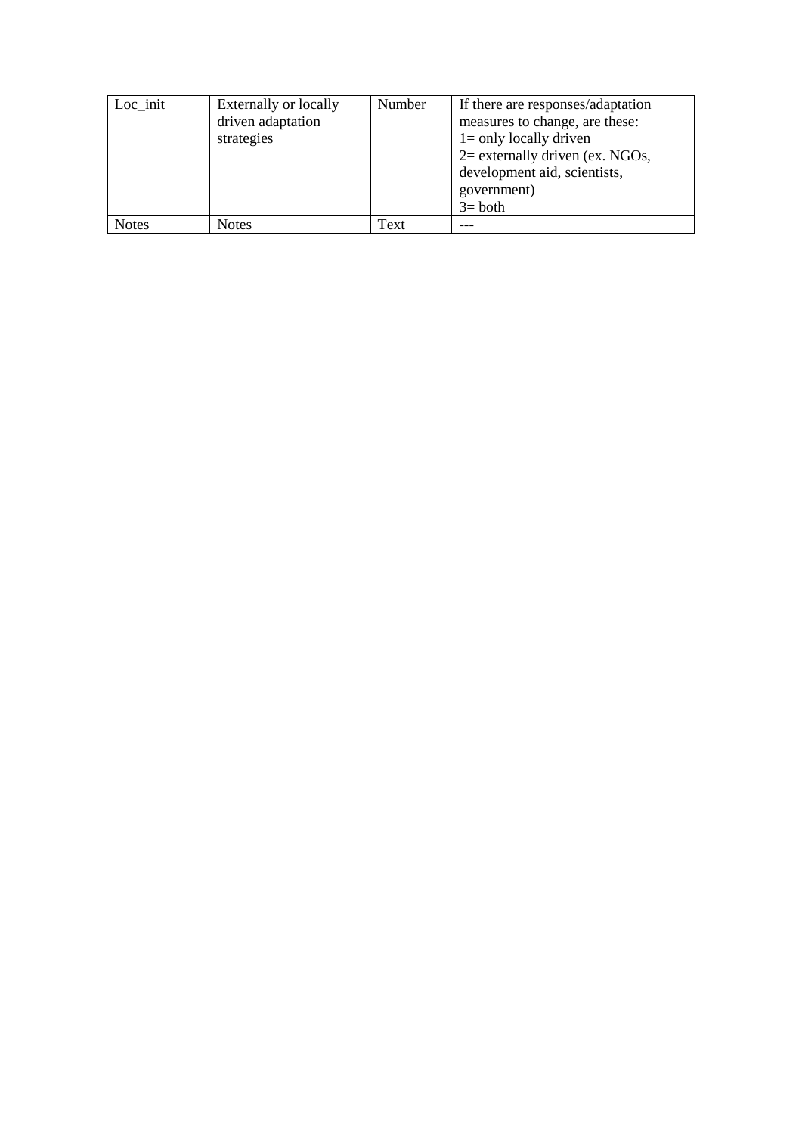| $Loc_$ init  | Externally or locally<br>driven adaptation<br>strategies | Number | If there are responses/adaptation<br>measures to change, are these:<br>$1 =$ only locally driven<br>$2$ = externally driven (ex. NGOs,<br>development aid, scientists,<br>government)<br>$3 = both$ |
|--------------|----------------------------------------------------------|--------|-----------------------------------------------------------------------------------------------------------------------------------------------------------------------------------------------------|
| <b>Notes</b> | <b>Notes</b>                                             | Text   |                                                                                                                                                                                                     |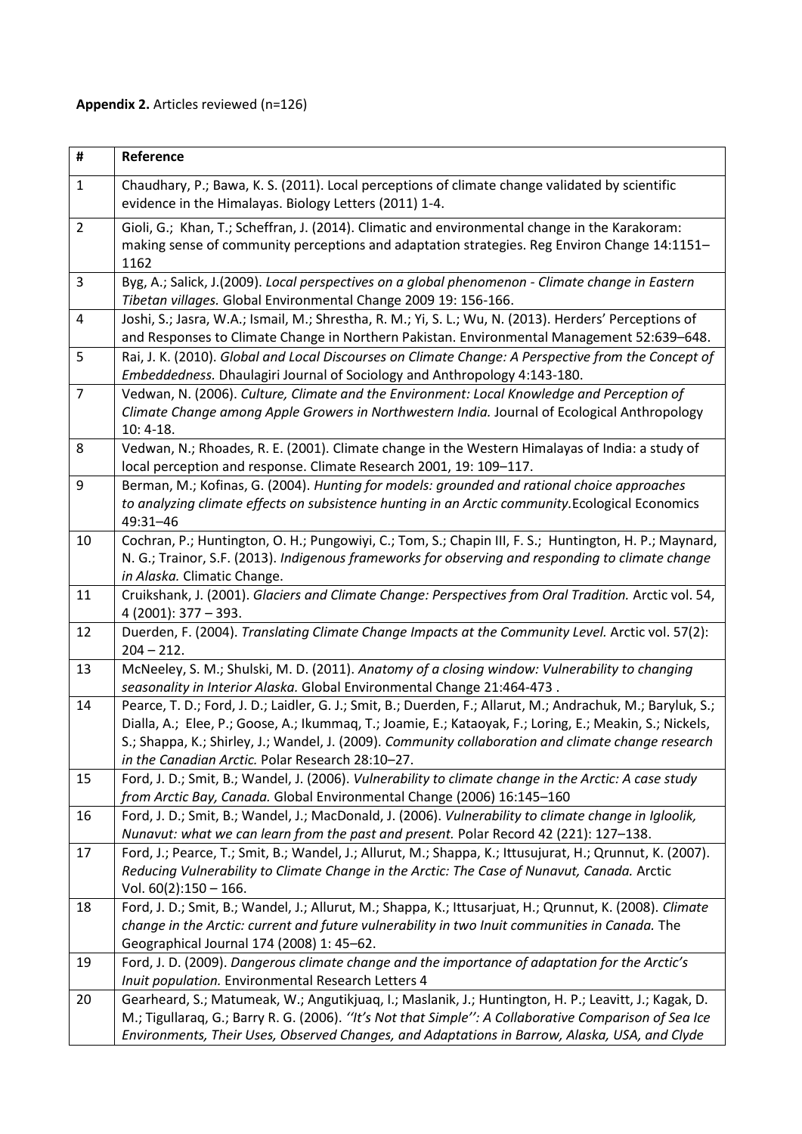## **Appendix 2.** Articles reviewed (n=126)

| #              | Reference                                                                                                                                                                                                                                                                                                                                                                          |
|----------------|------------------------------------------------------------------------------------------------------------------------------------------------------------------------------------------------------------------------------------------------------------------------------------------------------------------------------------------------------------------------------------|
| $\mathbf{1}$   | Chaudhary, P.; Bawa, K. S. (2011). Local perceptions of climate change validated by scientific<br>evidence in the Himalayas. Biology Letters (2011) 1-4.                                                                                                                                                                                                                           |
| $\overline{2}$ | Gioli, G.; Khan, T.; Scheffran, J. (2014). Climatic and environmental change in the Karakoram:<br>making sense of community perceptions and adaptation strategies. Reg Environ Change 14:1151-<br>1162                                                                                                                                                                             |
| 3              | Byg, A.; Salick, J.(2009). Local perspectives on a global phenomenon - Climate change in Eastern<br>Tibetan villages. Global Environmental Change 2009 19: 156-166.                                                                                                                                                                                                                |
| 4              | Joshi, S.; Jasra, W.A.; Ismail, M.; Shrestha, R. M.; Yi, S. L.; Wu, N. (2013). Herders' Perceptions of<br>and Responses to Climate Change in Northern Pakistan. Environmental Management 52:639-648.                                                                                                                                                                               |
| 5              | Rai, J. K. (2010). Global and Local Discourses on Climate Change: A Perspective from the Concept of<br>Embeddedness. Dhaulagiri Journal of Sociology and Anthropology 4:143-180.                                                                                                                                                                                                   |
| $\overline{7}$ | Vedwan, N. (2006). Culture, Climate and the Environment: Local Knowledge and Perception of<br>Climate Change among Apple Growers in Northwestern India. Journal of Ecological Anthropology<br>$10:4-18.$                                                                                                                                                                           |
| 8              | Vedwan, N.; Rhoades, R. E. (2001). Climate change in the Western Himalayas of India: a study of<br>local perception and response. Climate Research 2001, 19: 109-117.                                                                                                                                                                                                              |
| 9              | Berman, M.; Kofinas, G. (2004). Hunting for models: grounded and rational choice approaches<br>to analyzing climate effects on subsistence hunting in an Arctic community. Ecological Economics<br>49:31-46                                                                                                                                                                        |
| 10             | Cochran, P.; Huntington, O. H.; Pungowiyi, C.; Tom, S.; Chapin III, F. S.; Huntington, H. P.; Maynard,<br>N. G.; Trainor, S.F. (2013). Indigenous frameworks for observing and responding to climate change<br>in Alaska. Climatic Change.                                                                                                                                         |
| 11             | Cruikshank, J. (2001). Glaciers and Climate Change: Perspectives from Oral Tradition. Arctic vol. 54,<br>$4(2001): 377 - 393.$                                                                                                                                                                                                                                                     |
| 12             | Duerden, F. (2004). Translating Climate Change Impacts at the Community Level. Arctic vol. 57(2):<br>$204 - 212$ .                                                                                                                                                                                                                                                                 |
| 13             | McNeeley, S. M.; Shulski, M. D. (2011). Anatomy of a closing window: Vulnerability to changing<br>seasonality in Interior Alaska. Global Environmental Change 21:464-473.                                                                                                                                                                                                          |
| 14             | Pearce, T. D.; Ford, J. D.; Laidler, G. J.; Smit, B.; Duerden, F.; Allarut, M.; Andrachuk, M.; Baryluk, S.;<br>Dialla, A.; Elee, P.; Goose, A.; Ikummaq, T.; Joamie, E.; Kataoyak, F.; Loring, E.; Meakin, S.; Nickels,<br>S.; Shappa, K.; Shirley, J.; Wandel, J. (2009). Community collaboration and climate change research<br>in the Canadian Arctic. Polar Research 28:10-27. |
| 15             | Ford, J. D.; Smit, B.; Wandel, J. (2006). Vulnerability to climate change in the Arctic: A case study<br>from Arctic Bay, Canada. Global Environmental Change (2006) 16:145-160                                                                                                                                                                                                    |
| 16             | Ford, J. D.; Smit, B.; Wandel, J.; MacDonald, J. (2006). Vulnerability to climate change in Igloolik,<br>Nunavut: what we can learn from the past and present. Polar Record 42 (221): 127-138.                                                                                                                                                                                     |
| 17             | Ford, J.; Pearce, T.; Smit, B.; Wandel, J.; Allurut, M.; Shappa, K.; Ittusujurat, H.; Qrunnut, K. (2007).<br>Reducing Vulnerability to Climate Change in the Arctic: The Case of Nunavut, Canada. Arctic<br>Vol. $60(2):150 - 166$ .                                                                                                                                               |
| 18             | Ford, J. D.; Smit, B.; Wandel, J.; Allurut, M.; Shappa, K.; Ittusarjuat, H.; Qrunnut, K. (2008). Climate<br>change in the Arctic: current and future vulnerability in two Inuit communities in Canada. The<br>Geographical Journal 174 (2008) 1: 45-62.                                                                                                                            |
| 19             | Ford, J. D. (2009). Dangerous climate change and the importance of adaptation for the Arctic's<br>Inuit population. Environmental Research Letters 4                                                                                                                                                                                                                               |
| 20             | Gearheard, S.; Matumeak, W.; Angutikjuaq, I.; Maslanik, J.; Huntington, H. P.; Leavitt, J.; Kagak, D.<br>M.; Tigullaraq, G.; Barry R. G. (2006). "It's Not that Simple": A Collaborative Comparison of Sea Ice<br>Environments, Their Uses, Observed Changes, and Adaptations in Barrow, Alaska, USA, and Clyde                                                                    |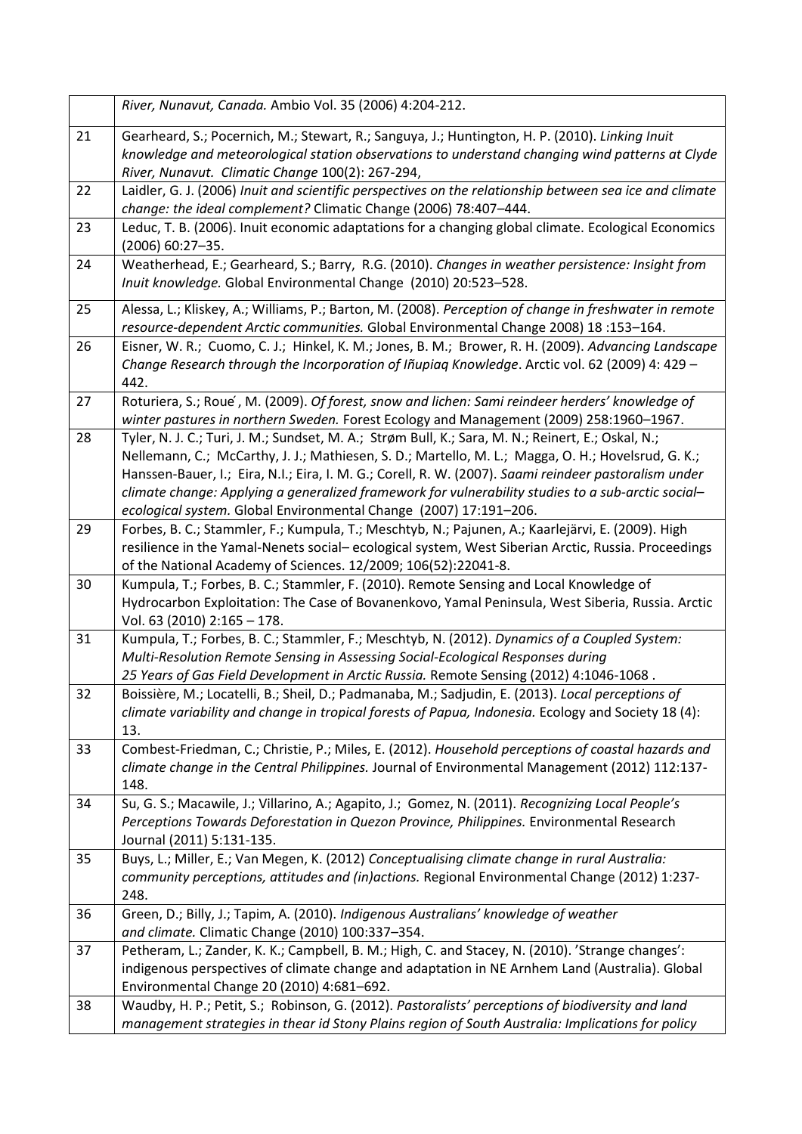|        | River, Nunavut, Canada. Ambio Vol. 35 (2006) 4:204-212.                                                                                                                                                                                                                                                                                                                                                                                                                                      |
|--------|----------------------------------------------------------------------------------------------------------------------------------------------------------------------------------------------------------------------------------------------------------------------------------------------------------------------------------------------------------------------------------------------------------------------------------------------------------------------------------------------|
| 21     | Gearheard, S.; Pocernich, M.; Stewart, R.; Sanguya, J.; Huntington, H. P. (2010). Linking Inuit<br>knowledge and meteorological station observations to understand changing wind patterns at Clyde<br>River, Nunavut. Climatic Change 100(2): 267-294,                                                                                                                                                                                                                                       |
| 22     | Laidler, G. J. (2006) Inuit and scientific perspectives on the relationship between sea ice and climate<br>change: the ideal complement? Climatic Change (2006) 78:407-444.                                                                                                                                                                                                                                                                                                                  |
| 23     | Leduc, T. B. (2006). Inuit economic adaptations for a changing global climate. Ecological Economics<br>(2006) 60:27-35.                                                                                                                                                                                                                                                                                                                                                                      |
| 24     | Weatherhead, E.; Gearheard, S.; Barry, R.G. (2010). Changes in weather persistence: Insight from<br>Inuit knowledge. Global Environmental Change (2010) 20:523-528.                                                                                                                                                                                                                                                                                                                          |
| 25     | Alessa, L.; Kliskey, A.; Williams, P.; Barton, M. (2008). Perception of change in freshwater in remote<br>resource-dependent Arctic communities. Global Environmental Change 2008) 18:153-164.                                                                                                                                                                                                                                                                                               |
| 26     | Eisner, W. R.; Cuomo, C. J.; Hinkel, K. M.; Jones, B. M.; Brower, R. H. (2009). Advancing Landscape<br>Change Research through the Incorporation of Iñupiaq Knowledge. Arctic vol. 62 (2009) 4: 429 -<br>442.                                                                                                                                                                                                                                                                                |
| 27     | Roturiera, S.; Roue', M. (2009). Of forest, snow and lichen: Sami reindeer herders' knowledge of<br>winter pastures in northern Sweden. Forest Ecology and Management (2009) 258:1960-1967.                                                                                                                                                                                                                                                                                                  |
| 28     | Tyler, N. J. C.; Turi, J. M.; Sundset, M. A.; Strøm Bull, K.; Sara, M. N.; Reinert, E.; Oskal, N.;<br>Nellemann, C.; McCarthy, J. J.; Mathiesen, S. D.; Martello, M. L.; Magga, O. H.; Hovelsrud, G. K.;<br>Hanssen-Bauer, I.; Eira, N.I.; Eira, I. M. G.; Corell, R. W. (2007). Saami reindeer pastoralism under<br>climate change: Applying a generalized framework for vulnerability studies to a sub-arctic social-<br>ecological system. Global Environmental Change (2007) 17:191-206. |
| 29     | Forbes, B. C.; Stammler, F.; Kumpula, T.; Meschtyb, N.; Pajunen, A.; Kaarlejärvi, E. (2009). High<br>resilience in the Yamal-Nenets social- ecological system, West Siberian Arctic, Russia. Proceedings<br>of the National Academy of Sciences. 12/2009; 106(52):22041-8.                                                                                                                                                                                                                   |
| 30     | Kumpula, T.; Forbes, B. C.; Stammler, F. (2010). Remote Sensing and Local Knowledge of<br>Hydrocarbon Exploitation: The Case of Bovanenkovo, Yamal Peninsula, West Siberia, Russia. Arctic<br>Vol. 63 (2010) 2:165 - 178.                                                                                                                                                                                                                                                                    |
| 31     | Kumpula, T.; Forbes, B. C.; Stammler, F.; Meschtyb, N. (2012). Dynamics of a Coupled System:<br>Multi-Resolution Remote Sensing in Assessing Social-Ecological Responses during<br>25 Years of Gas Field Development in Arctic Russia. Remote Sensing (2012) 4:1046-1068.                                                                                                                                                                                                                    |
| $32\,$ | Boissière, M.; Locatelli, B.; Sheil, D.; Padmanaba, M.; Sadjudin, E. (2013). Local perceptions of<br>climate variability and change in tropical forests of Papua, Indonesia. Ecology and Society 18 (4):<br>13.                                                                                                                                                                                                                                                                              |
| 33     | Combest-Friedman, C.; Christie, P.; Miles, E. (2012). Household perceptions of coastal hazards and<br>climate change in the Central Philippines. Journal of Environmental Management (2012) 112:137-<br>148.                                                                                                                                                                                                                                                                                 |
| 34     | Su, G. S.; Macawile, J.; Villarino, A.; Agapito, J.; Gomez, N. (2011). Recognizing Local People's<br>Perceptions Towards Deforestation in Quezon Province, Philippines. Environmental Research<br>Journal (2011) 5:131-135.                                                                                                                                                                                                                                                                  |
| 35     | Buys, L.; Miller, E.; Van Megen, K. (2012) Conceptualising climate change in rural Australia:<br>community perceptions, attitudes and (in) actions. Regional Environmental Change (2012) 1:237-<br>248.                                                                                                                                                                                                                                                                                      |
| 36     | Green, D.; Billy, J.; Tapim, A. (2010). Indigenous Australians' knowledge of weather<br>and climate. Climatic Change (2010) 100:337-354.                                                                                                                                                                                                                                                                                                                                                     |
| 37     | Petheram, L.; Zander, K. K.; Campbell, B. M.; High, C. and Stacey, N. (2010). 'Strange changes':<br>indigenous perspectives of climate change and adaptation in NE Arnhem Land (Australia). Global<br>Environmental Change 20 (2010) 4:681-692.                                                                                                                                                                                                                                              |
| 38     | Waudby, H. P.; Petit, S.; Robinson, G. (2012). Pastoralists' perceptions of biodiversity and land<br>management strategies in thear id Stony Plains region of South Australia: Implications for policy                                                                                                                                                                                                                                                                                       |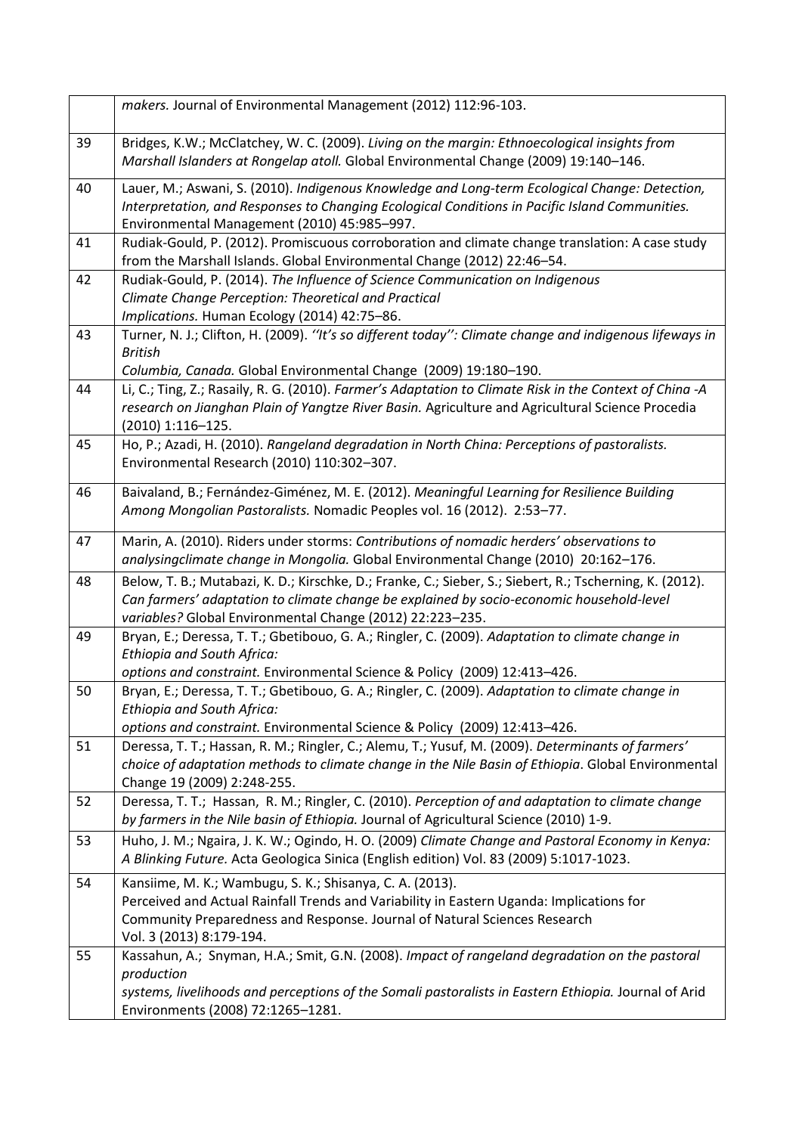|    | makers. Journal of Environmental Management (2012) 112:96-103.                                                                                                                                                                                                    |
|----|-------------------------------------------------------------------------------------------------------------------------------------------------------------------------------------------------------------------------------------------------------------------|
| 39 | Bridges, K.W.; McClatchey, W. C. (2009). Living on the margin: Ethnoecological insights from<br>Marshall Islanders at Rongelap atoll. Global Environmental Change (2009) 19:140-146.                                                                              |
| 40 | Lauer, M.; Aswani, S. (2010). Indigenous Knowledge and Long-term Ecological Change: Detection,<br>Interpretation, and Responses to Changing Ecological Conditions in Pacific Island Communities.<br>Environmental Management (2010) 45:985-997.                   |
| 41 | Rudiak-Gould, P. (2012). Promiscuous corroboration and climate change translation: A case study<br>from the Marshall Islands. Global Environmental Change (2012) 22:46-54.                                                                                        |
| 42 | Rudiak-Gould, P. (2014). The Influence of Science Communication on Indigenous<br>Climate Change Perception: Theoretical and Practical<br>Implications. Human Ecology (2014) 42:75-86.                                                                             |
| 43 | Turner, N. J.; Clifton, H. (2009). "It's so different today": Climate change and indigenous lifeways in<br><b>British</b><br>Columbia, Canada. Global Environmental Change (2009) 19:180-190.                                                                     |
| 44 | Li, C.; Ting, Z.; Rasaily, R. G. (2010). Farmer's Adaptation to Climate Risk in the Context of China -A<br>research on Jianghan Plain of Yangtze River Basin. Agriculture and Agricultural Science Procedia<br>(2010) 1:116-125.                                  |
| 45 | Ho, P.; Azadi, H. (2010). Rangeland degradation in North China: Perceptions of pastoralists.<br>Environmental Research (2010) 110:302-307.                                                                                                                        |
| 46 | Baivaland, B.; Fernández-Giménez, M. E. (2012). Meaningful Learning for Resilience Building<br>Among Mongolian Pastoralists. Nomadic Peoples vol. 16 (2012). 2:53-77.                                                                                             |
| 47 | Marin, A. (2010). Riders under storms: Contributions of nomadic herders' observations to<br>analysingclimate change in Mongolia. Global Environmental Change (2010) 20:162-176.                                                                                   |
| 48 | Below, T. B.; Mutabazi, K. D.; Kirschke, D.; Franke, C.; Sieber, S.; Siebert, R.; Tscherning, K. (2012).<br>Can farmers' adaptation to climate change be explained by socio-economic household-level<br>variables? Global Environmental Change (2012) 22:223-235. |
| 49 | Bryan, E.; Deressa, T. T.; Gbetibouo, G. A.; Ringler, C. (2009). Adaptation to climate change in<br>Ethiopia and South Africa:<br>options and constraint. Environmental Science & Policy (2009) 12:413-426.                                                       |
| 50 | Bryan, E.; Deressa, T. T.; Gbetibouo, G. A.; Ringler, C. (2009). Adaptation to climate change in<br>Ethiopia and South Africa:<br>options and constraint. Environmental Science & Policy (2009) 12:413-426.                                                       |
| 51 | Deressa, T. T.; Hassan, R. M.; Ringler, C.; Alemu, T.; Yusuf, M. (2009). Determinants of farmers'<br>choice of adaptation methods to climate change in the Nile Basin of Ethiopia. Global Environmental<br>Change 19 (2009) 2:248-255.                            |
| 52 | Deressa, T. T.; Hassan, R. M.; Ringler, C. (2010). Perception of and adaptation to climate change<br>by farmers in the Nile basin of Ethiopia. Journal of Agricultural Science (2010) 1-9.                                                                        |
| 53 | Huho, J. M.; Ngaira, J. K. W.; Ogindo, H. O. (2009) Climate Change and Pastoral Economy in Kenya:<br>A Blinking Future. Acta Geologica Sinica (English edition) Vol. 83 (2009) 5:1017-1023.                                                                       |
| 54 | Kansiime, M. K.; Wambugu, S. K.; Shisanya, C. A. (2013).<br>Perceived and Actual Rainfall Trends and Variability in Eastern Uganda: Implications for<br>Community Preparedness and Response. Journal of Natural Sciences Research<br>Vol. 3 (2013) 8:179-194.     |
| 55 | Kassahun, A.; Snyman, H.A.; Smit, G.N. (2008). Impact of rangeland degradation on the pastoral<br>production<br>systems, livelihoods and perceptions of the Somali pastoralists in Eastern Ethiopia. Journal of Arid<br>Environments (2008) 72:1265-1281.         |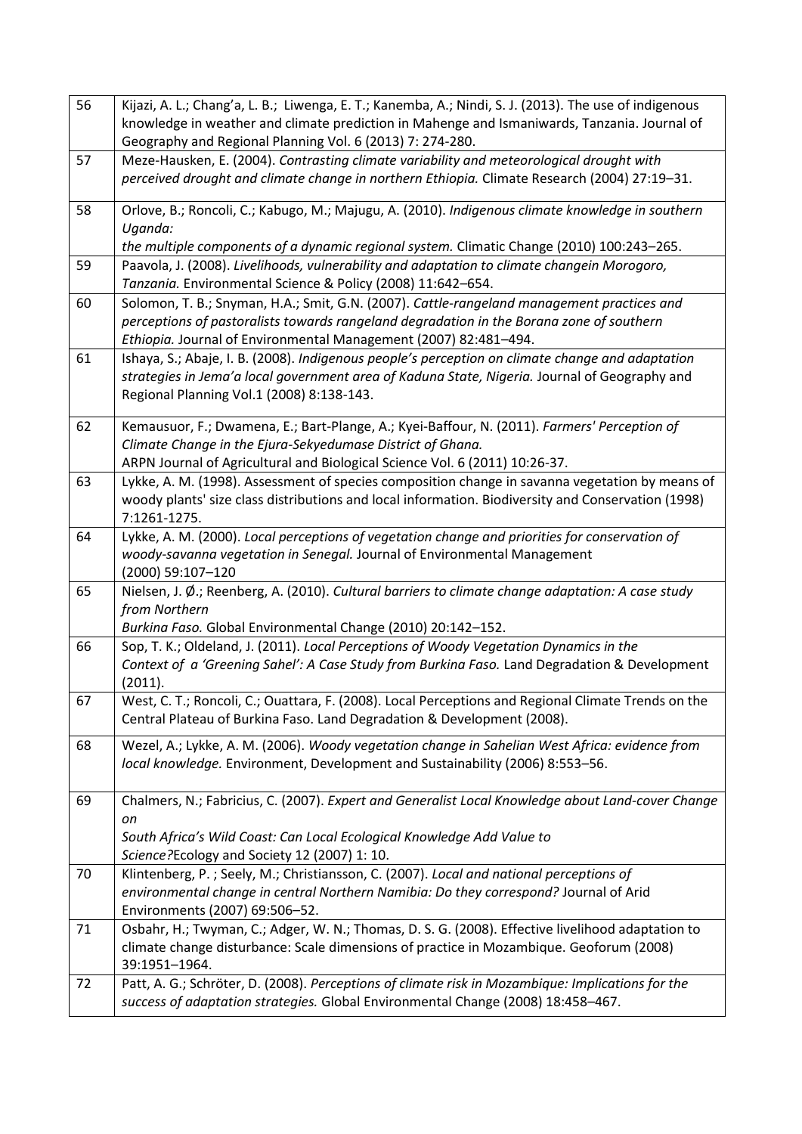| 56 | Kijazi, A. L.; Chang'a, L. B.; Liwenga, E. T.; Kanemba, A.; Nindi, S. J. (2013). The use of indigenous<br>knowledge in weather and climate prediction in Mahenge and Ismaniwards, Tanzania. Journal of<br>Geography and Regional Planning Vol. 6 (2013) 7: 274-280. |
|----|---------------------------------------------------------------------------------------------------------------------------------------------------------------------------------------------------------------------------------------------------------------------|
| 57 | Meze-Hausken, E. (2004). Contrasting climate variability and meteorological drought with<br>perceived drought and climate change in northern Ethiopia. Climate Research (2004) 27:19-31.                                                                            |
| 58 | Orlove, B.; Roncoli, C.; Kabugo, M.; Majugu, A. (2010). Indigenous climate knowledge in southern<br>Uganda:<br>the multiple components of a dynamic regional system. Climatic Change (2010) 100:243-265.                                                            |
| 59 | Paavola, J. (2008). Livelihoods, vulnerability and adaptation to climate changein Morogoro,<br>Tanzania. Environmental Science & Policy (2008) 11:642-654.                                                                                                          |
| 60 | Solomon, T. B.; Snyman, H.A.; Smit, G.N. (2007). Cattle-rangeland management practices and<br>perceptions of pastoralists towards rangeland degradation in the Borana zone of southern<br>Ethiopia. Journal of Environmental Management (2007) 82:481-494.          |
| 61 | Ishaya, S.; Abaje, I. B. (2008). Indigenous people's perception on climate change and adaptation<br>strategies in Jema'a local government area of Kaduna State, Nigeria. Journal of Geography and<br>Regional Planning Vol.1 (2008) 8:138-143.                      |
| 62 | Kemausuor, F.; Dwamena, E.; Bart-Plange, A.; Kyei-Baffour, N. (2011). Farmers' Perception of<br>Climate Change in the Ejura-Sekyedumase District of Ghana.<br>ARPN Journal of Agricultural and Biological Science Vol. 6 (2011) 10:26-37.                           |
| 63 | Lykke, A. M. (1998). Assessment of species composition change in savanna vegetation by means of<br>woody plants' size class distributions and local information. Biodiversity and Conservation (1998)<br>7:1261-1275.                                               |
| 64 | Lykke, A. M. (2000). Local perceptions of vegetation change and priorities for conservation of<br>woody-savanna vegetation in Senegal. Journal of Environmental Management<br>(2000) 59:107-120                                                                     |
| 65 | Nielsen, J. Ø.; Reenberg, A. (2010). Cultural barriers to climate change adaptation: A case study<br>from Northern<br>Burkina Faso. Global Environmental Change (2010) 20:142-152.                                                                                  |
| 66 | Sop, T. K.; Oldeland, J. (2011). Local Perceptions of Woody Vegetation Dynamics in the<br>Context of a 'Greening Sahel': A Case Study from Burkina Faso. Land Degradation & Development<br>(2011).                                                                  |
| 67 | West, C. T.; Roncoli, C.; Ouattara, F. (2008). Local Perceptions and Regional Climate Trends on the<br>Central Plateau of Burkina Faso. Land Degradation & Development (2008).                                                                                      |
| 68 | Wezel, A.; Lykke, A. M. (2006). Woody vegetation change in Sahelian West Africa: evidence from<br>local knowledge. Environment, Development and Sustainability (2006) 8:553-56.                                                                                     |
| 69 | Chalmers, N.; Fabricius, C. (2007). Expert and Generalist Local Knowledge about Land-cover Change<br>оn<br>South Africa's Wild Coast: Can Local Ecological Knowledge Add Value to<br>Science?Ecology and Society 12 (2007) 1: 10.                                   |
| 70 | Klintenberg, P.; Seely, M.; Christiansson, C. (2007). Local and national perceptions of<br>environmental change in central Northern Namibia: Do they correspond? Journal of Arid<br>Environments (2007) 69:506-52.                                                  |
| 71 | Osbahr, H.; Twyman, C.; Adger, W. N.; Thomas, D. S. G. (2008). Effective livelihood adaptation to<br>climate change disturbance: Scale dimensions of practice in Mozambique. Geoforum (2008)<br>39:1951-1964.                                                       |
| 72 | Patt, A. G.; Schröter, D. (2008). Perceptions of climate risk in Mozambique: Implications for the<br>success of adaptation strategies. Global Environmental Change (2008) 18:458-467.                                                                               |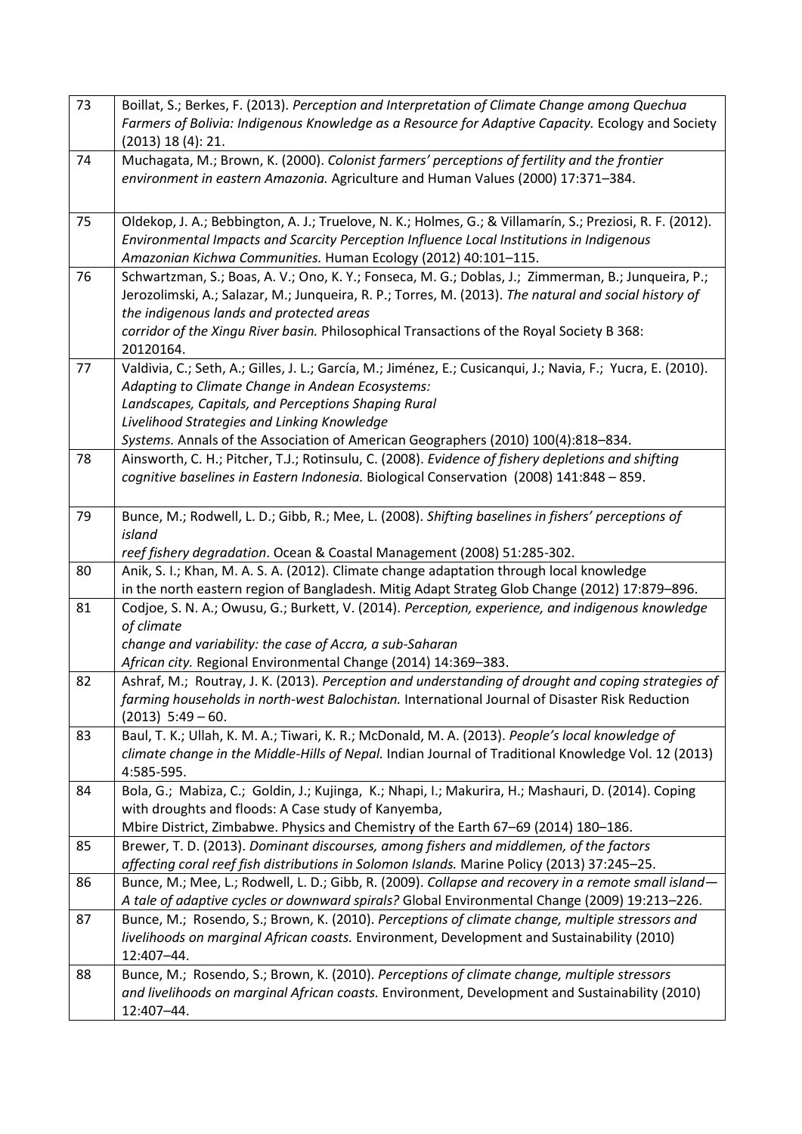| 73 | Boillat, S.; Berkes, F. (2013). Perception and Interpretation of Climate Change among Quechua<br>Farmers of Bolivia: Indigenous Knowledge as a Resource for Adaptive Capacity. Ecology and Society<br>(2013) 18 (4): 21.                                                                                                                                           |
|----|--------------------------------------------------------------------------------------------------------------------------------------------------------------------------------------------------------------------------------------------------------------------------------------------------------------------------------------------------------------------|
| 74 | Muchagata, M.; Brown, K. (2000). Colonist farmers' perceptions of fertility and the frontier<br>environment in eastern Amazonia. Agriculture and Human Values (2000) 17:371-384.                                                                                                                                                                                   |
| 75 | Oldekop, J. A.; Bebbington, A. J.; Truelove, N. K.; Holmes, G.; & Villamarín, S.; Preziosi, R. F. (2012).<br>Environmental Impacts and Scarcity Perception Influence Local Institutions in Indigenous<br>Amazonian Kichwa Communities. Human Ecology (2012) 40:101-115.                                                                                            |
| 76 | Schwartzman, S.; Boas, A. V.; Ono, K. Y.; Fonseca, M. G.; Doblas, J.; Zimmerman, B.; Junqueira, P.;<br>Jerozolimski, A.; Salazar, M.; Junqueira, R. P.; Torres, M. (2013). The natural and social history of<br>the indigenous lands and protected areas<br>corridor of the Xingu River basin. Philosophical Transactions of the Royal Society B 368:<br>20120164. |
| 77 | Valdivia, C.; Seth, A.; Gilles, J. L.; García, M.; Jiménez, E.; Cusicanqui, J.; Navia, F.; Yucra, E. (2010).<br>Adapting to Climate Change in Andean Ecosystems:<br>Landscapes, Capitals, and Perceptions Shaping Rural<br>Livelihood Strategies and Linking Knowledge<br>Systems. Annals of the Association of American Geographers (2010) 100(4):818-834.        |
| 78 | Ainsworth, C. H.; Pitcher, T.J.; Rotinsulu, C. (2008). Evidence of fishery depletions and shifting<br>cognitive baselines in Eastern Indonesia. Biological Conservation (2008) 141:848 - 859.                                                                                                                                                                      |
| 79 | Bunce, M.; Rodwell, L. D.; Gibb, R.; Mee, L. (2008). Shifting baselines in fishers' perceptions of<br>island<br>reef fishery degradation. Ocean & Coastal Management (2008) 51:285-302.                                                                                                                                                                            |
| 80 | Anik, S. I.; Khan, M. A. S. A. (2012). Climate change adaptation through local knowledge<br>in the north eastern region of Bangladesh. Mitig Adapt Strateg Glob Change (2012) 17:879-896.                                                                                                                                                                          |
| 81 | Codjoe, S. N. A.; Owusu, G.; Burkett, V. (2014). Perception, experience, and indigenous knowledge<br>of climate<br>change and variability: the case of Accra, a sub-Saharan<br>African city. Regional Environmental Change (2014) 14:369-383.                                                                                                                      |
| 82 | Ashraf, M.; Routray, J. K. (2013). Perception and understanding of drought and coping strategies of<br>farming households in north-west Balochistan. International Journal of Disaster Risk Reduction<br>$(2013)$ 5:49 - 60.                                                                                                                                       |
| 83 | Baul, T. K.; Ullah, K. M. A.; Tiwari, K. R.; McDonald, M. A. (2013). People's local knowledge of<br>climate change in the Middle-Hills of Nepal. Indian Journal of Traditional Knowledge Vol. 12 (2013)<br>4:585-595.                                                                                                                                              |
| 84 | Bola, G.; Mabiza, C.; Goldin, J.; Kujinga, K.; Nhapi, I.; Makurira, H.; Mashauri, D. (2014). Coping<br>with droughts and floods: A Case study of Kanyemba,<br>Mbire District, Zimbabwe. Physics and Chemistry of the Earth 67-69 (2014) 180-186.                                                                                                                   |
| 85 | Brewer, T. D. (2013). Dominant discourses, among fishers and middlemen, of the factors<br>affecting coral reef fish distributions in Solomon Islands. Marine Policy (2013) 37:245-25.                                                                                                                                                                              |
| 86 | Bunce, M.; Mee, L.; Rodwell, L. D.; Gibb, R. (2009). Collapse and recovery in a remote small island-<br>A tale of adaptive cycles or downward spirals? Global Environmental Change (2009) 19:213-226.                                                                                                                                                              |
| 87 | Bunce, M.; Rosendo, S.; Brown, K. (2010). Perceptions of climate change, multiple stressors and<br>livelihoods on marginal African coasts. Environment, Development and Sustainability (2010)<br>12:407-44.                                                                                                                                                        |
| 88 | Bunce, M.; Rosendo, S.; Brown, K. (2010). Perceptions of climate change, multiple stressors<br>and livelihoods on marginal African coasts. Environment, Development and Sustainability (2010)<br>12:407-44.                                                                                                                                                        |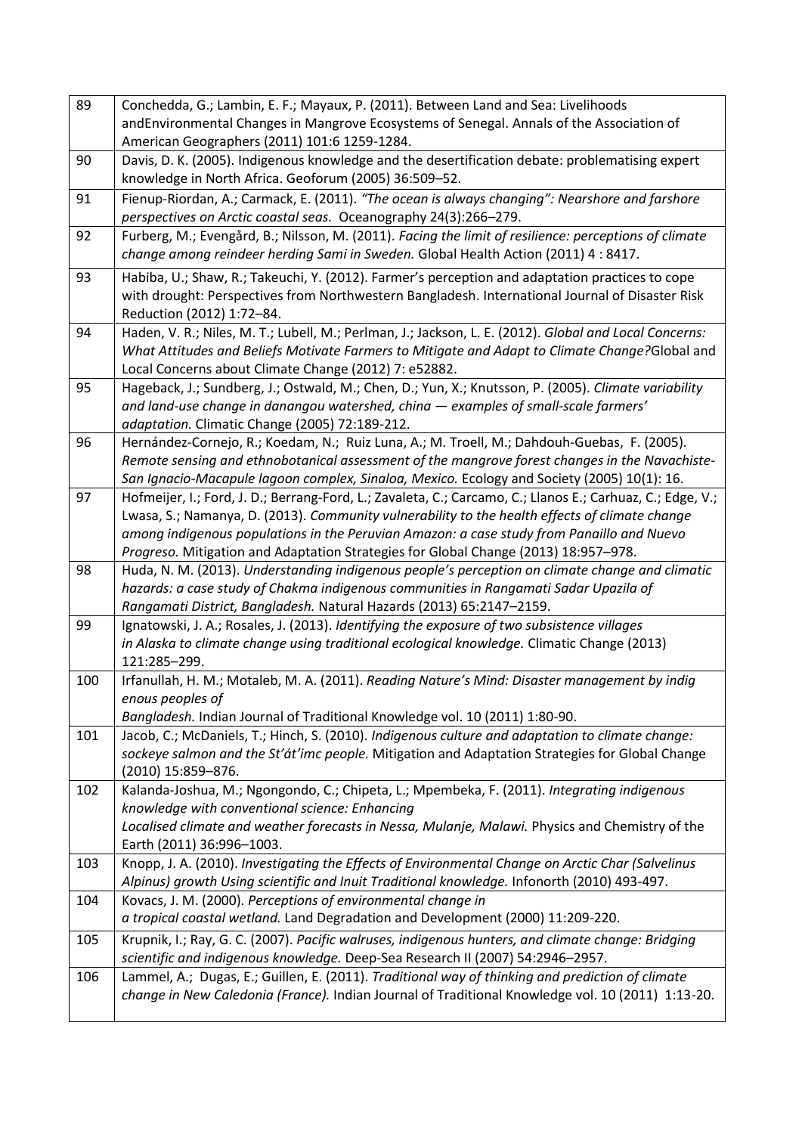| 89  | Conchedda, G.; Lambin, E. F.; Mayaux, P. (2011). Between Land and Sea: Livelihoods<br>andEnvironmental Changes in Mangrove Ecosystems of Senegal. Annals of the Association of<br>American Geographers (2011) 101:6 1259-1284.                                                                                                                                                                   |
|-----|--------------------------------------------------------------------------------------------------------------------------------------------------------------------------------------------------------------------------------------------------------------------------------------------------------------------------------------------------------------------------------------------------|
| 90  | Davis, D. K. (2005). Indigenous knowledge and the desertification debate: problematising expert<br>knowledge in North Africa. Geoforum (2005) 36:509-52.                                                                                                                                                                                                                                         |
| 91  | Fienup-Riordan, A.; Carmack, E. (2011). "The ocean is always changing": Nearshore and farshore<br>perspectives on Arctic coastal seas. Oceanography 24(3):266-279.                                                                                                                                                                                                                               |
| 92  | Furberg, M.; Evengård, B.; Nilsson, M. (2011). Facing the limit of resilience: perceptions of climate<br>change among reindeer herding Sami in Sweden. Global Health Action (2011) 4 : 8417.                                                                                                                                                                                                     |
| 93  | Habiba, U.; Shaw, R.; Takeuchi, Y. (2012). Farmer's perception and adaptation practices to cope<br>with drought: Perspectives from Northwestern Bangladesh. International Journal of Disaster Risk<br>Reduction (2012) 1:72-84.                                                                                                                                                                  |
| 94  | Haden, V. R.; Niles, M. T.; Lubell, M.; Perlman, J.; Jackson, L. E. (2012). Global and Local Concerns:<br>What Attitudes and Beliefs Motivate Farmers to Mitigate and Adapt to Climate Change?Global and<br>Local Concerns about Climate Change (2012) 7: e52882.                                                                                                                                |
| 95  | Hageback, J.; Sundberg, J.; Ostwald, M.; Chen, D.; Yun, X.; Knutsson, P. (2005). Climate variability<br>and land-use change in danangou watershed, china - examples of small-scale farmers'<br>adaptation. Climatic Change (2005) 72:189-212.                                                                                                                                                    |
| 96  | Hernández-Cornejo, R.; Koedam, N.; Ruiz Luna, A.; M. Troell, M.; Dahdouh-Guebas, F. (2005).<br>Remote sensing and ethnobotanical assessment of the mangrove forest changes in the Navachiste-<br>San Ignacio-Macapule lagoon complex, Sinaloa, Mexico. Ecology and Society (2005) 10(1): 16.                                                                                                     |
| 97  | Hofmeijer, I.; Ford, J. D.; Berrang-Ford, L.; Zavaleta, C.; Carcamo, C.; Llanos E.; Carhuaz, C.; Edge, V.;<br>Lwasa, S.; Namanya, D. (2013). Community vulnerability to the health effects of climate change<br>among indigenous populations in the Peruvian Amazon: a case study from Panaillo and Nuevo<br>Progreso. Mitigation and Adaptation Strategies for Global Change (2013) 18:957-978. |
| 98  | Huda, N. M. (2013). Understanding indigenous people's perception on climate change and climatic<br>hazards: a case study of Chakma indigenous communities in Rangamati Sadar Upazila of<br>Rangamati District, Bangladesh. Natural Hazards (2013) 65:2147-2159.                                                                                                                                  |
| 99  | Ignatowski, J. A.; Rosales, J. (2013). Identifying the exposure of two subsistence villages<br>in Alaska to climate change using traditional ecological knowledge. Climatic Change (2013)<br>121:285-299.                                                                                                                                                                                        |
| 100 | Irfanullah, H. M.; Motaleb, M. A. (2011). Reading Nature's Mind: Disaster management by indig<br>enous peoples of<br>Bangladesh. Indian Journal of Traditional Knowledge vol. 10 (2011) 1:80-90.                                                                                                                                                                                                 |
| 101 | Jacob, C.; McDaniels, T.; Hinch, S. (2010). Indigenous culture and adaptation to climate change:<br>sockeye salmon and the St'át'imc people. Mitigation and Adaptation Strategies for Global Change<br>(2010) 15:859-876.                                                                                                                                                                        |
| 102 | Kalanda-Joshua, M.; Ngongondo, C.; Chipeta, L.; Mpembeka, F. (2011). Integrating indigenous<br>knowledge with conventional science: Enhancing<br>Localised climate and weather forecasts in Nessa, Mulanje, Malawi. Physics and Chemistry of the<br>Earth (2011) 36:996-1003.                                                                                                                    |
| 103 | Knopp, J. A. (2010). Investigating the Effects of Environmental Change on Arctic Char (Salvelinus<br>Alpinus) growth Using scientific and Inuit Traditional knowledge. Infonorth (2010) 493-497.                                                                                                                                                                                                 |
| 104 | Kovacs, J. M. (2000). Perceptions of environmental change in<br>a tropical coastal wetland. Land Degradation and Development (2000) 11:209-220.                                                                                                                                                                                                                                                  |
| 105 | Krupnik, I.; Ray, G. C. (2007). Pacific walruses, indigenous hunters, and climate change: Bridging<br>scientific and indigenous knowledge. Deep-Sea Research II (2007) 54:2946-2957.                                                                                                                                                                                                             |
| 106 | Lammel, A.; Dugas, E.; Guillen, E. (2011). Traditional way of thinking and prediction of climate<br>change in New Caledonia (France). Indian Journal of Traditional Knowledge vol. 10 (2011) 1:13-20.                                                                                                                                                                                            |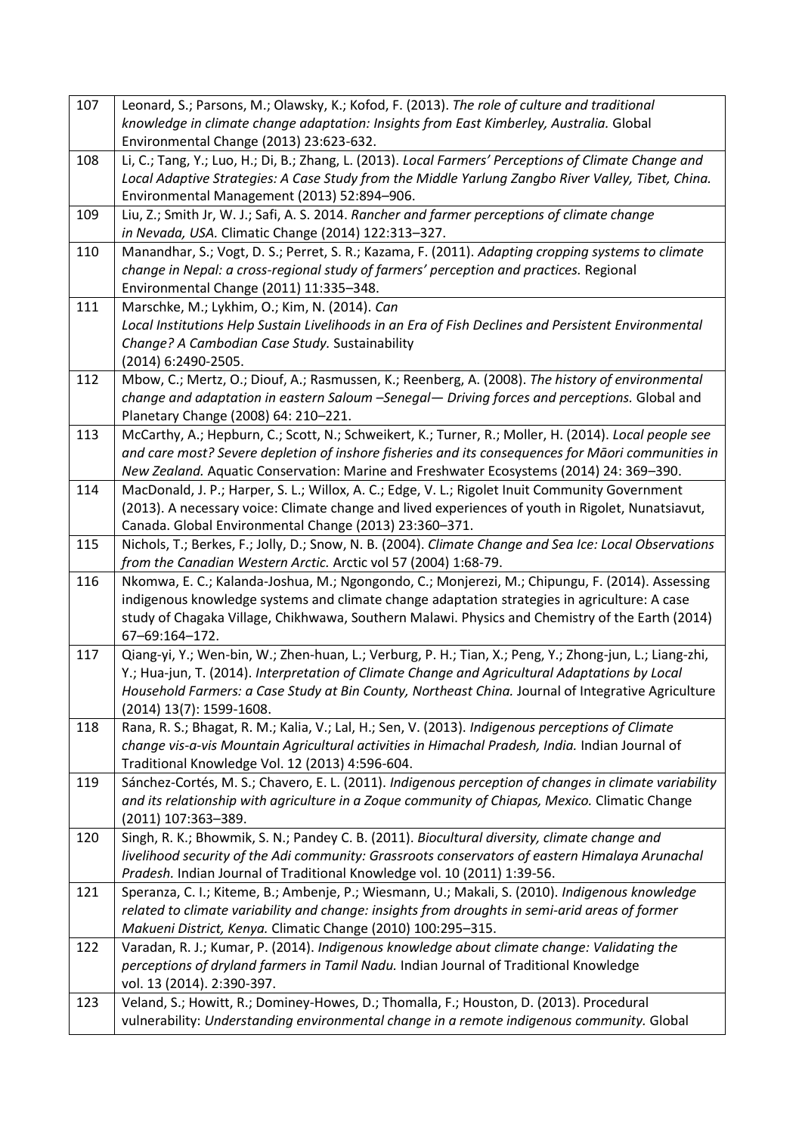| 107 | Leonard, S.; Parsons, M.; Olawsky, K.; Kofod, F. (2013). The role of culture and traditional<br>knowledge in climate change adaptation: Insights from East Kimberley, Australia. Global                                                                                                                                                     |
|-----|---------------------------------------------------------------------------------------------------------------------------------------------------------------------------------------------------------------------------------------------------------------------------------------------------------------------------------------------|
| 108 | Environmental Change (2013) 23:623-632.<br>Li, C.; Tang, Y.; Luo, H.; Di, B.; Zhang, L. (2013). Local Farmers' Perceptions of Climate Change and<br>Local Adaptive Strategies: A Case Study from the Middle Yarlung Zangbo River Valley, Tibet, China.<br>Environmental Management (2013) 52:894-906.                                       |
| 109 | Liu, Z.; Smith Jr, W. J.; Safi, A. S. 2014. Rancher and farmer perceptions of climate change<br>in Nevada, USA. Climatic Change (2014) 122:313-327.                                                                                                                                                                                         |
| 110 | Manandhar, S.; Vogt, D. S.; Perret, S. R.; Kazama, F. (2011). Adapting cropping systems to climate<br>change in Nepal: a cross-regional study of farmers' perception and practices. Regional<br>Environmental Change (2011) 11:335-348.                                                                                                     |
| 111 | Marschke, M.; Lykhim, O.; Kim, N. (2014). Can<br>Local Institutions Help Sustain Livelihoods in an Era of Fish Declines and Persistent Environmental<br>Change? A Cambodian Case Study. Sustainability<br>(2014) 6:2490-2505.                                                                                                               |
| 112 | Mbow, C.; Mertz, O.; Diouf, A.; Rasmussen, K.; Reenberg, A. (2008). The history of environmental<br>change and adaptation in eastern Saloum -Senegal- Driving forces and perceptions. Global and<br>Planetary Change (2008) 64: 210-221.                                                                                                    |
| 113 | McCarthy, A.; Hepburn, C.; Scott, N.; Schweikert, K.; Turner, R.; Moller, H. (2014). Local people see<br>and care most? Severe depletion of inshore fisheries and its consequences for Māori communities in<br>New Zealand. Aquatic Conservation: Marine and Freshwater Ecosystems (2014) 24: 369-390.                                      |
| 114 | MacDonald, J. P.; Harper, S. L.; Willox, A. C.; Edge, V. L.; Rigolet Inuit Community Government<br>(2013). A necessary voice: Climate change and lived experiences of youth in Rigolet, Nunatsiavut,<br>Canada. Global Environmental Change (2013) 23:360-371.                                                                              |
| 115 | Nichols, T.; Berkes, F.; Jolly, D.; Snow, N. B. (2004). Climate Change and Sea Ice: Local Observations<br>from the Canadian Western Arctic. Arctic vol 57 (2004) 1:68-79.                                                                                                                                                                   |
| 116 | Nkomwa, E. C.; Kalanda-Joshua, M.; Ngongondo, C.; Monjerezi, M.; Chipungu, F. (2014). Assessing<br>indigenous knowledge systems and climate change adaptation strategies in agriculture: A case<br>study of Chagaka Village, Chikhwawa, Southern Malawi. Physics and Chemistry of the Earth (2014)<br>67-69:164-172.                        |
| 117 | Qiang-yi, Y.; Wen-bin, W.; Zhen-huan, L.; Verburg, P. H.; Tian, X.; Peng, Y.; Zhong-jun, L.; Liang-zhi,<br>Y.; Hua-jun, T. (2014). Interpretation of Climate Change and Agricultural Adaptations by Local<br>Household Farmers: a Case Study at Bin County, Northeast China. Journal of Integrative Agriculture<br>(2014) 13(7): 1599-1608. |
| 118 | Rana, R. S.; Bhagat, R. M.; Kalia, V.; Lal, H.; Sen, V. (2013). Indigenous perceptions of Climate<br>change vis-a-vis Mountain Agricultural activities in Himachal Pradesh, India. Indian Journal of<br>Traditional Knowledge Vol. 12 (2013) 4:596-604.                                                                                     |
| 119 | Sánchez-Cortés, M. S.; Chavero, E. L. (2011). Indigenous perception of changes in climate variability<br>and its relationship with agriculture in a Zoque community of Chiapas, Mexico. Climatic Change<br>(2011) 107:363-389.                                                                                                              |
| 120 | Singh, R. K.; Bhowmik, S. N.; Pandey C. B. (2011). Biocultural diversity, climate change and<br>livelihood security of the Adi community: Grassroots conservators of eastern Himalaya Arunachal<br>Pradesh. Indian Journal of Traditional Knowledge vol. 10 (2011) 1:39-56.                                                                 |
| 121 | Speranza, C. I.; Kiteme, B.; Ambenje, P.; Wiesmann, U.; Makali, S. (2010). Indigenous knowledge<br>related to climate variability and change: insights from droughts in semi-arid areas of former<br>Makueni District, Kenya. Climatic Change (2010) 100:295-315.                                                                           |
| 122 | Varadan, R. J.; Kumar, P. (2014). Indigenous knowledge about climate change: Validating the<br>perceptions of dryland farmers in Tamil Nadu. Indian Journal of Traditional Knowledge<br>vol. 13 (2014). 2:390-397.                                                                                                                          |
| 123 | Veland, S.; Howitt, R.; Dominey-Howes, D.; Thomalla, F.; Houston, D. (2013). Procedural<br>vulnerability: Understanding environmental change in a remote indigenous community. Global                                                                                                                                                       |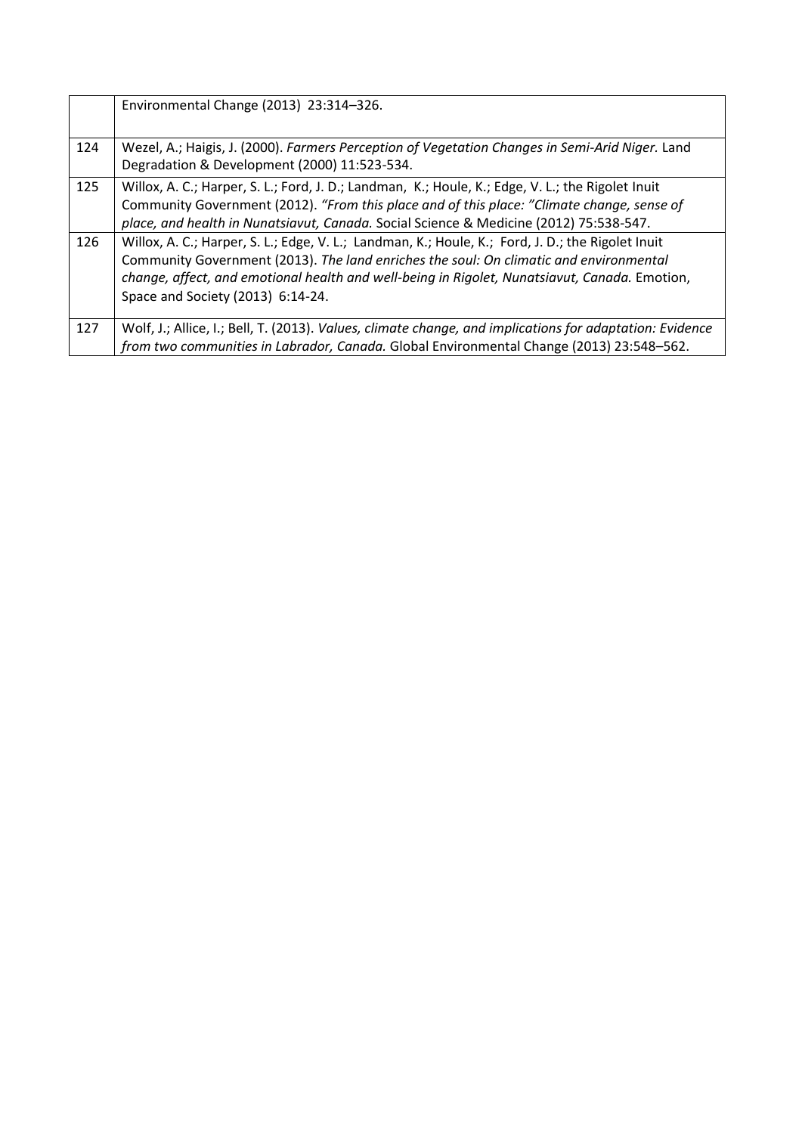|     | Environmental Change (2013) 23:314-326.                                                                                                                                                                                                                                                                                           |
|-----|-----------------------------------------------------------------------------------------------------------------------------------------------------------------------------------------------------------------------------------------------------------------------------------------------------------------------------------|
| 124 | Wezel, A.; Haigis, J. (2000). Farmers Perception of Vegetation Changes in Semi-Arid Niger. Land<br>Degradation & Development (2000) 11:523-534.                                                                                                                                                                                   |
| 125 | Willox, A. C.; Harper, S. L.; Ford, J. D.; Landman, K.; Houle, K.; Edge, V. L.; the Rigolet Inuit<br>Community Government (2012). "From this place and of this place: "Climate change, sense of<br>place, and health in Nunatsiavut, Canada. Social Science & Medicine (2012) 75:538-547.                                         |
| 126 | Willox, A. C.; Harper, S. L.; Edge, V. L.; Landman, K.; Houle, K.; Ford, J. D.; the Rigolet Inuit<br>Community Government (2013). The land enriches the soul: On climatic and environmental<br>change, affect, and emotional health and well-being in Rigolet, Nunatsiavut, Canada. Emotion,<br>Space and Society (2013) 6:14-24. |
| 127 | Wolf, J.; Allice, I.; Bell, T. (2013). Values, climate change, and implications for adaptation: Evidence<br>from two communities in Labrador, Canada. Global Environmental Change (2013) 23:548-562.                                                                                                                              |